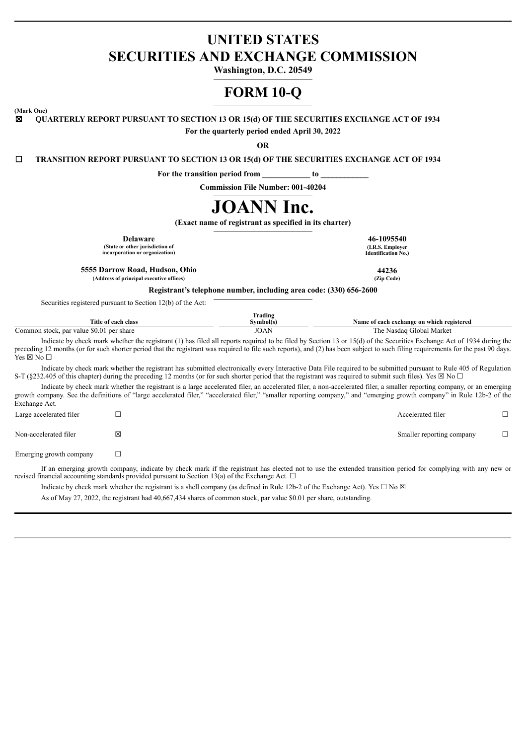# **UNITED STATES SECURITIES AND EXCHANGE COMMISSION**

**Washington, D.C. 20549**

# **FORM 10-Q**

**(Mark One)**

☒ **QUARTERLY REPORT PURSUANT TO SECTION 13 OR 15(d) OF THE SECURITIES EXCHANGE ACT OF 1934**

**For the quarterly period ended April 30, 2022**

**OR**

☐ **TRANSITION REPORT PURSUANT TO SECTION 13 OR 15(d) OF THE SECURITIES EXCHANGE ACT OF 1934**

**For the transition period from \_\_\_\_\_\_\_\_\_\_\_\_ to \_\_\_\_\_\_\_\_\_\_\_\_**

**Commission File Number: 001-40204**

# **JOANN Inc.**

**(Exact name of registrant as specified in its charter)**

**Delaware 46-1095540 (State or other jurisdiction of**

**incorporation or organization)**

**5555 Darrow Road, Hudson, Ohio 44236**

**(Address of principal executive offices) (Zip Code)**

**(I.R.S. Employer Identification No.)**

**Registrant's telephone number, including area code: (330) 656-2600**

Securities registered pursuant to Section 12(b) of the Act:

|                                          | <b>Trading</b> |                                           |
|------------------------------------------|----------------|-------------------------------------------|
| Title of each class                      | 3vmbol(s)      | Name of each exchange on which registered |
| Common stock, par value \$0.01 per share | JOAN           | Nasdaq Global Market<br>r he              |

Indicate by check mark whether the registrant (1) has filed all reports required to be filed by Section 13 or 15(d) of the Securities Exchange Act of 1934 during the preceding 12 months (or for such shorter period that the registrant was required to file such reports), and (2) has been subject to such filing requirements for the past 90 days. Yes ⊠ No □

Indicate by check mark whether the registrant has submitted electronically every Interactive Data File required to be submitted pursuant to Rule 405 of Regulation S-T (§232.405 of this chapter) during the preceding 12 months (or for such shorter period that the registrant was required to submit such files). Yes ⊠ No □

Indicate by check mark whether the registrant is a large accelerated filer, an accelerated filer, a non-accelerated filer, a smaller reporting company, or an emerging growth company. See the definitions of "large accelerated filer," "accelerated filer," "smaller reporting company," and "emerging growth company" in Rule 12b-2 of the Exchange Act.

| Large accelerated filer |   | Accelerated filer         | $\overline{\phantom{0}}$ |
|-------------------------|---|---------------------------|--------------------------|
| Non-accelerated filer   | ⊠ | Smaller reporting company | $\Box$                   |

Emerging growth company  $\Box$ 

If an emerging growth company, indicate by check mark if the registrant has elected not to use the extended transition period for complying with any new or revised financial accounting standards provided pursuant to Section 13(a) of the Exchange Act.  $\Box$ 

Indicate by check mark whether the registrant is a shell company (as defined in Rule 12b-2 of the Exchange Act). Yes  $\Box$  No  $\boxtimes$ 

As of May 27, 2022, the registrant had 40,667,434 shares of common stock, par value \$0.01 per share, outstanding.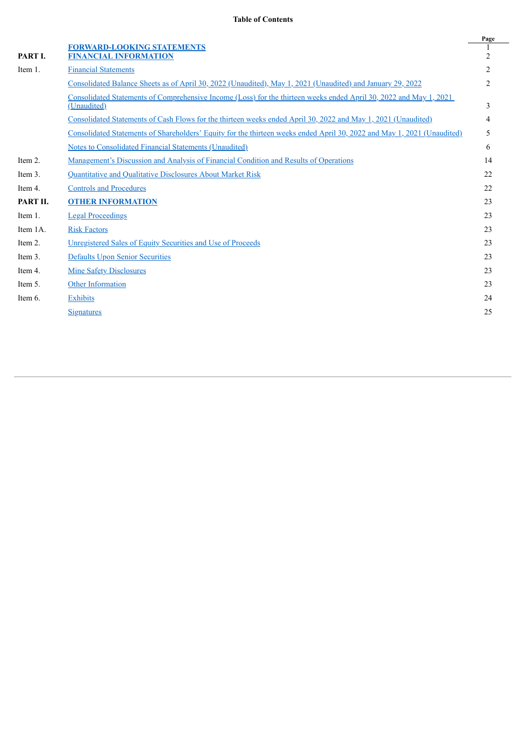### **Table of Contents**

 $\overline{\phantom{0}}$ 

|          |                                                                                                                                   | Page           |
|----------|-----------------------------------------------------------------------------------------------------------------------------------|----------------|
| PART I.  | <b>FORWARD-LOOKING STATEMENTS</b><br><b>FINANCIAL INFORMATION</b>                                                                 | $\overline{c}$ |
| Item 1.  | <b>Financial Statements</b>                                                                                                       | 2              |
|          |                                                                                                                                   |                |
|          | Consolidated Balance Sheets as of April 30, 2022 (Unaudited), May 1, 2021 (Unaudited) and January 29, 2022                        | 2              |
|          | Consolidated Statements of Comprehensive Income (Loss) for the thirteen weeks ended April 30, 2022 and May 1, 2021<br>(Unaudited) | 3              |
|          | Consolidated Statements of Cash Flows for the thirteen weeks ended April 30, 2022 and May 1, 2021 (Unaudited)                     | 4              |
|          | Consolidated Statements of Shareholders' Equity for the thirteen weeks ended April 30, 2022 and May 1, 2021 (Unaudited)           | 5              |
|          | Notes to Consolidated Financial Statements (Unaudited)                                                                            | 6              |
| Item 2.  | Management's Discussion and Analysis of Financial Condition and Results of Operations                                             | 14             |
| Item 3.  | <b>Quantitative and Qualitative Disclosures About Market Risk</b>                                                                 | 22             |
| Item 4.  | <b>Controls and Procedures</b>                                                                                                    | 22             |
| PART II. | <b>OTHER INFORMATION</b>                                                                                                          | 23             |
| Item 1.  | <b>Legal Proceedings</b>                                                                                                          | 23             |
| Item 1A. | <b>Risk Factors</b>                                                                                                               | 23             |
| Item 2.  | <b>Unregistered Sales of Equity Securities and Use of Proceeds</b>                                                                | 23             |
| Item 3.  | <b>Defaults Upon Senior Securities</b>                                                                                            | 23             |
| Item 4.  | <b>Mine Safety Disclosures</b>                                                                                                    | 23             |
| Item 5.  | Other Information                                                                                                                 | 23             |
| Item 6.  | Exhibits                                                                                                                          | 24             |
|          | Signatures                                                                                                                        | 25             |
|          |                                                                                                                                   |                |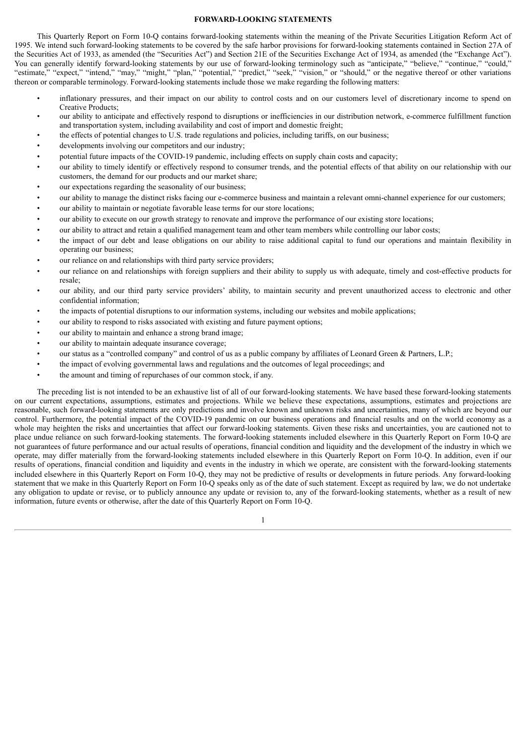#### **FORWARD-LOOKING STATEMENTS**

<span id="page-2-0"></span>This Quarterly Report on Form 10-Q contains forward-looking statements within the meaning of the Private Securities Litigation Reform Act of 1995. We intend such forward-looking statements to be covered by the safe harbor provisions for forward-looking statements contained in Section 27A of the Securities Act of 1933, as amended (the "Securities Act") and Section 21E of the Securities Exchange Act of 1934, as amended (the "Exchange Act"). You can generally identify forward-looking statements by our use of forward-looking terminology such as "anticipate," "believe," "continue," "could," "estimate," "expect," "intend," "may," "might," "plan," "potential," "predict," "seek," "vision," or "should," or the negative thereof or other variations thereon or comparable terminology. Forward-looking statements include those we make regarding the following matters:

- inflationary pressures, and their impact on our ability to control costs and on our customers level of discretionary income to spend on Creative Products;
- our ability to anticipate and effectively respond to disruptions or inefficiencies in our distribution network, e-commerce fulfillment function and transportation system, including availability and cost of import and domestic freight;
- the effects of potential changes to U.S. trade regulations and policies, including tariffs, on our business;
- developments involving our competitors and our industry;
- potential future impacts of the COVID-19 pandemic, including effects on supply chain costs and capacity;
- our ability to timely identify or effectively respond to consumer trends, and the potential effects of that ability on our relationship with our customers, the demand for our products and our market share;
- our expectations regarding the seasonality of our business;
- our ability to manage the distinct risks facing our e-commerce business and maintain a relevant omni-channel experience for our customers;
- our ability to maintain or negotiate favorable lease terms for our store locations;
- our ability to execute on our growth strategy to renovate and improve the performance of our existing store locations;
- our ability to attract and retain a qualified management team and other team members while controlling our labor costs;
- the impact of our debt and lease obligations on our ability to raise additional capital to fund our operations and maintain flexibility in operating our business;
- our reliance on and relationships with third party service providers;
- our reliance on and relationships with foreign suppliers and their ability to supply us with adequate, timely and cost-effective products for resale;
- our ability, and our third party service providers' ability, to maintain security and prevent unauthorized access to electronic and other confidential information;
- the impacts of potential disruptions to our information systems, including our websites and mobile applications;
- our ability to respond to risks associated with existing and future payment options;
- our ability to maintain and enhance a strong brand image;
- our ability to maintain adequate insurance coverage;
- our status as a "controlled company" and control of us as a public company by affiliates of Leonard Green & Partners, L.P.;
- the impact of evolving governmental laws and regulations and the outcomes of legal proceedings; and
- the amount and timing of repurchases of our common stock, if any.

The preceding list is not intended to be an exhaustive list of all of our forward-looking statements. We have based these forward-looking statements on our current expectations, assumptions, estimates and projections. While we believe these expectations, assumptions, estimates and projections are reasonable, such forward-looking statements are only predictions and involve known and unknown risks and uncertainties, many of which are beyond our control. Furthermore, the potential impact of the COVID-19 pandemic on our business operations and financial results and on the world economy as a whole may heighten the risks and uncertainties that affect our forward-looking statements. Given these risks and uncertainties, you are cautioned not to place undue reliance on such forward-looking statements. The forward-looking statements included elsewhere in this Quarterly Report on Form 10-Q are not guarantees of future performance and our actual results of operations, financial condition and liquidity and the development of the industry in which we operate, may differ materially from the forward-looking statements included elsewhere in this Quarterly Report on Form 10-Q. In addition, even if our results of operations, financial condition and liquidity and events in the industry in which we operate, are consistent with the forward-looking statements included elsewhere in this Quarterly Report on Form 10-Q, they may not be predictive of results or developments in future periods. Any forward-looking statement that we make in this Quarterly Report on Form 10-Q speaks only as of the date of such statement. Except as required by law, we do not undertake any obligation to update or revise, or to publicly announce any update or revision to, any of the forward-looking statements, whether as a result of new information, future events or otherwise, after the date of this Quarterly Report on Form 10-Q.

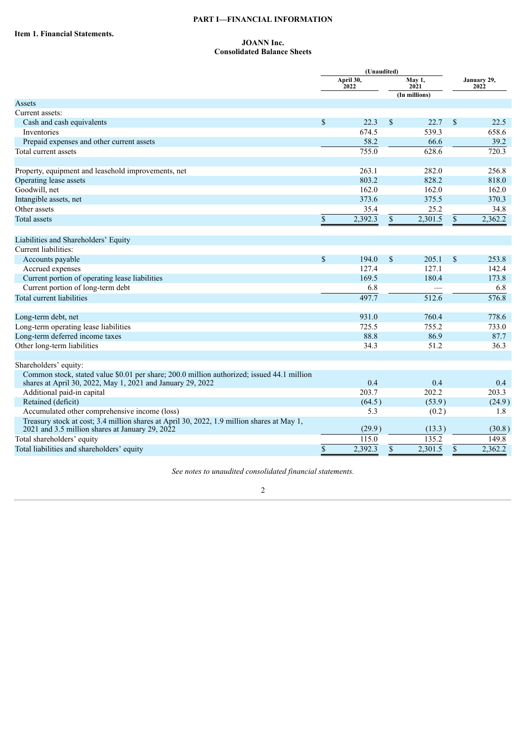### **PART I—FINANCIAL INFORMATION**

### **JOANN Inc. Consolidated Balance Sheets**

<span id="page-3-2"></span><span id="page-3-1"></span><span id="page-3-0"></span>

|                                                                                                                                                          | (Unaudited)               |         |               |               |                     |         |  |
|----------------------------------------------------------------------------------------------------------------------------------------------------------|---------------------------|---------|---------------|---------------|---------------------|---------|--|
|                                                                                                                                                          | April 30,<br>2022<br>2021 |         |               | May 1,        | January 29,<br>2022 |         |  |
|                                                                                                                                                          |                           |         |               | (In millions) |                     |         |  |
| Assets                                                                                                                                                   |                           |         |               |               |                     |         |  |
| Current assets:                                                                                                                                          |                           |         |               |               |                     |         |  |
| Cash and cash equivalents                                                                                                                                | \$                        | 22.3    | $\mathcal{S}$ | 22.7          | $\mathcal{S}$       | 22.5    |  |
| Inventories                                                                                                                                              |                           | 674.5   |               | 539.3         |                     | 658.6   |  |
| Prepaid expenses and other current assets                                                                                                                |                           | 58.2    |               | 66.6          |                     | 39.2    |  |
| Total current assets                                                                                                                                     |                           | 755.0   |               | 628.6         |                     | 720.3   |  |
| Property, equipment and leasehold improvements, net                                                                                                      |                           | 263.1   |               | 282.0         |                     | 256.8   |  |
| Operating lease assets                                                                                                                                   |                           | 803.2   |               | 828.2         |                     | 818.0   |  |
| Goodwill, net                                                                                                                                            |                           | 162.0   |               | 162.0         |                     | 162.0   |  |
| Intangible assets, net                                                                                                                                   |                           | 373.6   |               | 375.5         |                     | 370.3   |  |
| Other assets                                                                                                                                             |                           | 35.4    |               | 25.2          |                     | 34.8    |  |
| <b>Total assets</b>                                                                                                                                      | $\$$                      | 2,392.3 | \$            | 2,301.5       | $\$$                | 2,362.2 |  |
| Liabilities and Shareholders' Equity                                                                                                                     |                           |         |               |               |                     |         |  |
| Current liabilities:                                                                                                                                     |                           |         |               |               |                     |         |  |
| Accounts payable                                                                                                                                         | $\boldsymbol{\mathsf{S}}$ | 194.0   | $\mathbf S$   | 205.1         | $\mathbf S$         | 253.8   |  |
| Accrued expenses                                                                                                                                         |                           | 127.4   |               | 127.1         |                     | 142.4   |  |
| Current portion of operating lease liabilities                                                                                                           |                           | 169.5   |               | 180.4         |                     | 173.8   |  |
| Current portion of long-term debt                                                                                                                        |                           | 6.8     |               |               |                     | 6.8     |  |
| Total current liabilities                                                                                                                                |                           | 497.7   |               | 512.6         |                     | 576.8   |  |
| Long-term debt, net                                                                                                                                      |                           | 931.0   |               | 760.4         |                     | 778.6   |  |
| Long-term operating lease liabilities                                                                                                                    |                           | 725.5   |               | 755.2         |                     | 733.0   |  |
| Long-term deferred income taxes                                                                                                                          |                           | 88.8    |               | 86.9          |                     | 87.7    |  |
| Other long-term liabilities                                                                                                                              |                           | 34.3    |               | 51.2          |                     | 36.3    |  |
| Shareholders' equity:                                                                                                                                    |                           |         |               |               |                     |         |  |
| Common stock, stated value \$0.01 per share; 200.0 million authorized; issued 44.1 million<br>shares at April 30, 2022, May 1, 2021 and January 29, 2022 |                           | 0.4     |               | 0.4           |                     | 0.4     |  |
| Additional paid-in capital                                                                                                                               |                           | 203.7   |               | 202.2         |                     | 203.3   |  |
| Retained (deficit)                                                                                                                                       |                           | (64.5)  |               | (53.9)        |                     | (24.9)  |  |
| Accumulated other comprehensive income (loss)                                                                                                            |                           | 5.3     |               | (0.2)         |                     | 1.8     |  |
| Treasury stock at cost; 3.4 million shares at April 30, 2022, 1.9 million shares at May 1,<br>2021 and 3.5 million shares at January 29, 2022            |                           | (29.9)  |               | (13.3)        |                     | (30.8)  |  |
| Total shareholders' equity                                                                                                                               |                           | 115.0   |               | 135.2         |                     | 149.8   |  |
| Total liabilities and shareholders' equity                                                                                                               | \$                        | 2,392.3 | $\mathsf{\$}$ | 2,301.5       | $\mathsf{\$}$       | 2,362.2 |  |

*See notes to unaudited consolidated financial statements.*

2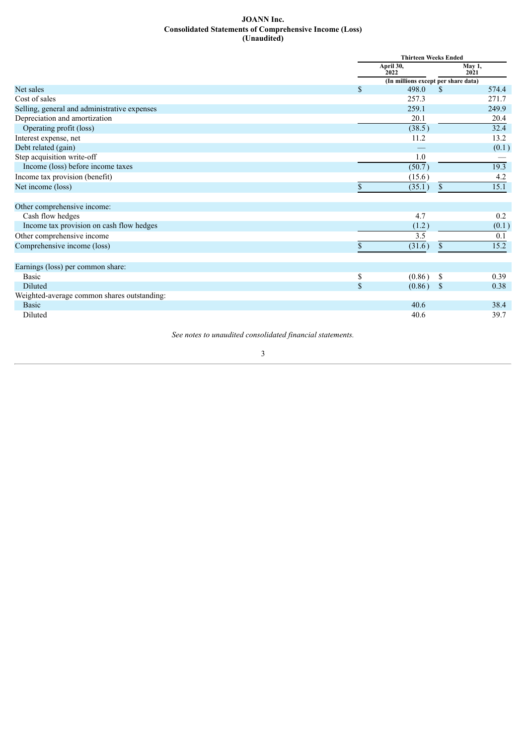#### **JOANN Inc. Consolidated Statements of Comprehensive Income (Loss) (Unaudited)**

<span id="page-4-0"></span>

|                                              |              | <b>Thirteen Weeks Ended</b>         |                |  |  |  |
|----------------------------------------------|--------------|-------------------------------------|----------------|--|--|--|
|                                              |              | April 30,<br>2022                   | May 1,<br>2021 |  |  |  |
|                                              |              | (In millions except per share data) |                |  |  |  |
| Net sales                                    | $\mathbb{S}$ | 498.0<br><sup>S</sup>               | 574.4          |  |  |  |
| Cost of sales                                |              | 257.3                               | 271.7          |  |  |  |
| Selling, general and administrative expenses |              | 259.1                               | 249.9          |  |  |  |
| Depreciation and amortization                |              | 20.1                                | 20.4           |  |  |  |
| Operating profit (loss)                      |              | (38.5)                              | 32.4           |  |  |  |
| Interest expense, net                        |              | 11.2                                | 13.2           |  |  |  |
| Debt related (gain)                          |              |                                     | (0.1)          |  |  |  |
| Step acquisition write-off                   |              | 1.0                                 |                |  |  |  |
| Income (loss) before income taxes            |              | (50.7)                              | 19.3           |  |  |  |
| Income tax provision (benefit)               |              | (15.6)                              | 4.2            |  |  |  |
| Net income (loss)                            | \$           | \$<br>(35.1)                        | 15.1           |  |  |  |
| Other comprehensive income:                  |              |                                     |                |  |  |  |
| Cash flow hedges                             |              | 4.7                                 | 0.2            |  |  |  |
| Income tax provision on cash flow hedges     |              | (1.2)                               | (0.1)          |  |  |  |
| Other comprehensive income                   |              | $\overline{3.5}$                    | 0.1            |  |  |  |
| Comprehensive income (loss)                  | \$           | \$<br>(31.6)                        | 15.2           |  |  |  |
| Earnings (loss) per common share:            |              |                                     |                |  |  |  |
| <b>Basic</b>                                 | \$           | (0.86)<br><sup>\$</sup>             | 0.39           |  |  |  |
| Diluted                                      | \$           | (0.86)<br>$\mathbb{S}$              | 0.38           |  |  |  |
| Weighted-average common shares outstanding:  |              |                                     |                |  |  |  |
| <b>Basic</b>                                 |              | 40.6                                | 38.4           |  |  |  |
| Diluted                                      |              | 40.6                                | 39.7           |  |  |  |

*See notes to unaudited consolidated financial statements.*

### 3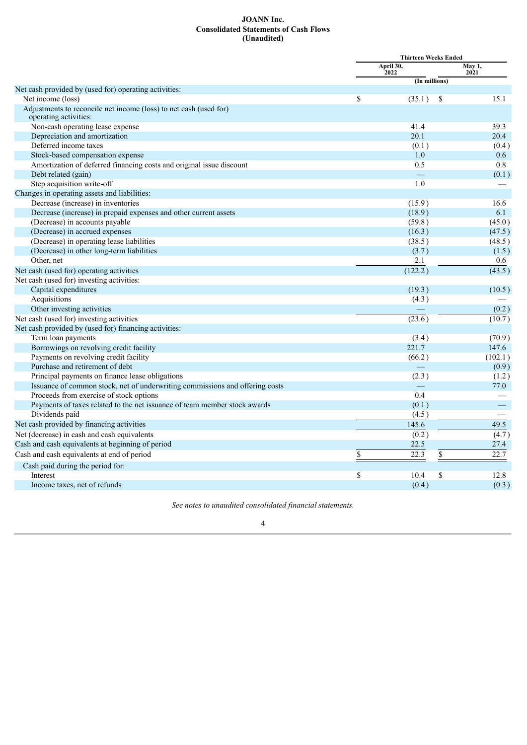### **JOANN Inc. Consolidated Statements of Cash Flows (Unaudited)**

<span id="page-5-0"></span>

|                                                                                            | <b>Thirteen Weeks Ended</b> |                 |                |  |  |
|--------------------------------------------------------------------------------------------|-----------------------------|-----------------|----------------|--|--|
|                                                                                            | April 30,<br>2022           |                 | May 1,<br>2021 |  |  |
|                                                                                            | (In millions)               |                 |                |  |  |
| Net cash provided by (used for) operating activities:                                      |                             |                 |                |  |  |
| Net income (loss)                                                                          | \$<br>(35.1)                | \$              | 15.1           |  |  |
| Adjustments to reconcile net income (loss) to net cash (used for)<br>operating activities: |                             |                 |                |  |  |
| Non-cash operating lease expense                                                           | 41.4                        |                 | 39.3           |  |  |
| Depreciation and amortization                                                              | 20.1                        |                 | 20.4           |  |  |
| Deferred income taxes                                                                      | (0.1)                       |                 | (0.4)          |  |  |
| Stock-based compensation expense                                                           | 1.0                         |                 | 0.6            |  |  |
| Amortization of deferred financing costs and original issue discount                       | 0.5                         |                 | 0.8            |  |  |
| Debt related (gain)                                                                        | $\equiv$                    |                 | (0.1)          |  |  |
| Step acquisition write-off                                                                 | 1.0                         |                 |                |  |  |
| Changes in operating assets and liabilities:                                               |                             |                 |                |  |  |
| Decrease (increase) in inventories                                                         | (15.9)                      |                 | 16.6           |  |  |
| Decrease (increase) in prepaid expenses and other current assets                           | (18.9)                      |                 | 6.1            |  |  |
| (Decrease) in accounts payable                                                             | (59.8)                      |                 | (45.0)         |  |  |
| (Decrease) in accrued expenses                                                             | (16.3)                      |                 | (47.5)         |  |  |
| (Decrease) in operating lease liabilities                                                  | (38.5)                      |                 | (48.5)         |  |  |
| (Decrease) in other long-term liabilities                                                  | (3.7)                       |                 | (1.5)          |  |  |
| Other, net                                                                                 | 2.1                         |                 | 0.6            |  |  |
| Net cash (used for) operating activities                                                   | (122.2)                     |                 | (43.5)         |  |  |
| Net cash (used for) investing activities:                                                  |                             |                 |                |  |  |
| Capital expenditures                                                                       | (19.3)                      |                 | (10.5)         |  |  |
| Acquisitions                                                                               | (4.3)                       |                 |                |  |  |
| Other investing activities                                                                 |                             |                 | (0.2)          |  |  |
| Net cash (used for) investing activities                                                   | (23.6)                      |                 | (10.7)         |  |  |
| Net cash provided by (used for) financing activities:                                      |                             |                 |                |  |  |
| Term loan payments                                                                         | (3.4)                       |                 | (70.9)         |  |  |
| Borrowings on revolving credit facility                                                    | 221.7                       |                 | 147.6          |  |  |
| Payments on revolving credit facility                                                      | (66.2)                      |                 | (102.1)        |  |  |
| Purchase and retirement of debt                                                            | $\equiv$                    |                 |                |  |  |
| Principal payments on finance lease obligations                                            |                             |                 | (0.9)          |  |  |
| Issuance of common stock, net of underwriting commissions and offering costs               | (2.3)                       |                 | (1.2)          |  |  |
|                                                                                            | 0.4                         |                 | 77.0           |  |  |
| Proceeds from exercise of stock options                                                    |                             |                 |                |  |  |
| Payments of taxes related to the net issuance of team member stock awards                  | (0.1)                       |                 |                |  |  |
| Dividends paid<br>Net cash provided by financing activities                                | (4.5)                       |                 | 49.5           |  |  |
|                                                                                            | 145.6                       |                 |                |  |  |
| Net (decrease) in cash and cash equivalents                                                | (0.2)                       |                 | (4.7)          |  |  |
| Cash and cash equivalents at beginning of period                                           | 22.5                        |                 | 27.4           |  |  |
| Cash and cash equivalents at end of period                                                 | \$<br>22.3                  | $\overline{\$}$ | 22.7           |  |  |
| Cash paid during the period for:                                                           |                             |                 |                |  |  |
| Interest                                                                                   | \$<br>10.4                  | \$              | 12.8           |  |  |
| Income taxes, net of refunds                                                               | (0.4)                       |                 | (0.3)          |  |  |

*See notes to unaudited consolidated financial statements.*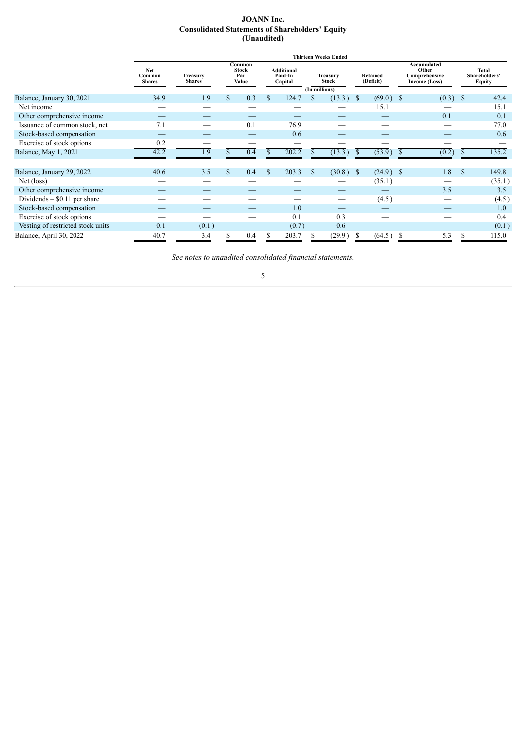### **JOANN Inc. Consolidated Statements of Shareholders' Equity (Unaudited)**

<span id="page-6-0"></span>

|                                   |                                       |                                  |              |                                        |              |                                         |     | <b>Thirteen Weeks Ended</b>               |                       |              |                                                               |          |                                                |
|-----------------------------------|---------------------------------------|----------------------------------|--------------|----------------------------------------|--------------|-----------------------------------------|-----|-------------------------------------------|-----------------------|--------------|---------------------------------------------------------------|----------|------------------------------------------------|
|                                   | <b>Net</b><br>Common<br><b>Shares</b> | <b>Treasury</b><br><b>Shares</b> |              | Common<br><b>Stock</b><br>Par<br>Value |              | <b>Additional</b><br>Paid-In<br>Capital |     | Treasury<br><b>Stock</b><br>(In millions) | Retained<br>(Deficit) |              | <b>Accumulated</b><br>Other<br>Comprehensive<br>Income (Loss) |          | <b>Total</b><br>Shareholders'<br><b>Equity</b> |
| Balance, January 30, 2021         | 34.9                                  | 1.9                              | $\mathbb{S}$ | 0.3                                    | \$.          | 124.7                                   | S   | $(13.3)$ \$                               | $(69.0)$ \$           |              | $(0.3)$ \$                                                    |          | 42.4                                           |
| Net income                        |                                       |                                  |              |                                        |              |                                         |     |                                           | 15.1                  |              |                                                               |          | 15.1                                           |
| Other comprehensive income        |                                       |                                  |              |                                        |              |                                         |     |                                           |                       |              | 0.1                                                           |          | 0.1                                            |
| Issuance of common stock, net     | 7.1                                   |                                  |              | 0.1                                    |              | 76.9                                    |     |                                           |                       |              |                                                               |          | 77.0                                           |
| Stock-based compensation          |                                       |                                  |              |                                        |              | 0.6                                     |     |                                           |                       |              |                                                               |          | 0.6                                            |
| Exercise of stock options         | 0.2                                   |                                  |              |                                        |              |                                         |     |                                           |                       |              |                                                               |          |                                                |
| Balance, May 1, 2021              | 42.2                                  | 1.9                              |              | 0.4                                    |              | 202.2                                   |     | (13.3)                                    | (53.9)                | <sup>S</sup> | (0.2)                                                         |          | 135.2                                          |
| Balance, January 29, 2022         | 40.6                                  | 3.5                              | $\mathbb{S}$ | 0.4                                    | $\mathbf{s}$ | 203.3                                   | \$. | $(30.8)$ \$                               | $(24.9)$ \$           |              | 1.8                                                           | <b>S</b> | 149.8                                          |
| Net (loss)                        |                                       |                                  |              |                                        |              |                                         |     |                                           | (35.1)                |              |                                                               |          | (35.1)                                         |
| Other comprehensive income        |                                       |                                  |              |                                        |              |                                         |     |                                           |                       |              | 3.5                                                           |          | 3.5                                            |
| Dividends $-$ \$0.11 per share    |                                       |                                  |              |                                        |              |                                         |     |                                           | (4.5)                 |              |                                                               |          | (4.5)                                          |
| Stock-based compensation          |                                       |                                  |              |                                        |              | 1.0                                     |     |                                           |                       |              |                                                               |          | 1.0                                            |
| Exercise of stock options         |                                       |                                  |              |                                        |              | 0.1                                     |     | 0.3                                       |                       |              |                                                               |          | 0.4                                            |
| Vesting of restricted stock units | 0.1                                   | (0.1)                            |              |                                        |              | (0.7)                                   |     | 0.6                                       |                       |              |                                                               |          | (0.1)                                          |
| Balance, April 30, 2022           | 40.7                                  | 3.4                              |              | 0.4                                    |              | 203.7                                   |     | (29.9)                                    | (64.5)                |              | 5.3                                                           |          | 115.0                                          |

*See notes to unaudited consolidated financial statements.*

5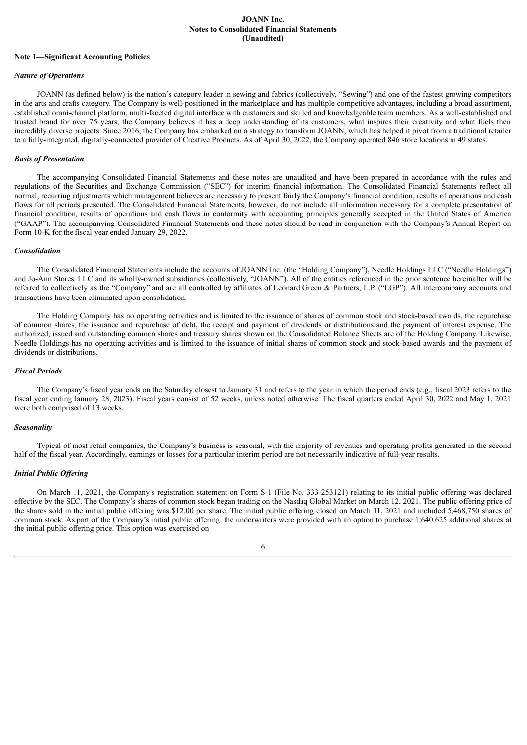#### **JOANN Inc. Notes to Consolidated Financial Statements (Unaudited)**

#### <span id="page-7-0"></span>**Note 1—Significant Accounting Policies**

#### *Nature of Operations*

JOANN (as defined below) is the nation's category leader in sewing and fabrics (collectively, "Sewing") and one of the fastest growing competitors in the arts and crafts category. The Company is well-positioned in the marketplace and has multiple competitive advantages, including a broad assortment, established omni-channel platform, multi-faceted digital interface with customers and skilled and knowledgeable team members. As a well-established and trusted brand for over 75 years, the Company believes it has a deep understanding of its customers, what inspires their creativity and what fuels their incredibly diverse projects. Since 2016, the Company has embarked on a strategy to transform JOANN, which has helped it pivot from a traditional retailer to a fully-integrated, digitally-connected provider of Creative Products. As of April 30, 2022, the Company operated 846 store locations in 49 states.

#### *Basis of Presentation*

The accompanying Consolidated Financial Statements and these notes are unaudited and have been prepared in accordance with the rules and regulations of the Securities and Exchange Commission ("SEC") for interim financial information. The Consolidated Financial Statements reflect all normal, recurring adjustments which management believes are necessary to present fairly the Company's financial condition, results of operations and cash flows for all periods presented. The Consolidated Financial Statements, however, do not include all information necessary for a complete presentation of financial condition, results of operations and cash flows in conformity with accounting principles generally accepted in the United States of America ("GAAP"). The accompanying Consolidated Financial Statements and these notes should be read in conjunction with the Company's Annual Report on Form 10-K for the fiscal year ended January 29, 2022.

### *Consolidation*

The Consolidated Financial Statements include the accounts of JOANN Inc. (the "Holding Company"), Needle Holdings LLC ("Needle Holdings") and Jo-Ann Stores, LLC and its wholly-owned subsidiaries (collectively, "JOANN"). All of the entities referenced in the prior sentence hereinafter will be referred to collectively as the "Company" and are all controlled by affiliates of Leonard Green & Partners, L.P. ("LGP"). All intercompany accounts and transactions have been eliminated upon consolidation.

The Holding Company has no operating activities and is limited to the issuance of shares of common stock and stock-based awards, the repurchase of common shares, the issuance and repurchase of debt, the receipt and payment of dividends or distributions and the payment of interest expense. The authorized, issued and outstanding common shares and treasury shares shown on the Consolidated Balance Sheets are of the Holding Company. Likewise, Needle Holdings has no operating activities and is limited to the issuance of initial shares of common stock and stock-based awards and the payment of dividends or distributions.

#### *Fiscal Periods*

The Company's fiscal year ends on the Saturday closest to January 31 and refers to the year in which the period ends (e.g., fiscal 2023 refers to the fiscal year ending January 28, 2023). Fiscal years consist of 52 weeks, unless noted otherwise. The fiscal quarters ended April 30, 2022 and May 1, 2021 were both comprised of 13 weeks.

#### *Seasonality*

Typical of most retail companies, the Company's business is seasonal, with the majority of revenues and operating profits generated in the second half of the fiscal year. Accordingly, earnings or losses for a particular interim period are not necessarily indicative of full-year results.

#### *Initial Public Of ering*

On March 11, 2021, the Company's registration statement on Form S-1 (File No. 333-253121) relating to its initial public offering was declared effective by the SEC. The Company's shares of common stock began trading on the Nasdaq Global Market on March 12, 2021. The public offering price of the shares sold in the initial public offering was \$12.00 per share. The initial public offering closed on March 11, 2021 and included 5,468,750 shares of common stock. As part of the Company's initial public offering, the underwriters were provided with an option to purchase 1,640,625 additional shares at the initial public offering price. This option was exercised on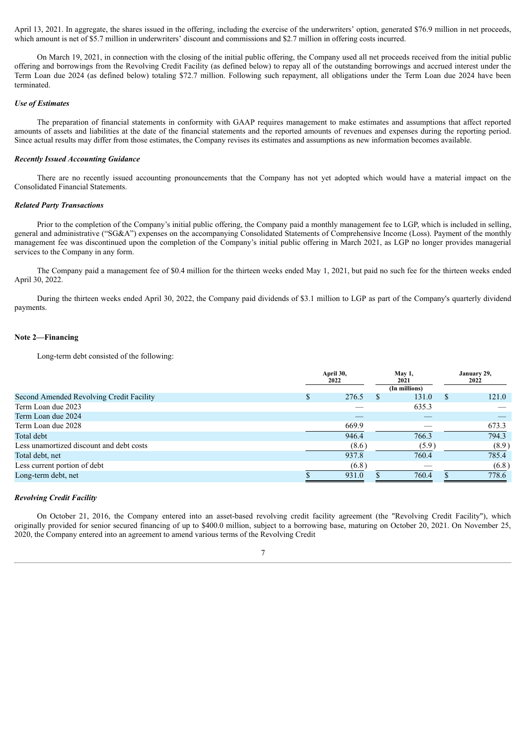April 13, 2021. In aggregate, the shares issued in the offering, including the exercise of the underwriters' option, generated \$76.9 million in net proceeds, which amount is net of \$5.7 million in underwriters' discount and commissions and \$2.7 million in offering costs incurred.

On March 19, 2021, in connection with the closing of the initial public offering, the Company used all net proceeds received from the initial public offering and borrowings from the Revolving Credit Facility (as defined below) to repay all of the outstanding borrowings and accrued interest under the Term Loan due 2024 (as defined below) totaling \$72.7 million. Following such repayment, all obligations under the Term Loan due 2024 have been terminated.

#### *Use of Estimates*

The preparation of financial statements in conformity with GAAP requires management to make estimates and assumptions that affect reported amounts of assets and liabilities at the date of the financial statements and the reported amounts of revenues and expenses during the reporting period. Since actual results may differ from those estimates, the Company revises its estimates and assumptions as new information becomes available.

#### *Recently Issued Accounting Guidance*

There are no recently issued accounting pronouncements that the Company has not yet adopted which would have a material impact on the Consolidated Financial Statements.

#### *Related Party Transactions*

Prior to the completion of the Company's initial public offering, the Company paid a monthly management fee to LGP, which is included in selling, general and administrative ("SG&A") expenses on the accompanying Consolidated Statements of Comprehensive Income (Loss). Payment of the monthly management fee was discontinued upon the completion of the Company's initial public offering in March 2021, as LGP no longer provides managerial services to the Company in any form.

The Company paid a management fee of \$0.4 million for the thirteen weeks ended May 1, 2021, but paid no such fee for the thirteen weeks ended April 30, 2022.

During the thirteen weeks ended April 30, 2022, the Company paid dividends of \$3.1 million to LGP as part of the Company's quarterly dividend payments.

#### **Note 2—Financing**

Long-term debt consisted of the following:

|                                          | April 30,<br>2022 |       | May 1.<br>2021 |               |   | January 29,<br>2022 |
|------------------------------------------|-------------------|-------|----------------|---------------|---|---------------------|
|                                          |                   |       |                | (In millions) |   |                     |
| Second Amended Revolving Credit Facility | S                 | 276.5 |                | 131.0         | Ж | 121.0               |
| Term Loan due 2023                       |                   |       |                | 635.3         |   |                     |
| Term Loan due 2024                       |                   |       |                |               |   |                     |
| Term Loan due 2028                       |                   | 669.9 |                |               |   | 673.3               |
| Total debt                               |                   | 946.4 |                | 766.3         |   | 794.3               |
| Less unamortized discount and debt costs |                   | (8.6) |                | (5.9)         |   | (8.9)               |
| Total debt, net                          |                   | 937.8 |                | 760.4         |   | 785.4               |
| Less current portion of debt             |                   | (6.8) |                |               |   | (6.8)               |
| Long-term debt, net                      |                   | 931.0 |                | 760.4         |   | 778.6               |

### *Revolving Credit Facility*

On October 21, 2016, the Company entered into an asset-based revolving credit facility agreement (the "Revolving Credit Facility"), which originally provided for senior secured financing of up to \$400.0 million, subject to a borrowing base, maturing on October 20, 2021. On November 25, 2020, the Company entered into an agreement to amend various terms of the Revolving Credit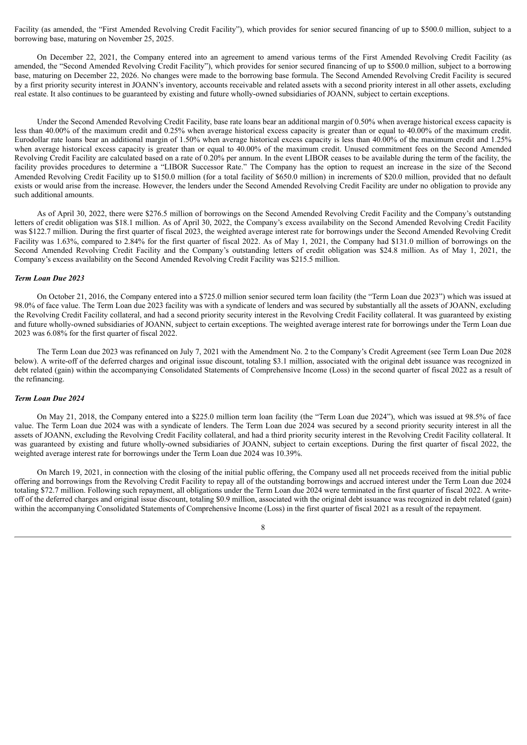Facility (as amended, the "First Amended Revolving Credit Facility"), which provides for senior secured financing of up to \$500.0 million, subject to a borrowing base, maturing on November 25, 2025.

On December 22, 2021, the Company entered into an agreement to amend various terms of the First Amended Revolving Credit Facility (as amended, the "Second Amended Revolving Credit Facility"), which provides for senior secured financing of up to \$500.0 million, subject to a borrowing base, maturing on December 22, 2026. No changes were made to the borrowing base formula. The Second Amended Revolving Credit Facility is secured by a first priority security interest in JOANN's inventory, accounts receivable and related assets with a second priority interest in all other assets, excluding real estate. It also continues to be guaranteed by existing and future wholly-owned subsidiaries of JOANN, subject to certain exceptions.

Under the Second Amended Revolving Credit Facility, base rate loans bear an additional margin of 0.50% when average historical excess capacity is less than 40.00% of the maximum credit and 0.25% when average historical excess capacity is greater than or equal to 40.00% of the maximum credit. Eurodollar rate loans bear an additional margin of 1.50% when average historical excess capacity is less than 40.00% of the maximum credit and 1.25% when average historical excess capacity is greater than or equal to 40.00% of the maximum credit. Unused commitment fees on the Second Amended Revolving Credit Facility are calculated based on a rate of 0.20% per annum. In the event LIBOR ceases to be available during the term of the facility, the facility provides procedures to determine a "LIBOR Successor Rate." The Company has the option to request an increase in the size of the Second Amended Revolving Credit Facility up to \$150.0 million (for a total facility of \$650.0 million) in increments of \$20.0 million, provided that no default exists or would arise from the increase. However, the lenders under the Second Amended Revolving Credit Facility are under no obligation to provide any such additional amounts.

As of April 30, 2022, there were \$276.5 million of borrowings on the Second Amended Revolving Credit Facility and the Company's outstanding letters of credit obligation was \$18.1 million. As of April 30, 2022, the Company's excess availability on the Second Amended Revolving Credit Facility was \$122.7 million. During the first quarter of fiscal 2023, the weighted average interest rate for borrowings under the Second Amended Revolving Credit Facility was 1.63%, compared to 2.84% for the first quarter of fiscal 2022. As of May 1, 2021, the Company had \$131.0 million of borrowings on the Second Amended Revolving Credit Facility and the Company's outstanding letters of credit obligation was \$24.8 million. As of May 1, 2021, the Company's excess availability on the Second Amended Revolving Credit Facility was \$215.5 million.

#### *Term Loan Due 2023*

On October 21, 2016, the Company entered into a \$725.0 million senior secured term loan facility (the "Term Loan due 2023") which was issued at 98.0% of face value. The Term Loan due 2023 facility was with a syndicate of lenders and was secured by substantially all the assets of JOANN, excluding the Revolving Credit Facility collateral, and had a second priority security interest in the Revolving Credit Facility collateral. It was guaranteed by existing and future wholly-owned subsidiaries of JOANN, subject to certain exceptions. The weighted average interest rate for borrowings under the Term Loan due 2023 was 6.08% for the first quarter of fiscal 2022.

The Term Loan due 2023 was refinanced on July 7, 2021 with the Amendment No. 2 to the Company's Credit Agreement (see Term Loan Due 2028 below). A write-off of the deferred charges and original issue discount, totaling \$3.1 million, associated with the original debt issuance was recognized in debt related (gain) within the accompanying Consolidated Statements of Comprehensive Income (Loss) in the second quarter of fiscal 2022 as a result of the refinancing.

#### *Term Loan Due 2024*

On May 21, 2018, the Company entered into a \$225.0 million term loan facility (the "Term Loan due 2024"), which was issued at 98.5% of face value. The Term Loan due 2024 was with a syndicate of lenders. The Term Loan due 2024 was secured by a second priority security interest in all the assets of JOANN, excluding the Revolving Credit Facility collateral, and had a third priority security interest in the Revolving Credit Facility collateral. It was guaranteed by existing and future wholly-owned subsidiaries of JOANN, subject to certain exceptions. During the first quarter of fiscal 2022, the weighted average interest rate for borrowings under the Term Loan due 2024 was 10.39%.

On March 19, 2021, in connection with the closing of the initial public offering, the Company used all net proceeds received from the initial public offering and borrowings from the Revolving Credit Facility to repay all of the outstanding borrowings and accrued interest under the Term Loan due 2024 totaling \$72.7 million. Following such repayment, all obligations under the Term Loan due 2024 were terminated in the first quarter of fiscal 2022. A writeoff of the deferred charges and original issue discount, totaling \$0.9 million, associated with the original debt issuance was recognized in debt related (gain) within the accompanying Consolidated Statements of Comprehensive Income (Loss) in the first quarter of fiscal 2021 as a result of the repayment.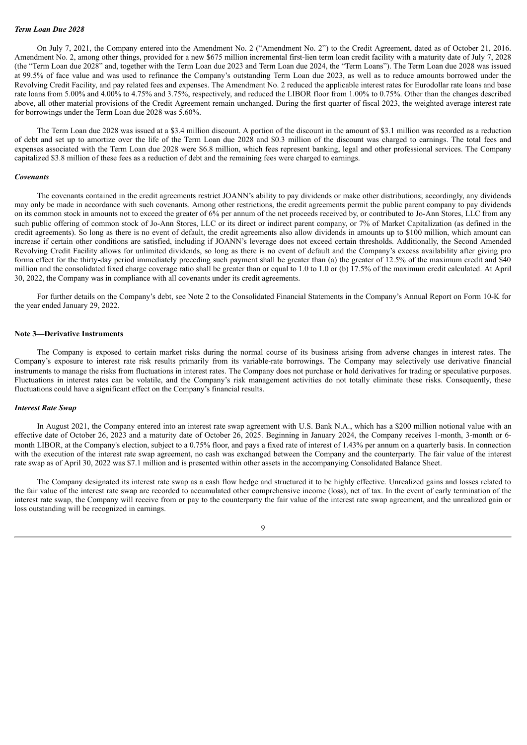#### *Term Loan Due 2028*

On July 7, 2021, the Company entered into the Amendment No. 2 ("Amendment No. 2") to the Credit Agreement, dated as of October 21, 2016. Amendment No. 2, among other things, provided for a new \$675 million incremental first-lien term loan credit facility with a maturity date of July 7, 2028 (the "Term Loan due 2028" and, together with the Term Loan due 2023 and Term Loan due 2024, the "Term Loans"). The Term Loan due 2028 was issued at 99.5% of face value and was used to refinance the Company's outstanding Term Loan due 2023, as well as to reduce amounts borrowed under the Revolving Credit Facility, and pay related fees and expenses. The Amendment No. 2 reduced the applicable interest rates for Eurodollar rate loans and base rate loans from 5.00% and 4.00% to 4.75% and 3.75%, respectively, and reduced the LIBOR floor from 1.00% to 0.75%. Other than the changes described above, all other material provisions of the Credit Agreement remain unchanged. During the first quarter of fiscal 2023, the weighted average interest rate for borrowings under the Term Loan due 2028 was 5.60%.

The Term Loan due 2028 was issued at a \$3.4 million discount. A portion of the discount in the amount of \$3.1 million was recorded as a reduction of debt and set up to amortize over the life of the Term Loan due 2028 and \$0.3 million of the discount was charged to earnings. The total fees and expenses associated with the Term Loan due 2028 were \$6.8 million, which fees represent banking, legal and other professional services. The Company capitalized \$3.8 million of these fees as a reduction of debt and the remaining fees were charged to earnings.

#### *Covenants*

The covenants contained in the credit agreements restrict JOANN's ability to pay dividends or make other distributions; accordingly, any dividends may only be made in accordance with such covenants. Among other restrictions, the credit agreements permit the public parent company to pay dividends on its common stock in amounts not to exceed the greater of 6% per annum of the net proceeds received by, or contributed to Jo-Ann Stores, LLC from any such public offering of common stock of Jo-Ann Stores, LLC or its direct or indirect parent company, or 7% of Market Capitalization (as defined in the credit agreements). So long as there is no event of default, the credit agreements also allow dividends in amounts up to \$100 million, which amount can increase if certain other conditions are satisfied, including if JOANN's leverage does not exceed certain thresholds. Additionally, the Second Amended Revolving Credit Facility allows for unlimited dividends, so long as there is no event of default and the Company's excess availability after giving pro forma effect for the thirty-day period immediately preceding such payment shall be greater than (a) the greater of 12.5% of the maximum credit and \$40 million and the consolidated fixed charge coverage ratio shall be greater than or equal to 1.0 to 1.0 or (b) 17.5% of the maximum credit calculated. At April 30, 2022, the Company was in compliance with all covenants under its credit agreements.

For further details on the Company's debt, see Note 2 to the Consolidated Financial Statements in the Company's Annual Report on Form 10-K for the year ended January 29, 2022.

#### **Note 3—Derivative Instruments**

The Company is exposed to certain market risks during the normal course of its business arising from adverse changes in interest rates. The Company's exposure to interest rate risk results primarily from its variable-rate borrowings. The Company may selectively use derivative financial instruments to manage the risks from fluctuations in interest rates. The Company does not purchase or hold derivatives for trading or speculative purposes. Fluctuations in interest rates can be volatile, and the Company's risk management activities do not totally eliminate these risks. Consequently, these fluctuations could have a significant effect on the Company's financial results.

#### *Interest Rate Swap*

In August 2021, the Company entered into an interest rate swap agreement with U.S. Bank N.A., which has a \$200 million notional value with an effective date of October 26, 2023 and a maturity date of October 26, 2025. Beginning in January 2024, the Company receives 1-month, 3-month or 6 month LIBOR, at the Company's election, subject to a 0.75% floor, and pays a fixed rate of interest of 1.43% per annum on a quarterly basis. In connection with the execution of the interest rate swap agreement, no cash was exchanged between the Company and the counterparty. The fair value of the interest rate swap as of April 30, 2022 was \$7.1 million and is presented within other assets in the accompanying Consolidated Balance Sheet.

The Company designated its interest rate swap as a cash flow hedge and structured it to be highly effective. Unrealized gains and losses related to the fair value of the interest rate swap are recorded to accumulated other comprehensive income (loss), net of tax. In the event of early termination of the interest rate swap, the Company will receive from or pay to the counterparty the fair value of the interest rate swap agreement, and the unrealized gain or loss outstanding will be recognized in earnings.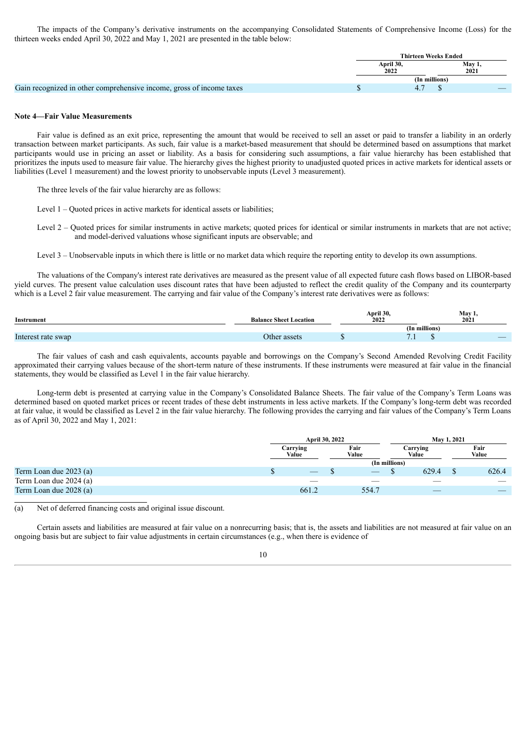The impacts of the Company's derivative instruments on the accompanying Consolidated Statements of Comprehensive Income (Loss) for the thirteen weeks ended April 30, 2022 and May 1, 2021 are presented in the table below:

|                                                                      |                   | <b>Thirteen Weeks Ended</b> |  |                       |  |  |
|----------------------------------------------------------------------|-------------------|-----------------------------|--|-----------------------|--|--|
|                                                                      | April 30,<br>2022 |                             |  | May 1.<br><b>2021</b> |  |  |
|                                                                      |                   | (In millions)               |  |                       |  |  |
| Gain recognized in other comprehensive income, gross of income taxes |                   |                             |  |                       |  |  |

#### **Note 4—Fair Value Measurements**

Fair value is defined as an exit price, representing the amount that would be received to sell an asset or paid to transfer a liability in an orderly transaction between market participants. As such, fair value is a market-based measurement that should be determined based on assumptions that market participants would use in pricing an asset or liability. As a basis for considering such assumptions, a fair value hierarchy has been established that prioritizes the inputs used to measure fair value. The hierarchy gives the highest priority to unadjusted quoted prices in active markets for identical assets or liabilities (Level 1 measurement) and the lowest priority to unobservable inputs (Level 3 measurement).

The three levels of the fair value hierarchy are as follows:

Level 1 – Quoted prices in active markets for identical assets or liabilities;

Level 2 – Quoted prices for similar instruments in active markets; quoted prices for identical or similar instruments in markets that are not active; and model-derived valuations whose significant inputs are observable; and

Level 3 – Unobservable inputs in which there is little or no market data which require the reporting entity to develop its own assumptions.

The valuations of the Company's interest rate derivatives are measured as the present value of all expected future cash flows based on LIBOR-based yield curves. The present value calculation uses discount rates that have been adjusted to reflect the credit quality of the Company and its counterparty which is a Level 2 fair value measurement. The carrying and fair value of the Company's interest rate derivatives were as follows:

| Instrument         | <b>Balance Sheet Location</b> | April 30,<br>2022 |               | May 1<br>2021 |
|--------------------|-------------------------------|-------------------|---------------|---------------|
|                    |                               |                   | (In millions) |               |
| Interest rate swap | Other assets                  | $\cdots$          |               | $-$           |

The fair values of cash and cash equivalents, accounts payable and borrowings on the Company's Second Amended Revolving Credit Facility approximated their carrying values because of the short-term nature of these instruments. If these instruments were measured at fair value in the financial statements, they would be classified as Level 1 in the fair value hierarchy.

Long-term debt is presented at carrying value in the Company's Consolidated Balance Sheets. The fair value of the Company's Term Loans was determined based on quoted market prices or recent trades of these debt instruments in less active markets. If the Company's long-term debt was recorded at fair value, it would be classified as Level 2 in the fair value hierarchy. The following provides the carrying and fair values of the Company's Term Loans as of April 30, 2022 and May 1, 2021:

|                          |                          | April 30, 2022                  |  | <b>May 1, 2021</b>       |                   |  |                               |
|--------------------------|--------------------------|---------------------------------|--|--------------------------|-------------------|--|-------------------------------|
|                          | Carrying<br><b>Value</b> |                                 |  | Fair<br>Value            | Carrving<br>Value |  | Fair<br>Value                 |
|                          |                          |                                 |  | (In millions)            |                   |  |                               |
| Term Loan due $2023$ (a) |                          | $\hspace{0.1mm}-\hspace{0.1mm}$ |  | $\qquad \qquad - \qquad$ | 629.4             |  | 626.4                         |
| Term Loan due 2024 (a)   |                          |                                 |  | $\overline{\phantom{a}}$ | __                |  | $\overbrace{\phantom{12333}}$ |
| Term Loan due 2028 (a)   |                          | 661.2                           |  | 554.7                    |                   |  |                               |

(a) Net of deferred financing costs and original issue discount.

Certain assets and liabilities are measured at fair value on a nonrecurring basis; that is, the assets and liabilities are not measured at fair value on an ongoing basis but are subject to fair value adjustments in certain circumstances  $(e.g.,$  when there is evidence of

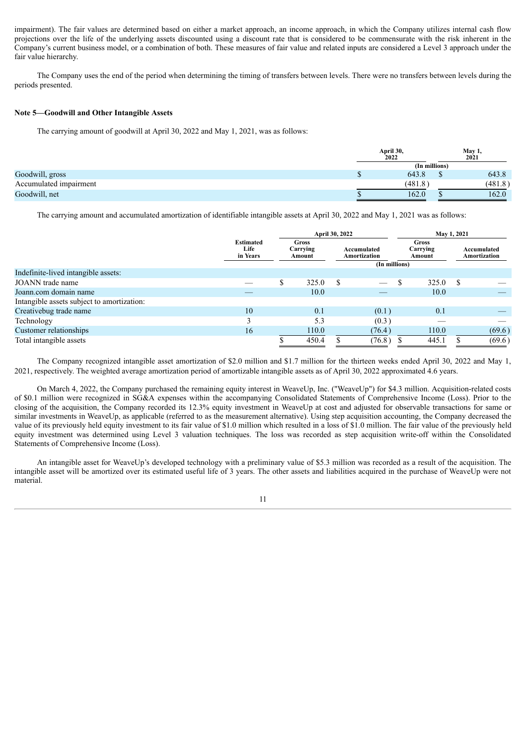impairment). The fair values are determined based on either a market approach, an income approach, in which the Company utilizes internal cash flow projections over the life of the underlying assets discounted using a discount rate that is considered to be commensurate with the risk inherent in the Company's current business model, or a combination of both. These measures of fair value and related inputs are considered a Level 3 approach under the fair value hierarchy.

The Company uses the end of the period when determining the timing of transfers between levels. There were no transfers between levels during the periods presented.

#### **Note 5—Goodwill and Other Intangible Assets**

The carrying amount of goodwill at April 30, 2022 and May 1, 2021, was as follows:

|                        | April 30,<br>2022 | May 1,<br>2021 |         |
|------------------------|-------------------|----------------|---------|
|                        |                   | (In millions)  |         |
| Goodwill, gross        | 643.8             |                | 643.8   |
| Accumulated impairment | (481.8)           |                | (481.8) |
| Goodwill, net          | 162.0             |                | 162.0   |

The carrying amount and accumulated amortization of identifiable intangible assets at April 30, 2022 and May 1, 2021 was as follows:

|                                            |                                      | April 30, 2022 |                                    |     | May 1, 2021                                         |  |                                    |    |                             |
|--------------------------------------------|--------------------------------------|----------------|------------------------------------|-----|-----------------------------------------------------|--|------------------------------------|----|-----------------------------|
|                                            | <b>Estimated</b><br>Life<br>in Years |                | <b>Gross</b><br>Carrying<br>Amount |     | Accumulated<br><b>Amortization</b><br>(In millions) |  | <b>Gross</b><br>Carrying<br>Amount |    | Accumulated<br>Amortization |
| Indefinite-lived intangible assets:        |                                      |                |                                    |     |                                                     |  |                                    |    |                             |
| JOANN trade name                           |                                      | \$             | 325.0                              | \$. |                                                     |  | 325.0                              | -S |                             |
| Joann.com domain name                      |                                      |                | 10.0                               |     |                                                     |  | 10.0                               |    |                             |
| Intangible assets subject to amortization: |                                      |                |                                    |     |                                                     |  |                                    |    |                             |
| Creativebug trade name                     | 10                                   |                | 0.1                                |     | (0.1)                                               |  | 0.1                                |    |                             |
| Technology                                 |                                      |                | 5.3                                |     | (0.3)                                               |  |                                    |    |                             |
| Customer relationships                     | 16                                   |                | 110.0                              |     | (76.4)                                              |  | 110.0                              |    | (69.6)                      |
| Total intangible assets                    |                                      |                | 450.4                              |     | (76.8)                                              |  | 445.1                              |    | (69.6)                      |

The Company recognized intangible asset amortization of \$2.0 million and \$1.7 million for the thirteen weeks ended April 30, 2022 and May 1, 2021, respectively. The weighted average amortization period of amortizable intangible assets as of April 30, 2022 approximated 4.6 years.

On March 4, 2022, the Company purchased the remaining equity interest in WeaveUp, Inc. ("WeaveUp") for \$4.3 million. Acquisition-related costs of \$0.1 million were recognized in SG&A expenses within the accompanying Consolidated Statements of Comprehensive Income (Loss). Prior to the closing of the acquisition, the Company recorded its 12.3% equity investment in WeaveUp at cost and adjusted for observable transactions for same or similar investments in WeaveUp, as applicable (referred to as the measurement alternative). Using step acquisition accounting, the Company decreased the value of its previously held equity investment to its fair value of \$1.0 million which resulted in a loss of \$1.0 million. The fair value of the previously held equity investment was determined using Level 3 valuation techniques. The loss was recorded as step acquisition write-off within the Consolidated Statements of Comprehensive Income (Loss).

An intangible asset for WeaveUp's developed technology with a preliminary value of \$5.3 million was recorded as a result of the acquisition. The intangible asset will be amortized over its estimated useful life of 3 years. The other assets and liabilities acquired in the purchase of WeaveUp were not material.

11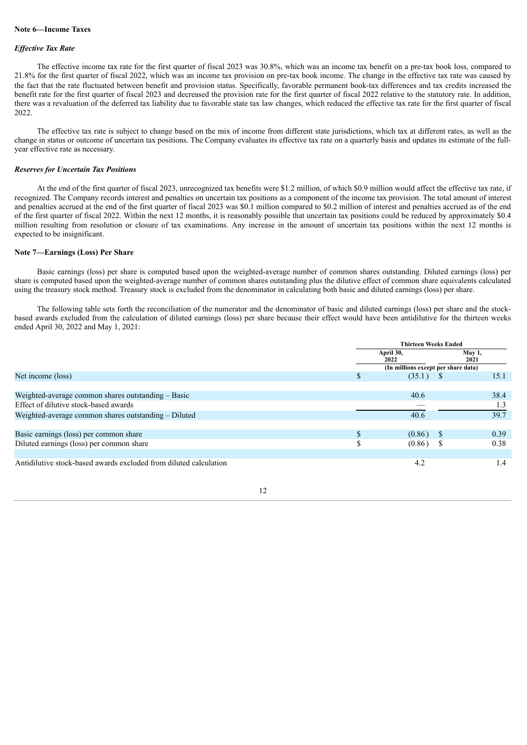#### **Note 6—Income Taxes**

#### *Ef ective Tax Rate*

The effective income tax rate for the first quarter of fiscal 2023 was 30.8%, which was an income tax benefit on a pre-tax book loss, compared to 21.8% for the first quarter of fiscal 2022, which was an income tax provision on pre-tax book income. The change in the effective tax rate was caused by the fact that the rate fluctuated between benefit and provision status. Specifically, favorable permanent book-tax differences and tax credits increased the benefit rate for the first quarter of fiscal 2023 and decreased the provision rate for the first quarter of fiscal 2022 relative to the statutory rate. In addition, there was a revaluation of the deferred tax liability due to favorable state tax law changes, which reduced the effective tax rate for the first quarter of fiscal 2022.

The effective tax rate is subject to change based on the mix of income from different state jurisdictions, which tax at different rates, as well as the change in status or outcome of uncertain tax positions. The Company evaluates its effective tax rate on a quarterly basis and updates its estimate of the fullyear effective rate as necessary.

#### *Reserves for Uncertain Tax Positions*

At the end of the first quarter of fiscal 2023, unrecognized tax benefits were \$1.2 million, of which \$0.9 million would affect the effective tax rate, if recognized. The Company records interest and penalties on uncertain tax positions as a component of the income tax provision. The total amount of interest and penalties accrued at the end of the first quarter of fiscal 2023 was \$0.1 million compared to \$0.2 million of interest and penalties accrued as of the end of the first quarter of fiscal 2022. Within the next 12 months, it is reasonably possible that uncertain tax positions could be reduced by approximately \$0.4 million resulting from resolution or closure of tax examinations. Any increase in the amount of uncertain tax positions within the next 12 months is expected to be insignificant.

#### **Note 7—Earnings (Loss) Per Share**

Basic earnings (loss) per share is computed based upon the weighted-average number of common shares outstanding. Diluted earnings (loss) per share is computed based upon the weighted-average number of common shares outstanding plus the dilutive effect of common share equivalents calculated using the treasury stock method. Treasury stock is excluded from the denominator in calculating both basic and diluted earnings (loss) per share.

The following table sets forth the reconciliation of the numerator and the denominator of basic and diluted earnings (loss) per share and the stockbased awards excluded from the calculation of diluted earnings (loss) per share because their effect would have been antidilutive for the thirteen weeks ended April 30, 2022 and May 1, 2021:

|                                                                   |          | <b>Thirteen Weeks Ended</b>         |              |        |
|-------------------------------------------------------------------|----------|-------------------------------------|--------------|--------|
|                                                                   |          | April 30,<br>2022<br>2021           |              | May 1, |
|                                                                   |          | (In millions except per share data) |              |        |
| Net income (loss)                                                 | Φ        | $(35.1)$ \$                         |              | 15.1   |
|                                                                   |          |                                     |              |        |
| Weighted-average common shares outstanding - Basic                |          | 40.6                                |              | 38.4   |
| Effect of dilutive stock-based awards                             |          |                                     |              | 1.3    |
| Weighted-average common shares outstanding - Diluted              |          | 40.6                                |              | 39.7   |
|                                                                   |          |                                     |              |        |
| Basic earnings (loss) per common share                            | .Ъ       | (0.86)                              | S            | 0.39   |
| Diluted earnings (loss) per common share                          | ¢<br>.ъ. | (0.86)                              | <sup>8</sup> | 0.38   |
|                                                                   |          |                                     |              |        |
| Antidilutive stock-based awards excluded from diluted calculation |          | 4.2                                 |              | 1.4    |

12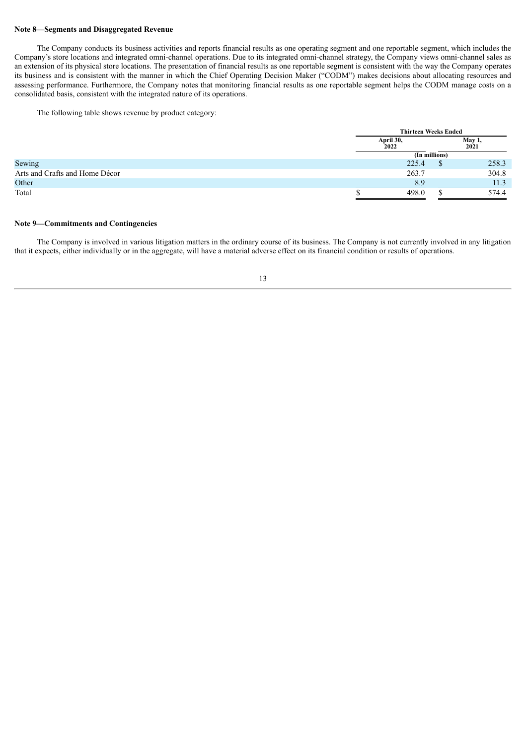### **Note 8—Segments and Disaggregated Revenue**

The Company conducts its business activities and reports financial results as one operating segment and one reportable segment, which includes the Company's store locations and integrated omni-channel operations. Due to its integrated omni-channel strategy, the Company views omni-channel sales as an extension of its physical store locations. The presentation of financial results as one reportable segment is consistent with the way the Company operates its business and is consistent with the manner in which the Chief Operating Decision Maker ("CODM") makes decisions about allocating resources and assessing performance. Furthermore, the Company notes that monitoring financial results as one reportable segment helps the CODM manage costs on a consolidated basis, consistent with the integrated nature of its operations.

The following table shows revenue by product category:

|                                | <b>Thirteen Weeks Ended</b> |       |  |                |  |
|--------------------------------|-----------------------------|-------|--|----------------|--|
|                                | April 30,<br>2022           |       |  | May 1.<br>2021 |  |
|                                | (In millions)               |       |  |                |  |
| Sewing                         |                             | 225.4 |  | 258.3          |  |
| Arts and Crafts and Home Décor |                             | 263.7 |  | 304.8          |  |
| Other                          |                             | 8.9   |  | 11.3           |  |
| Total                          |                             | 498.0 |  | 574.4          |  |

#### **Note 9—Commitments and Contingencies**

The Company is involved in various litigation matters in the ordinary course of its business. The Company is not currently involved in any litigation that it expects, either individually or in the aggregate, will have a material adverse effect on its financial condition or results of operations.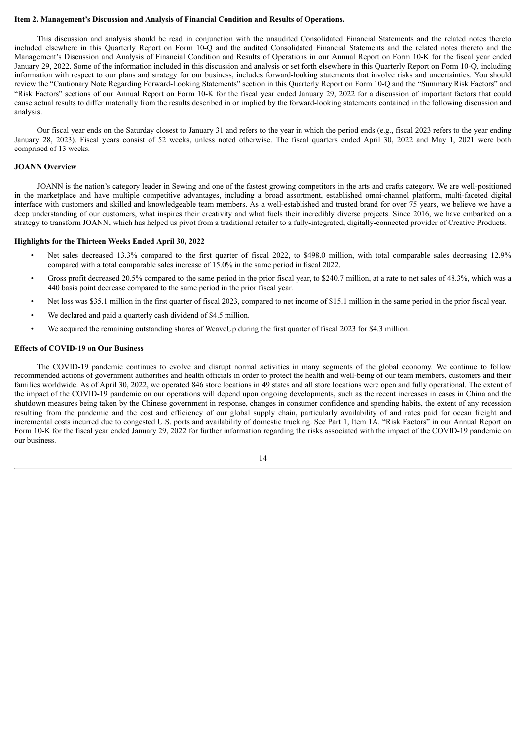#### <span id="page-15-0"></span>**Item 2. Management's Discussion and Analysis of Financial Condition and Results of Operations.**

This discussion and analysis should be read in conjunction with the unaudited Consolidated Financial Statements and the related notes thereto included elsewhere in this Quarterly Report on Form 10-Q and the audited Consolidated Financial Statements and the related notes thereto and the Management's Discussion and Analysis of Financial Condition and Results of Operations in our Annual Report on Form 10-K for the fiscal year ended January 29, 2022. Some of the information included in this discussion and analysis or set forth elsewhere in this Quarterly Report on Form 10-Q, including information with respect to our plans and strategy for our business, includes forward-looking statements that involve risks and uncertainties. You should review the "Cautionary Note Regarding Forward-Looking Statements" section in this Quarterly Report on Form 10-Q and the "Summary Risk Factors" and "Risk Factors" sections of our Annual Report on Form 10-K for the fiscal year ended January 29, 2022 for a discussion of important factors that could cause actual results to differ materially from the results described in or implied by the forward-looking statements contained in the following discussion and analysis.

Our fiscal year ends on the Saturday closest to January 31 and refers to the year in which the period ends (e.g., fiscal 2023 refers to the year ending January 28, 2023). Fiscal years consist of 52 weeks, unless noted otherwise. The fiscal quarters ended April 30, 2022 and May 1, 2021 were both comprised of 13 weeks.

### **JOANN Overview**

JOANN is the nation's category leader in Sewing and one of the fastest growing competitors in the arts and crafts category. We are well-positioned in the marketplace and have multiple competitive advantages, including a broad assortment, established omni-channel platform, multi-faceted digital interface with customers and skilled and knowledgeable team members. As a well-established and trusted brand for over 75 years, we believe we have a deep understanding of our customers, what inspires their creativity and what fuels their incredibly diverse projects. Since 2016, we have embarked on a strategy to transform JOANN, which has helped us pivot from a traditional retailer to a fully-integrated, digitally-connected provider of Creative Products.

#### **Highlights for the Thirteen Weeks Ended April 30, 2022**

- Net sales decreased 13.3% compared to the first quarter of fiscal 2022, to \$498.0 million, with total comparable sales decreasing 12.9% compared with a total comparable sales increase of 15.0% in the same period in fiscal 2022.
- Gross profit decreased 20.5% compared to the same period in the prior fiscal year, to \$240.7 million, at a rate to net sales of 48.3%, which was a 440 basis point decrease compared to the same period in the prior fiscal year.
- Net loss was \$35.1 million in the first quarter of fiscal 2023, compared to net income of \$15.1 million in the same period in the prior fiscal year.
- We declared and paid a quarterly cash dividend of \$4.5 million.
- We acquired the remaining outstanding shares of WeaveUp during the first quarter of fiscal 2023 for \$4.3 million.

#### **Effects of COVID-19 on Our Business**

The COVID-19 pandemic continues to evolve and disrupt normal activities in many segments of the global economy. We continue to follow recommended actions of government authorities and health officials in order to protect the health and well-being of our team members, customers and their families worldwide. As of April 30, 2022, we operated 846 store locations in 49 states and all store locations were open and fully operational. The extent of the impact of the COVID-19 pandemic on our operations will depend upon ongoing developments, such as the recent increases in cases in China and the shutdown measures being taken by the Chinese government in response, changes in consumer confidence and spending habits, the extent of any recession resulting from the pandemic and the cost and efficiency of our global supply chain, particularly availability of and rates paid for ocean freight and incremental costs incurred due to congested U.S. ports and availability of domestic trucking. See Part 1, Item 1A. "Risk Factors" in our Annual Report on Form 10-K for the fiscal year ended January 29, 2022 for further information regarding the risks associated with the impact of the COVID-19 pandemic on our business.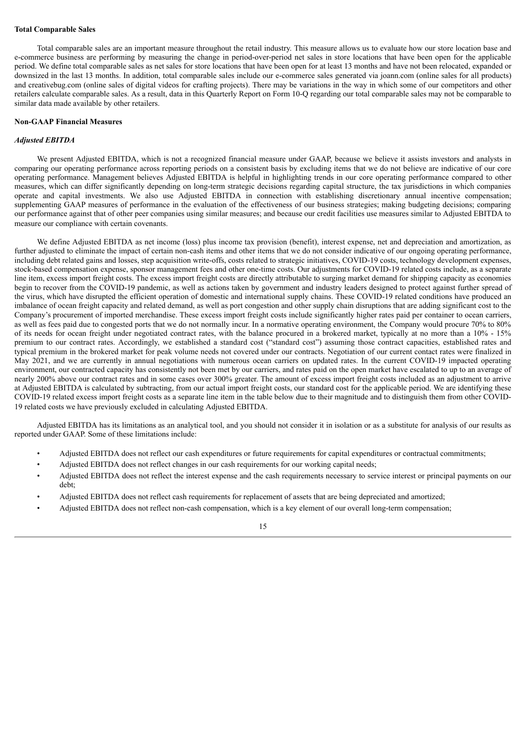#### **Total Comparable Sales**

Total comparable sales are an important measure throughout the retail industry. This measure allows us to evaluate how our store location base and e-commerce business are performing by measuring the change in period-over-period net sales in store locations that have been open for the applicable period. We define total comparable sales as net sales for store locations that have been open for at least 13 months and have not been relocated, expanded or downsized in the last 13 months. In addition, total comparable sales include our e-commerce sales generated via joann.com (online sales for all products) and creativebug.com (online sales of digital videos for crafting projects). There may be variations in the way in which some of our competitors and other retailers calculate comparable sales. As a result, data in this Quarterly Report on Form 10-Q regarding our total comparable sales may not be comparable to similar data made available by other retailers.

#### **Non-GAAP Financial Measures**

#### *Adjusted EBITDA*

We present Adjusted EBITDA, which is not a recognized financial measure under GAAP, because we believe it assists investors and analysts in comparing our operating performance across reporting periods on a consistent basis by excluding items that we do not believe are indicative of our core operating performance. Management believes Adjusted EBITDA is helpful in highlighting trends in our core operating performance compared to other measures, which can differ significantly depending on long-term strategic decisions regarding capital structure, the tax jurisdictions in which companies operate and capital investments. We also use Adjusted EBITDA in connection with establishing discretionary annual incentive compensation; supplementing GAAP measures of performance in the evaluation of the effectiveness of our business strategies; making budgeting decisions; comparing our performance against that of other peer companies using similar measures; and because our credit facilities use measures similar to Adjusted EBITDA to measure our compliance with certain covenants.

We define Adjusted EBITDA as net income (loss) plus income tax provision (benefit), interest expense, net and depreciation and amortization, as further adjusted to eliminate the impact of certain non-cash items and other items that we do not consider indicative of our ongoing operating performance, including debt related gains and losses, step acquisition write-offs, costs related to strategic initiatives, COVID-19 costs, technology development expenses, stock-based compensation expense, sponsor management fees and other one-time costs. Our adjustments for COVID-19 related costs include, as a separate line item, excess import freight costs. The excess import freight costs are directly attributable to surging market demand for shipping capacity as economies begin to recover from the COVID-19 pandemic, as well as actions taken by government and industry leaders designed to protect against further spread of the virus, which have disrupted the efficient operation of domestic and international supply chains. These COVID-19 related conditions have produced an imbalance of ocean freight capacity and related demand, as well as port congestion and other supply chain disruptions that are adding significant cost to the Company's procurement of imported merchandise. These excess import freight costs include significantly higher rates paid per container to ocean carriers, as well as fees paid due to congested ports that we do not normally incur. In a normative operating environment, the Company would procure 70% to 80% of its needs for ocean freight under negotiated contract rates, with the balance procured in a brokered market, typically at no more than a 10% - 15% premium to our contract rates. Accordingly, we established a standard cost ("standard cost") assuming those contract capacities, established rates and typical premium in the brokered market for peak volume needs not covered under our contracts. Negotiation of our current contact rates were finalized in May 2021, and we are currently in annual negotiations with numerous ocean carriers on updated rates. In the current COVID-19 impacted operating environment, our contracted capacity has consistently not been met by our carriers, and rates paid on the open market have escalated to up to an average of nearly 200% above our contract rates and in some cases over 300% greater. The amount of excess import freight costs included as an adjustment to arrive at Adjusted EBITDA is calculated by subtracting, from our actual import freight costs, our standard cost for the applicable period. We are identifying these COVID-19 related excess import freight costs as a separate line item in the table below due to their magnitude and to distinguish them from other COVID-19 related costs we have previously excluded in calculating Adjusted EBITDA.

Adjusted EBITDA has its limitations as an analytical tool, and you should not consider it in isolation or as a substitute for analysis of our results as reported under GAAP. Some of these limitations include:

- Adjusted EBITDA does not reflect our cash expenditures or future requirements for capital expenditures or contractual commitments;
- Adjusted EBITDA does not reflect changes in our cash requirements for our working capital needs;
- Adjusted EBITDA does not reflect the interest expense and the cash requirements necessary to service interest or principal payments on our debt;
- Adjusted EBITDA does not reflect cash requirements for replacement of assets that are being depreciated and amortized;
- Adjusted EBITDA does not reflect non-cash compensation, which is a key element of our overall long-term compensation;

15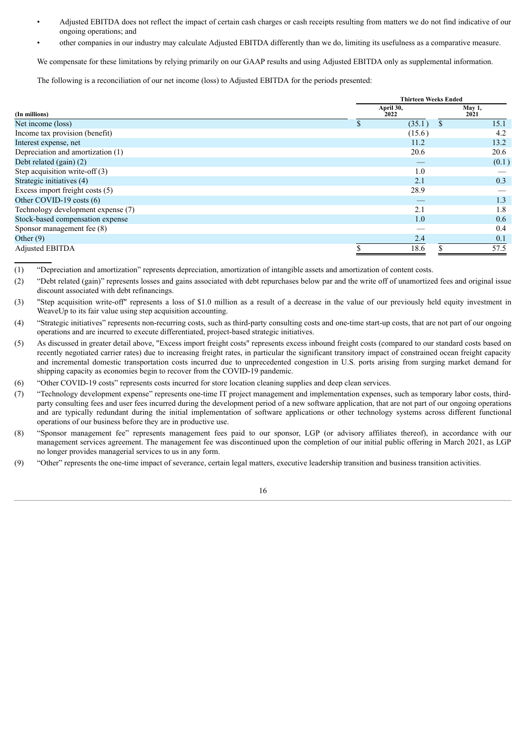- Adjusted EBITDA does not reflect the impact of certain cash charges or cash receipts resulting from matters we do not find indicative of our ongoing operations; and
- other companies in our industry may calculate Adjusted EBITDA differently than we do, limiting its usefulness as a comparative measure.

We compensate for these limitations by relying primarily on our GAAP results and using Adjusted EBITDA only as supplemental information.

The following is a reconciliation of our net income (loss) to Adjusted EBITDA for the periods presented:

|                                    |                   | <b>Thirteen Weeks Ended</b> |                |  |  |  |
|------------------------------------|-------------------|-----------------------------|----------------|--|--|--|
| (In millions)                      | April 30,<br>2022 |                             | May 1,<br>2021 |  |  |  |
| Net income (loss)                  |                   | (35.1)<br>S                 | 15.1           |  |  |  |
| Income tax provision (benefit)     |                   | (15.6)                      | 4.2            |  |  |  |
| Interest expense, net              |                   | 11.2                        | 13.2           |  |  |  |
| Depreciation and amortization (1)  |                   | 20.6                        | 20.6           |  |  |  |
| Debt related (gain) (2)            |                   |                             | (0.1)          |  |  |  |
| Step acquisition write-off (3)     |                   | 1.0                         |                |  |  |  |
| Strategic initiatives (4)          |                   | 2.1                         | 0.3            |  |  |  |
| Excess import freight costs (5)    |                   | 28.9                        |                |  |  |  |
| Other COVID-19 costs (6)           |                   |                             | 1.3            |  |  |  |
| Technology development expense (7) |                   | 2.1                         | 1.8            |  |  |  |
| Stock-based compensation expense   |                   | 1.0                         | 0.6            |  |  |  |
| Sponsor management fee (8)         |                   |                             | 0.4            |  |  |  |
| Other $(9)$                        |                   | 2.4                         | 0.1            |  |  |  |
| Adjusted EBITDA                    |                   | 18.6                        | 57.5           |  |  |  |

(1) "Depreciation and amortization" represents depreciation, amortization of intangible assets and amortization of content costs.

- (2) "Debt related (gain)" represents losses and gains associated with debt repurchases below par and the write off of unamortized fees and original issue discount associated with debt refinancings.
- (3) "Step acquisition write-off" represents a loss of \$1.0 million as a result of a decrease in the value of our previously held equity investment in WeaveUp to its fair value using step acquisition accounting.
- (4) "Strategic initiatives" represents non-recurring costs, such as third-party consulting costs and one-time start-up costs, that are not part of our ongoing operations and are incurred to execute differentiated, project-based strategic initiatives.
- (5) As discussed in greater detail above, "Excess import freight costs" represents excess inbound freight costs (compared to our standard costs based on recently negotiated carrier rates) due to increasing freight rates, in particular the significant transitory impact of constrained ocean freight capacity and incremental domestic transportation costs incurred due to unprecedented congestion in U.S. ports arising from surging market demand for shipping capacity as economies begin to recover from the COVID-19 pandemic.
- (6) "Other COVID-19 costs" represents costs incurred for store location cleaning supplies and deep clean services.
- (7) "Technology development expense" represents one-time IT project management and implementation expenses, such as temporary labor costs, thirdparty consulting fees and user fees incurred during the development period of a new software application, that are not part of our ongoing operations and are typically redundant during the initial implementation of software applications or other technology systems across different functional operations of our business before they are in productive use.
- (8) "Sponsor management fee" represents management fees paid to our sponsor, LGP (or advisory affiliates thereof), in accordance with our management services agreement. The management fee was discontinued upon the completion of our initial public offering in March 2021, as LGP no longer provides managerial services to us in any form.
- (9) "Other" represents the one-time impact of severance, certain legal matters, executive leadership transition and business transition activities.

16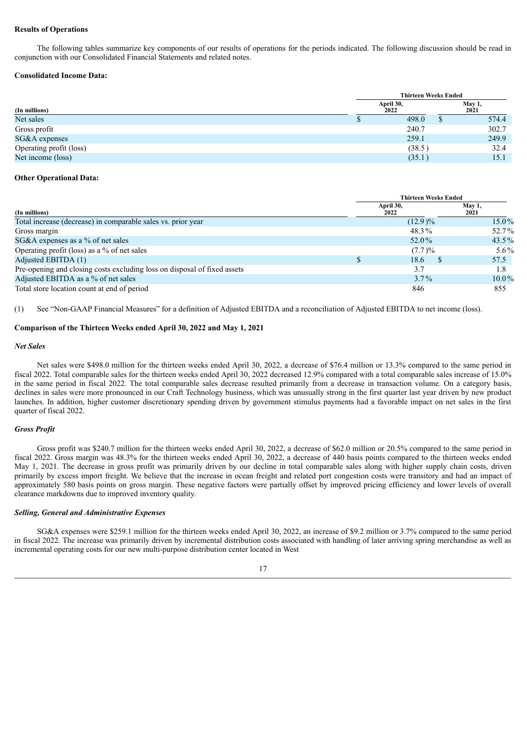#### **Results of Operations**

The following tables summarize key components of our results of operations for the periods indicated. The following discussion should be read in conjunction with our Consolidated Financial Statements and related notes.

#### **Consolidated Income Data:**

|                         | <b>Thirteen Weeks Ended</b> |                   |  |                |  |
|-------------------------|-----------------------------|-------------------|--|----------------|--|
| (In millions)           |                             | April 30,<br>2022 |  | May 1,<br>2021 |  |
| Net sales               |                             | 498.0             |  | 574.4          |  |
| Gross profit            |                             | 240.7             |  | 302.7          |  |
| SG&A expenses           |                             | 259.1             |  | 249.9          |  |
| Operating profit (loss) |                             | (38.5)            |  | 32.4           |  |
| Net income (loss)       |                             | (35.1)            |  | 15.1           |  |

#### **Other Operational Data:**

|                                                                          | <b>Thirteen Weeks Ended</b> |                |  |
|--------------------------------------------------------------------------|-----------------------------|----------------|--|
| (In millions)                                                            | April 30,<br>2022           | May 1,<br>2021 |  |
| Total increase (decrease) in comparable sales vs. prior year             | $(12.9)\%$                  | $15.0\%$       |  |
| Gross margin                                                             | 48.3%                       | 52.7%          |  |
| $SG&A$ expenses as a % of net sales                                      | 52.0%                       | $43.5\%$       |  |
| Operating profit (loss) as a $\%$ of net sales                           | (7.7)%                      | $5.6\%$        |  |
| Adjusted EBITDA (1)                                                      | 18.6                        | 57.5           |  |
| Pre-opening and closing costs excluding loss on disposal of fixed assets | 3.7                         | 1.8            |  |
| Adjusted EBITDA as a % of net sales                                      | $3.7\%$                     | $10.0\%$       |  |
| Total store location count at end of period                              | 846                         | 855            |  |

(1) See "Non-GAAP Financial Measures" for a definition of Adjusted EBITDA and a reconciliation of Adjusted EBITDA to net income (loss).

### **Comparison of the Thirteen Weeks ended April 30, 2022 and May 1, 2021**

#### *Net Sales*

Net sales were \$498.0 million for the thirteen weeks ended April 30, 2022, a decrease of \$76.4 million or 13.3% compared to the same period in fiscal 2022. Total comparable sales for the thirteen weeks ended April 30, 2022 decreased 12.9% compared with a total comparable sales increase of 15.0% in the same period in fiscal 2022. The total comparable sales decrease resulted primarily from a decrease in transaction volume. On a category basis, declines in sales were more pronounced in our Craft Technology business, which was unusually strong in the first quarter last year driven by new product launches. In addition, higher customer discretionary spending driven by government stimulus payments had a favorable impact on net sales in the first quarter of fiscal 2022.

#### *Gross Profit*

Gross profit was \$240.7 million for the thirteen weeks ended April 30, 2022, a decrease of \$62.0 million or 20.5% compared to the same period in fiscal 2022. Gross margin was 48.3% for the thirteen weeks ended April 30, 2022, a decrease of 440 basis points compared to the thirteen weeks ended May 1, 2021. The decrease in gross profit was primarily driven by our decline in total comparable sales along with higher supply chain costs, driven primarily by excess import freight. We believe that the increase in ocean freight and related port congestion costs were transitory and had an impact of approximately 580 basis points on gross margin. These negative factors were partially offset by improved pricing efficiency and lower levels of overall clearance markdowns due to improved inventory quality.

#### *Selling, General and Administrative Expenses*

SG&A expenses were \$259.1 million for the thirteen weeks ended April 30, 2022, an increase of \$9.2 million or 3.7% compared to the same period in fiscal 2022. The increase was primarily driven by incremental distribution costs associated with handling of later arriving spring merchandise as well as incremental operating costs for our new multi-purpose distribution center located in West

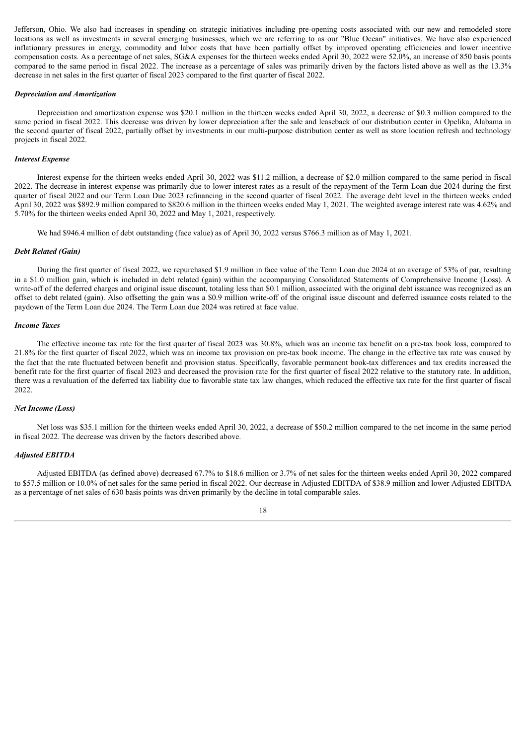Jefferson, Ohio. We also had increases in spending on strategic initiatives including pre-opening costs associated with our new and remodeled store locations as well as investments in several emerging businesses, which we are referring to as our "Blue Ocean" initiatives. We have also experienced inflationary pressures in energy, commodity and labor costs that have been partially offset by improved operating efficiencies and lower incentive compensation costs. As a percentage of net sales, SG&A expenses for the thirteen weeks ended April 30, 2022 were 52.0%, an increase of 850 basis points compared to the same period in fiscal 2022. The increase as a percentage of sales was primarily driven by the factors listed above as well as the 13.3% decrease in net sales in the first quarter of fiscal 2023 compared to the first quarter of fiscal 2022.

#### *Depreciation and Amortization*

Depreciation and amortization expense was \$20.1 million in the thirteen weeks ended April 30, 2022, a decrease of \$0.3 million compared to the same period in fiscal 2022. This decrease was driven by lower depreciation after the sale and leaseback of our distribution center in Opelika, Alabama in the second quarter of fiscal 2022, partially offset by investments in our multi-purpose distribution center as well as store location refresh and technology projects in fiscal 2022.

#### *Interest Expense*

Interest expense for the thirteen weeks ended April 30, 2022 was \$11.2 million, a decrease of \$2.0 million compared to the same period in fiscal 2022. The decrease in interest expense was primarily due to lower interest rates as a result of the repayment of the Term Loan due 2024 during the first quarter of fiscal 2022 and our Term Loan Due 2023 refinancing in the second quarter of fiscal 2022. The average debt level in the thirteen weeks ended April 30, 2022 was \$892.9 million compared to \$820.6 million in the thirteen weeks ended May 1, 2021. The weighted average interest rate was 4.62% and 5.70% for the thirteen weeks ended April 30, 2022 and May 1, 2021, respectively.

We had \$946.4 million of debt outstanding (face value) as of April 30, 2022 versus \$766.3 million as of May 1, 2021.

#### *Debt Related (Gain)*

During the first quarter of fiscal 2022, we repurchased \$1.9 million in face value of the Term Loan due 2024 at an average of 53% of par, resulting in a \$1.0 million gain, which is included in debt related (gain) within the accompanying Consolidated Statements of Comprehensive Income (Loss). A write-off of the deferred charges and original issue discount, totaling less than \$0.1 million, associated with the original debt issuance was recognized as an offset to debt related (gain). Also offsetting the gain was a \$0.9 million write-off of the original issue discount and deferred issuance costs related to the paydown of the Term Loan due 2024. The Term Loan due 2024 was retired at face value.

#### *Income Taxes*

The effective income tax rate for the first quarter of fiscal 2023 was 30.8%, which was an income tax benefit on a pre-tax book loss, compared to 21.8% for the first quarter of fiscal 2022, which was an income tax provision on pre-tax book income. The change in the effective tax rate was caused by the fact that the rate fluctuated between benefit and provision status. Specifically, favorable permanent book-tax differences and tax credits increased the benefit rate for the first quarter of fiscal 2023 and decreased the provision rate for the first quarter of fiscal 2022 relative to the statutory rate. In addition, there was a revaluation of the deferred tax liability due to favorable state tax law changes, which reduced the effective tax rate for the first quarter of fiscal 2022.

#### *Net Income (Loss)*

Net loss was \$35.1 million for the thirteen weeks ended April 30, 2022, a decrease of \$50.2 million compared to the net income in the same period in fiscal 2022. The decrease was driven by the factors described above.

#### *Adjusted EBITDA*

Adjusted EBITDA (as defined above) decreased 67.7% to \$18.6 million or 3.7% of net sales for the thirteen weeks ended April 30, 2022 compared to \$57.5 million or 10.0% of net sales for the same period in fiscal 2022. Our decrease in Adjusted EBITDA of \$38.9 million and lower Adjusted EBITDA as a percentage of net sales of 630 basis points was driven primarily by the decline in total comparable sales.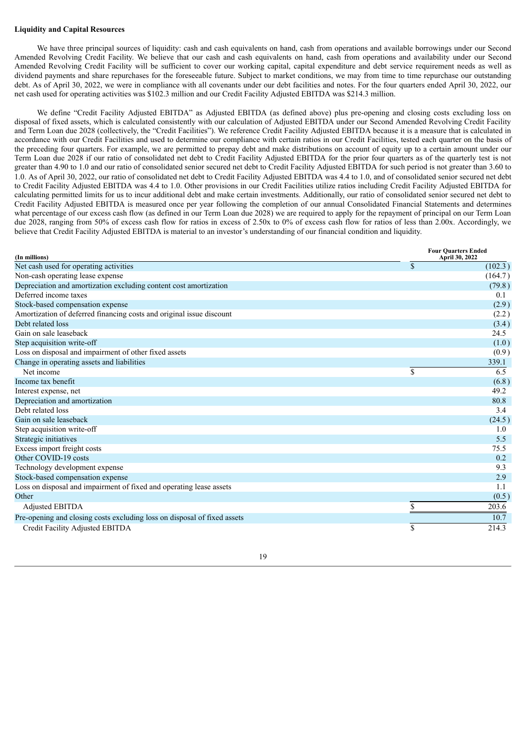#### **Liquidity and Capital Resources**

We have three principal sources of liquidity: cash and cash equivalents on hand, cash from operations and available borrowings under our Second Amended Revolving Credit Facility. We believe that our cash and cash equivalents on hand, cash from operations and availability under our Second Amended Revolving Credit Facility will be sufficient to cover our working capital, capital expenditure and debt service requirement needs as well as dividend payments and share repurchases for the foreseeable future. Subject to market conditions, we may from time to time repurchase our outstanding debt. As of April 30, 2022, we were in compliance with all covenants under our debt facilities and notes. For the four quarters ended April 30, 2022, our net cash used for operating activities was \$102.3 million and our Credit Facility Adjusted EBITDA was \$214.3 million.

We define "Credit Facility Adjusted EBITDA" as Adjusted EBITDA (as defined above) plus pre-opening and closing costs excluding loss on disposal of fixed assets, which is calculated consistently with our calculation of Adjusted EBITDA under our Second Amended Revolving Credit Facility and Term Loan due 2028 (collectively, the "Credit Facilities"). We reference Credit Facility Adjusted EBITDA because it is a measure that is calculated in accordance with our Credit Facilities and used to determine our compliance with certain ratios in our Credit Facilities, tested each quarter on the basis of the preceding four quarters. For example, we are permitted to prepay debt and make distributions on account of equity up to a certain amount under our Term Loan due 2028 if our ratio of consolidated net debt to Credit Facility Adjusted EBITDA for the prior four quarters as of the quarterly test is not greater than 4.90 to 1.0 and our ratio of consolidated senior secured net debt to Credit Facility Adjusted EBITDA for such period is not greater than 3.60 to 1.0. As of April 30, 2022, our ratio of consolidated net debt to Credit Facility Adjusted EBITDA was 4.4 to 1.0, and of consolidated senior secured net debt to Credit Facility Adjusted EBITDA was 4.4 to 1.0. Other provisions in our Credit Facilities utilize ratios including Credit Facility Adjusted EBITDA for calculating permitted limits for us to incur additional debt and make certain investments. Additionally, our ratio of consolidated senior secured net debt to Credit Facility Adjusted EBITDA is measured once per year following the completion of our annual Consolidated Financial Statements and determines what percentage of our excess cash flow (as defined in our Term Loan due 2028) we are required to apply for the repayment of principal on our Term Loan due 2028, ranging from 50% of excess cash flow for ratios in excess of 2.50x to 0% of excess cash flow for ratios of less than 2.00x. Accordingly, we believe that Credit Facility Adjusted EBITDA is material to an investor's understanding of our financial condition and liquidity.

| (In millions)                                                            | <b>Four Ouarters Ended</b><br>April 30, 2022 |         |
|--------------------------------------------------------------------------|----------------------------------------------|---------|
| Net cash used for operating activities                                   | \$                                           | (102.3) |
| Non-cash operating lease expense                                         |                                              | (164.7) |
| Depreciation and amortization excluding content cost amortization        |                                              | (79.8)  |
| Deferred income taxes                                                    |                                              | 0.1     |
| Stock-based compensation expense                                         |                                              | (2.9)   |
| Amortization of deferred financing costs and original issue discount     |                                              | (2.2)   |
| Debt related loss                                                        |                                              | (3.4)   |
| Gain on sale leaseback                                                   |                                              | 24.5    |
| Step acquisition write-off                                               |                                              | (1.0)   |
| Loss on disposal and impairment of other fixed assets                    |                                              | (0.9)   |
| Change in operating assets and liabilities                               |                                              | 339.1   |
| Net income                                                               | \$                                           | 6.5     |
| Income tax benefit                                                       |                                              | (6.8)   |
| Interest expense, net                                                    |                                              | 49.2    |
| Depreciation and amortization                                            |                                              | 80.8    |
| Debt related loss                                                        |                                              | 3.4     |
| Gain on sale leaseback                                                   |                                              | (24.5)  |
| Step acquisition write-off                                               |                                              | 1.0     |
| Strategic initiatives                                                    |                                              | 5.5     |
| Excess import freight costs                                              |                                              | 75.5    |
| Other COVID-19 costs                                                     |                                              | 0.2     |
| Technology development expense                                           |                                              | 9.3     |
| Stock-based compensation expense                                         |                                              | 2.9     |
| Loss on disposal and impairment of fixed and operating lease assets      |                                              | 1.1     |
| Other                                                                    |                                              | (0.5)   |
| <b>Adjusted EBITDA</b>                                                   |                                              | 203.6   |
| Pre-opening and closing costs excluding loss on disposal of fixed assets |                                              | 10.7    |
| Credit Facility Adjusted EBITDA                                          | \$                                           | 214.3   |

19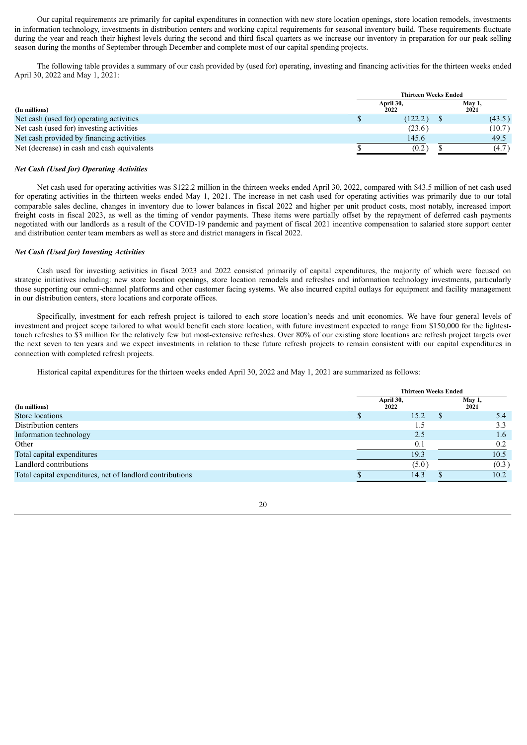Our capital requirements are primarily for capital expenditures in connection with new store location openings, store location remodels, investments in information technology, investments in distribution centers and working capital requirements for seasonal inventory build. These requirements fluctuate during the year and reach their highest levels during the second and third fiscal quarters as we increase our inventory in preparation for our peak selling season during the months of September through December and complete most of our capital spending projects.

The following table provides a summary of our cash provided by (used for) operating, investing and financing activities for the thirteen weeks ended April 30, 2022 and May 1, 2021:

|                                             | <b>Thirteen Weeks Ended</b> |                   |  |                |  |
|---------------------------------------------|-----------------------------|-------------------|--|----------------|--|
| (In millions)                               |                             | April 30,<br>2022 |  | May 1,<br>2021 |  |
| Net cash (used for) operating activities    |                             | (122.2)           |  | (43.5)         |  |
| Net cash (used for) investing activities    |                             | (23.6)            |  | (10.7)         |  |
| Net cash provided by financing activities   |                             | 145.6             |  | 49.5           |  |
| Net (decrease) in cash and cash equivalents |                             | (0.2)             |  | (4.7)          |  |

#### *Net Cash (Used for) Operating Activities*

Net cash used for operating activities was \$122.2 million in the thirteen weeks ended April 30, 2022, compared with \$43.5 million of net cash used for operating activities in the thirteen weeks ended May 1, 2021. The increase in net cash used for operating activities was primarily due to our total comparable sales decline, changes in inventory due to lower balances in fiscal 2022 and higher per unit product costs, most notably, increased import freight costs in fiscal 2023, as well as the timing of vendor payments. These items were partially offset by the repayment of deferred cash payments negotiated with our landlords as a result of the COVID-19 pandemic and payment of fiscal 2021 incentive compensation to salaried store support center and distribution center team members as well as store and district managers in fiscal 2022.

#### *Net Cash (Used for) Investing Activities*

Cash used for investing activities in fiscal 2023 and 2022 consisted primarily of capital expenditures, the majority of which were focused on strategic initiatives including: new store location openings, store location remodels and refreshes and information technology investments, particularly those supporting our omni-channel platforms and other customer facing systems. We also incurred capital outlays for equipment and facility management in our distribution centers, store locations and corporate offices.

Specifically, investment for each refresh project is tailored to each store location's needs and unit economics. We have four general levels of investment and project scope tailored to what would benefit each store location, with future investment expected to range from \$150,000 for the lightesttouch refreshes to \$3 million for the relatively few but most-extensive refreshes. Over 80% of our existing store locations are refresh project targets over the next seven to ten years and we expect investments in relation to these future refresh projects to remain consistent with our capital expenditures in connection with completed refresh projects.

Historical capital expenditures for the thirteen weeks ended April 30, 2022 and May 1, 2021 are summarized as follows:

|                                                           | <b>Thirteen Weeks Ended</b> |                   |  |                |  |
|-----------------------------------------------------------|-----------------------------|-------------------|--|----------------|--|
| (In millions)                                             |                             | April 30,<br>2022 |  | May 1.<br>2021 |  |
| Store locations                                           |                             | 15.2              |  | 5.4            |  |
| Distribution centers                                      |                             |                   |  | 3.3            |  |
| Information technology                                    |                             | 2.5               |  | 1.6            |  |
| Other                                                     |                             | 0.1               |  | 0.2            |  |
| Total capital expenditures                                |                             | 19.3              |  | 10.5           |  |
| Landlord contributions                                    |                             | (5.0)             |  | (0.3)          |  |
| Total capital expenditures, net of landlord contributions |                             | 14.3              |  | 10.2           |  |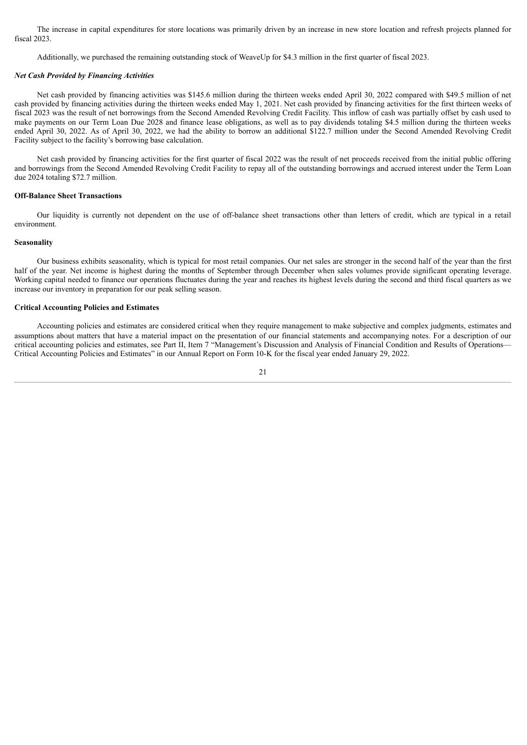The increase in capital expenditures for store locations was primarily driven by an increase in new store location and refresh projects planned for fiscal 2023.

Additionally, we purchased the remaining outstanding stock of WeaveUp for \$4.3 million in the first quarter of fiscal 2023.

#### *Net Cash Provided by Financing Activities*

Net cash provided by financing activities was \$145.6 million during the thirteen weeks ended April 30, 2022 compared with \$49.5 million of net cash provided by financing activities during the thirteen weeks ended May 1, 2021. Net cash provided by financing activities for the first thirteen weeks of fiscal 2023 was the result of net borrowings from the Second Amended Revolving Credit Facility. This inflow of cash was partially offset by cash used to make payments on our Term Loan Due 2028 and finance lease obligations, as well as to pay dividends totaling \$4.5 million during the thirteen weeks ended April 30, 2022. As of April 30, 2022, we had the ability to borrow an additional \$122.7 million under the Second Amended Revolving Credit Facility subject to the facility's borrowing base calculation.

Net cash provided by financing activities for the first quarter of fiscal 2022 was the result of net proceeds received from the initial public offering and borrowings from the Second Amended Revolving Credit Facility to repay all of the outstanding borrowings and accrued interest under the Term Loan due 2024 totaling \$72.7 million.

#### **Off-Balance Sheet Transactions**

Our liquidity is currently not dependent on the use of off-balance sheet transactions other than letters of credit, which are typical in a retail environment.

#### **Seasonality**

Our business exhibits seasonality, which is typical for most retail companies. Our net sales are stronger in the second half of the year than the first half of the year. Net income is highest during the months of September through December when sales volumes provide significant operating leverage. Working capital needed to finance our operations fluctuates during the year and reaches its highest levels during the second and third fiscal quarters as we increase our inventory in preparation for our peak selling season.

#### **Critical Accounting Policies and Estimates**

Accounting policies and estimates are considered critical when they require management to make subjective and complex judgments, estimates and assumptions about matters that have a material impact on the presentation of our financial statements and accompanying notes. For a description of our critical accounting policies and estimates, see Part II, Item 7 "Management's Discussion and Analysis of Financial Condition and Results of Operations— Critical Accounting Policies and Estimates" in our Annual Report on Form 10-K for the fiscal year ended January 29, 2022.

21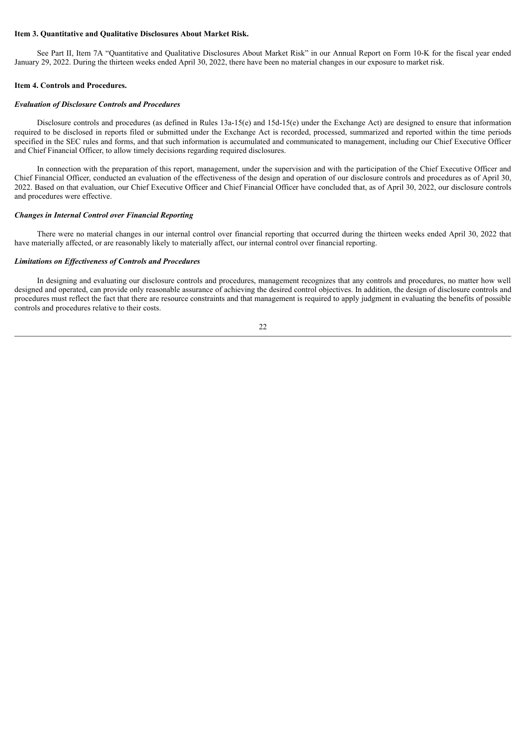#### <span id="page-23-0"></span>**Item 3. Quantitative and Qualitative Disclosures About Market Risk.**

See Part II, Item 7A "Quantitative and Qualitative Disclosures About Market Risk" in our Annual Report on Form 10-K for the fiscal year ended January 29, 2022. During the thirteen weeks ended April 30, 2022, there have been no material changes in our exposure to market risk.

#### <span id="page-23-1"></span>**Item 4. Controls and Procedures.**

#### *Evaluation of Disclosure Controls and Procedures*

Disclosure controls and procedures (as defined in Rules 13a-15(e) and 15d-15(e) under the Exchange Act) are designed to ensure that information required to be disclosed in reports filed or submitted under the Exchange Act is recorded, processed, summarized and reported within the time periods specified in the SEC rules and forms, and that such information is accumulated and communicated to management, including our Chief Executive Officer and Chief Financial Officer, to allow timely decisions regarding required disclosures.

In connection with the preparation of this report, management, under the supervision and with the participation of the Chief Executive Officer and Chief Financial Officer, conducted an evaluation of the effectiveness of the design and operation of our disclosure controls and procedures as of April 30, 2022. Based on that evaluation, our Chief Executive Officer and Chief Financial Officer have concluded that, as of April 30, 2022, our disclosure controls and procedures were effective.

#### *Changes in Internal Control over Financial Reporting*

There were no material changes in our internal control over financial reporting that occurred during the thirteen weeks ended April 30, 2022 that have materially affected, or are reasonably likely to materially affect, our internal control over financial reporting.

#### *Limitations on Ef ectiveness of Controls and Procedures*

In designing and evaluating our disclosure controls and procedures, management recognizes that any controls and procedures, no matter how well designed and operated, can provide only reasonable assurance of achieving the desired control objectives. In addition, the design of disclosure controls and procedures must reflect the fact that there are resource constraints and that management is required to apply judgment in evaluating the benefits of possible controls and procedures relative to their costs.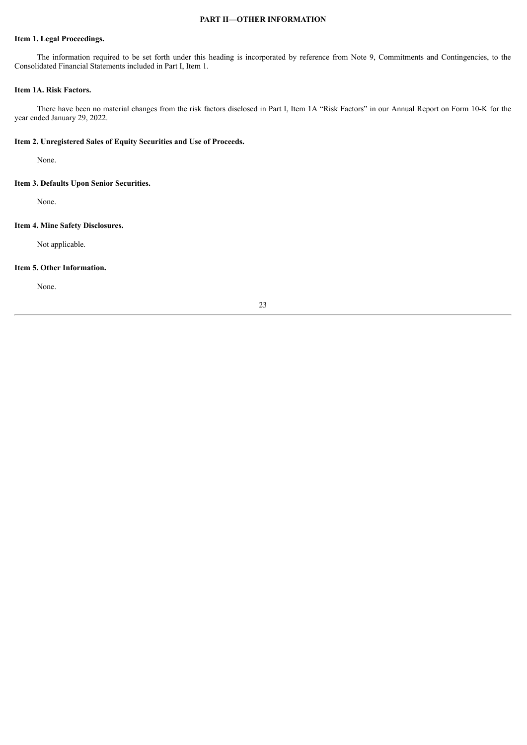### **PART II—OTHER INFORMATION**

### <span id="page-24-1"></span><span id="page-24-0"></span>**Item 1. Legal Proceedings.**

The information required to be set forth under this heading is incorporated by reference from Note 9, Commitments and Contingencies, to the Consolidated Financial Statements included in Part I, Item 1.

### <span id="page-24-2"></span>**Item 1A. Risk Factors.**

There have been no material changes from the risk factors disclosed in Part I, Item 1A "Risk Factors" in our Annual Report on Form 10-K for the year ended January 29, 2022.

### <span id="page-24-3"></span>**Item 2. Unregistered Sales of Equity Securities and Use of Proceeds.**

None.

### <span id="page-24-4"></span>**Item 3. Defaults Upon Senior Securities.**

None.

### <span id="page-24-5"></span>**Item 4. Mine Safety Disclosures.**

Not applicable.

#### <span id="page-24-6"></span>**Item 5. Other Information.**

None.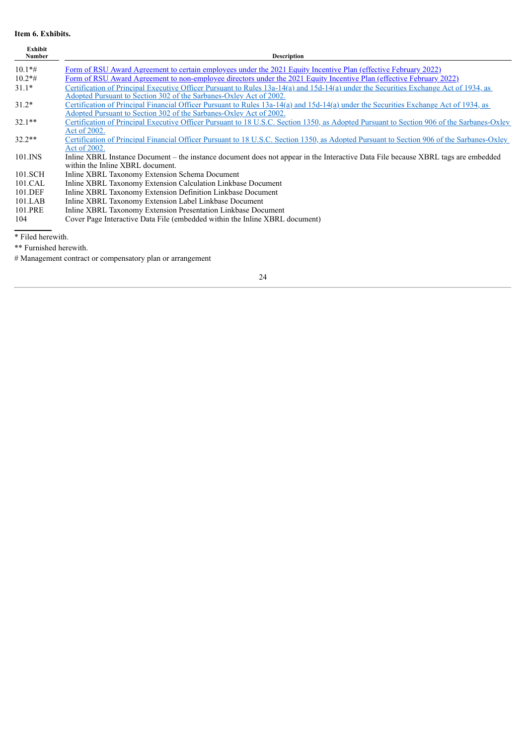## <span id="page-25-0"></span>**Item 6. Exhibits.**

| Exhibit<br>Number | <b>Description</b>                                                                                                                        |
|-------------------|-------------------------------------------------------------------------------------------------------------------------------------------|
| $10.1*$ #         | Form of RSU Award Agreement to certain employees under the 2021 Equity Incentive Plan (effective February 2022)                           |
| $10.2*$ #         | Form of RSU Award Agreement to non-employee directors under the 2021 Equity Incentive Plan (effective February 2022)                      |
| $31.1*$           | Certification of Principal Executive Officer Pursuant to Rules 13a-14(a) and 15d-14(a) under the Securities Exchange Act of 1934, as      |
|                   | Adopted Pursuant to Section 302 of the Sarbanes-Oxley Act of 2002.                                                                        |
| $31.2*$           | Certification of Principal Financial Officer Pursuant to Rules 13a-14(a) and 15d-14(a) under the Securities Exchange Act of 1934, as      |
|                   | Adopted Pursuant to Section 302 of the Sarbanes-Oxley Act of 2002.                                                                        |
| $32.1**$          | Certification of Principal Executive Officer Pursuant to 18 U.S.C. Section 1350, as Adopted Pursuant to Section 906 of the Sarbanes-Oxley |
|                   | Act of 2002.                                                                                                                              |
| $32.2**$          | Certification of Principal Financial Officer Pursuant to 18 U.S.C. Section 1350, as Adopted Pursuant to Section 906 of the Sarbanes-Oxley |
|                   | Act of 2002.                                                                                                                              |
| 101.INS           | Inline XBRL Instance Document – the instance document does not appear in the Interactive Data File because XBRL tags are embedded         |
|                   | within the Inline XBRL document.                                                                                                          |
| 101.SCH           | Inline XBRL Taxonomy Extension Schema Document                                                                                            |
| 101.CAL           | Inline XBRL Taxonomy Extension Calculation Linkbase Document                                                                              |
| 101.DEF           | Inline XBRL Taxonomy Extension Definition Linkbase Document                                                                               |
| 101.LAB           | Inline XBRL Taxonomy Extension Label Linkbase Document                                                                                    |
| 101.PRE           | Inline XBRL Taxonomy Extension Presentation Linkbase Document                                                                             |
| 104               | Cover Page Interactive Data File (embedded within the Inline XBRL document)                                                               |

\* Filed herewith.

\*\* Furnished herewith.

# Management contract or compensatory plan or arrangement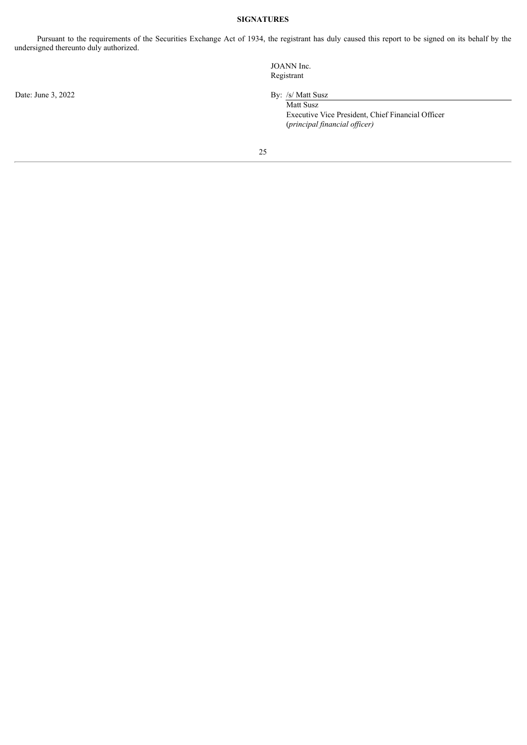### **SIGNATURES**

<span id="page-26-0"></span>Pursuant to the requirements of the Securities Exchange Act of 1934, the registrant has duly caused this report to be signed on its behalf by the undersigned thereunto duly authorized.

Date: June 3, 2022 By: /s/ Matt Susz

JOANN Inc. Registrant

Matt Susz Executive Vice President, Chief Financial Officer (*principal financial of icer)*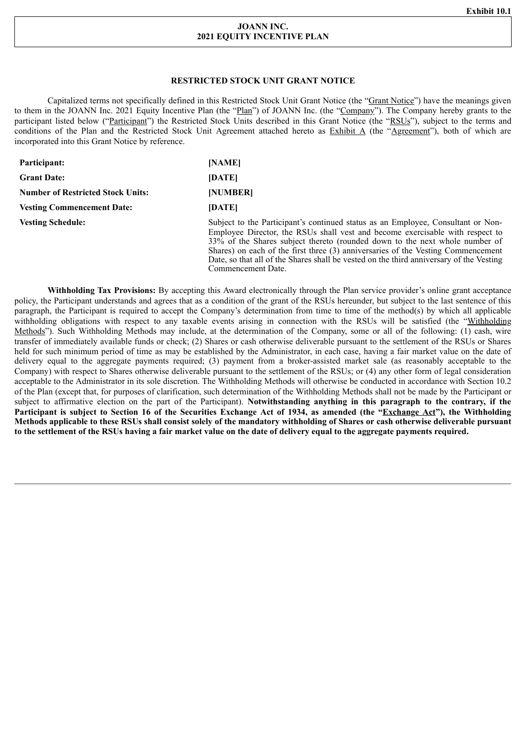### **JOANN INC. 2021 EQUITY INCENTIVE PLAN**

#### **RESTRICTED STOCK UNIT GRANT NOTICE**

<span id="page-27-0"></span>Capitalized terms not specifically defined in this Restricted Stock Unit Grant Notice (the "Grant Notice") have the meanings given to them in the JOANN Inc. 2021 Equity Incentive Plan (the "Plan") of JOANN Inc. (the "Company"). The Company hereby grants to the participant listed below ("Participant") the Restricted Stock Units described in this Grant Notice (the "RSUs"), subject to the terms and conditions of the Plan and the Restricted Stock Unit Agreement attached hereto as Exhibit A (the "Agreement"), both of which are incorporated into this Grant Notice by reference.

| Participant:                             | [NAME]                                                                                                                                                                                                                                                                                                                                                                                                                                                |
|------------------------------------------|-------------------------------------------------------------------------------------------------------------------------------------------------------------------------------------------------------------------------------------------------------------------------------------------------------------------------------------------------------------------------------------------------------------------------------------------------------|
| <b>Grant Date:</b>                       | [DATE]                                                                                                                                                                                                                                                                                                                                                                                                                                                |
| <b>Number of Restricted Stock Units:</b> | [NUMBER]                                                                                                                                                                                                                                                                                                                                                                                                                                              |
| <b>Vesting Commencement Date:</b>        | [DATE]                                                                                                                                                                                                                                                                                                                                                                                                                                                |
| <b>Vesting Schedule:</b>                 | Subject to the Participant's continued status as an Employee, Consultant or Non-<br>Employee Director, the RSUs shall vest and become exercisable with respect to<br>33% of the Shares subject thereto (rounded down to the next whole number of<br>Shares) on each of the first three (3) anniversaries of the Vesting Commencement<br>Date, so that all of the Shares shall be vested on the third anniversary of the Vesting<br>Commencement Date. |

**Withholding Tax Provisions:** By accepting this Award electronically through the Plan service provider's online grant acceptance policy, the Participant understands and agrees that as a condition of the grant of the RSUs hereunder, but subject to the last sentence of this paragraph, the Participant is required to accept the Company's determination from time to time of the method(s) by which all applicable withholding obligations with respect to any taxable events arising in connection with the RSUs will be satisfied (the "Withholding Methods"). Such Withholding Methods may include, at the determination of the Company, some or all of the following: (1) cash, wire transfer of immediately available funds or check; (2) Shares or cash otherwise deliverable pursuant to the settlement of the RSUs or Shares held for such minimum period of time as may be established by the Administrator, in each case, having a fair market value on the date of delivery equal to the aggregate payments required; (3) payment from a broker-assisted market sale (as reasonably acceptable to the Company) with respect to Shares otherwise deliverable pursuant to the settlement of the RSUs; or (4) any other form of legal consideration acceptable to the Administrator in its sole discretion. The Withholding Methods will otherwise be conducted in accordance with Section 10.2 of the Plan (except that, for purposes of clarification, such determination of the Withholding Methods shall not be made by the Participant or subject to affirmative election on the part of the Participant). **Notwithstanding anything in this paragraph to the contrary, if the** Participant is subject to Section 16 of the Securities Exchange Act of 1934, as amended (the "Exchange Act"), the Withholding Methods applicable to these RSUs shall consist solely of the mandatory withholding of Shares or cash otherwise deliverable pursuant to the settlement of the RSUs having a fair market value on the date of delivery equal to the aggregate payments required.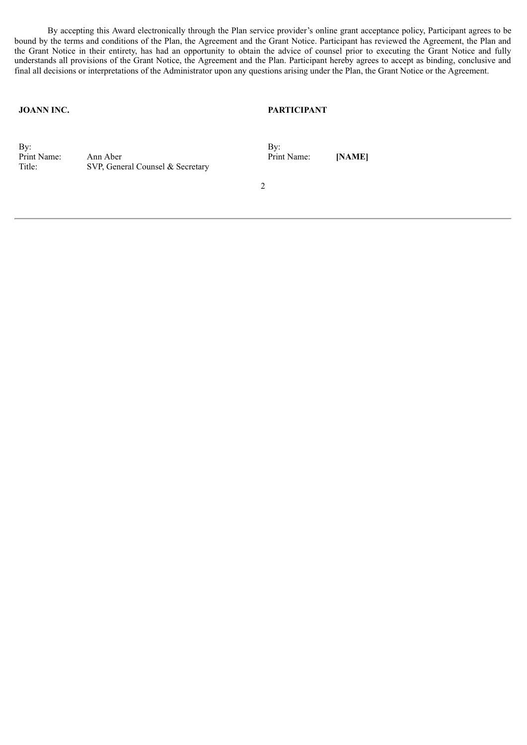By accepting this Award electronically through the Plan service provider's online grant acceptance policy, Participant agrees to be bound by the terms and conditions of the Plan, the Agreement and the Grant Notice. Participant has reviewed the Agreement, the Plan and the Grant Notice in their entirety, has had an opportunity to obtain the advice of counsel prior to executing the Grant Notice and fully understands all provisions of the Grant Notice, the Agreement and the Plan. Participant hereby agrees to accept as binding, conclusive and final all decisions or interpretations of the Administrator upon any questions arising under the Plan, the Grant Notice or the Agreement.

### **JOANN INC. PARTICIPANT**

By: By:

Print Name: Ann Aber Print Name: **[NAME]** Title: SVP, General Counsel & Secretary

2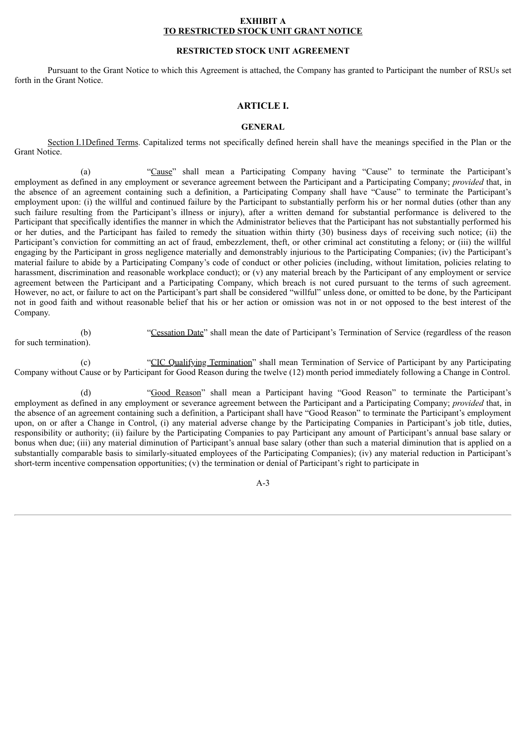### **EXHIBIT A TO RESTRICTED STOCK UNIT GRANT NOTICE**

### **RESTRICTED STOCK UNIT AGREEMENT**

Pursuant to the Grant Notice to which this Agreement is attached, the Company has granted to Participant the number of RSUs set forth in the Grant Notice.

### **ARTICLE I.**

#### **GENERAL**

Section I.1Defined Terms. Capitalized terms not specifically defined herein shall have the meanings specified in the Plan or the Grant Notice.

(a) "Cause" shall mean a Participating Company having "Cause" to terminate the Participant's employment as defined in any employment or severance agreement between the Participant and a Participating Company; *provided* that, in the absence of an agreement containing such a definition, a Participating Company shall have "Cause" to terminate the Participant's employment upon: (i) the willful and continued failure by the Participant to substantially perform his or her normal duties (other than any such failure resulting from the Participant's illness or injury), after a written demand for substantial performance is delivered to the Participant that specifically identifies the manner in which the Administrator believes that the Participant has not substantially performed his or her duties, and the Participant has failed to remedy the situation within thirty (30) business days of receiving such notice; (ii) the Participant's conviction for committing an act of fraud, embezzlement, theft, or other criminal act constituting a felony; or (iii) the willful engaging by the Participant in gross negligence materially and demonstrably injurious to the Participating Companies; (iv) the Participant's material failure to abide by a Participating Company's code of conduct or other policies (including, without limitation, policies relating to harassment, discrimination and reasonable workplace conduct); or (v) any material breach by the Participant of any employment or service agreement between the Participant and a Participating Company, which breach is not cured pursuant to the terms of such agreement. However, no act, or failure to act on the Participant's part shall be considered "willful" unless done, or omitted to be done, by the Participant not in good faith and without reasonable belief that his or her action or omission was not in or not opposed to the best interest of the Company.

(b) "Cessation Date" shall mean the date of Participant's Termination of Service (regardless of the reason for such termination).

(c) "CIC Qualifying Termination" shall mean Termination of Service of Participant by any Participating Company without Cause or by Participant for Good Reason during the twelve (12) month period immediately following a Change in Control.

(d) "Good Reason" shall mean a Participant having "Good Reason" to terminate the Participant's employment as defined in any employment or severance agreement between the Participant and a Participating Company; *provided* that, in the absence of an agreement containing such a definition, a Participant shall have "Good Reason" to terminate the Participant's employment upon, on or after a Change in Control, (i) any material adverse change by the Participating Companies in Participant's job title, duties, responsibility or authority; (ii) failure by the Participating Companies to pay Participant any amount of Participant's annual base salary or bonus when due; (iii) any material diminution of Participant's annual base salary (other than such a material diminution that is applied on a substantially comparable basis to similarly-situated employees of the Participating Companies); (iv) any material reduction in Participant's short-term incentive compensation opportunities; (v) the termination or denial of Participant's right to participate in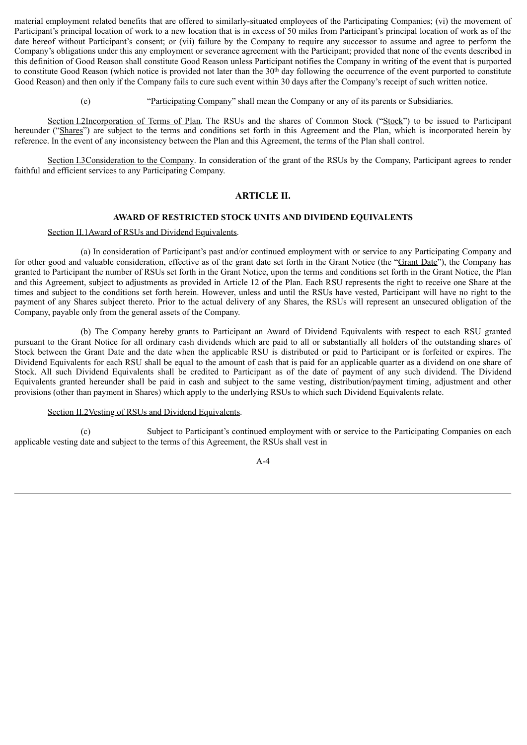material employment related benefits that are offered to similarly-situated employees of the Participating Companies; (vi) the movement of Participant's principal location of work to a new location that is in excess of 50 miles from Participant's principal location of work as of the date hereof without Participant's consent; or (vii) failure by the Company to require any successor to assume and agree to perform the Company's obligations under this any employment or severance agreement with the Participant; provided that none of the events described in this definition of Good Reason shall constitute Good Reason unless Participant notifies the Company in writing of the event that is purported to constitute Good Reason (which notice is provided not later than the 30<sup>th</sup> day following the occurrence of the event purported to constitute Good Reason) and then only if the Company fails to cure such event within 30 days after the Company's receipt of such written notice.

(e) "Participating Company" shall mean the Company or any of its parents or Subsidiaries.

Section I.2Incorporation of Terms of Plan. The RSUs and the shares of Common Stock ("Stock") to be issued to Participant hereunder ("Shares") are subject to the terms and conditions set forth in this Agreement and the Plan, which is incorporated herein by reference. In the event of any inconsistency between the Plan and this Agreement, the terms of the Plan shall control.

Section I.3Consideration to the Company. In consideration of the grant of the RSUs by the Company, Participant agrees to render faithful and efficient services to any Participating Company.

### **ARTICLE II.**

### **AWARD OF RESTRICTED STOCK UNITS AND DIVIDEND EQUIVALENTS**

### Section II.1Award of RSUs and Dividend Equivalents.

(a) In consideration of Participant's past and/or continued employment with or service to any Participating Company and for other good and valuable consideration, effective as of the grant date set forth in the Grant Notice (the "Grant Date"), the Company has granted to Participant the number of RSUs set forth in the Grant Notice, upon the terms and conditions set forth in the Grant Notice, the Plan and this Agreement, subject to adjustments as provided in Article 12 of the Plan. Each RSU represents the right to receive one Share at the times and subject to the conditions set forth herein. However, unless and until the RSUs have vested, Participant will have no right to the payment of any Shares subject thereto. Prior to the actual delivery of any Shares, the RSUs will represent an unsecured obligation of the Company, payable only from the general assets of the Company.

(b) The Company hereby grants to Participant an Award of Dividend Equivalents with respect to each RSU granted pursuant to the Grant Notice for all ordinary cash dividends which are paid to all or substantially all holders of the outstanding shares of Stock between the Grant Date and the date when the applicable RSU is distributed or paid to Participant or is forfeited or expires. The Dividend Equivalents for each RSU shall be equal to the amount of cash that is paid for an applicable quarter as a dividend on one share of Stock. All such Dividend Equivalents shall be credited to Participant as of the date of payment of any such dividend. The Dividend Equivalents granted hereunder shall be paid in cash and subject to the same vesting, distribution/payment timing, adjustment and other provisions (other than payment in Shares) which apply to the underlying RSUs to which such Dividend Equivalents relate.

### Section II.2Vesting of RSUs and Dividend Equivalents.

(c) Subject to Participant's continued employment with or service to the Participating Companies on each applicable vesting date and subject to the terms of this Agreement, the RSUs shall vest in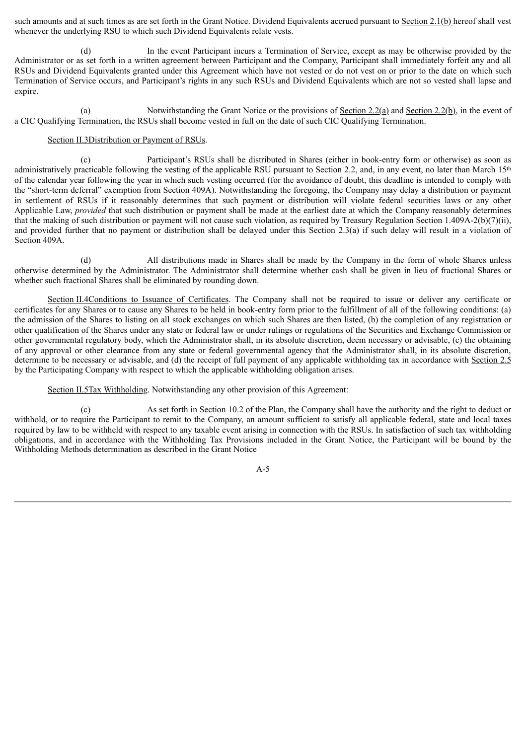such amounts and at such times as are set forth in the Grant Notice. Dividend Equivalents accrued pursuant to Section 2.1(b) hereof shall vest whenever the underlying RSU to which such Dividend Equivalents relate vests.

(d) In the event Participant incurs a Termination of Service, except as may be otherwise provided by the Administrator or as set forth in a written agreement between Participant and the Company, Participant shall immediately forfeit any and all RSUs and Dividend Equivalents granted under this Agreement which have not vested or do not vest on or prior to the date on which such Termination of Service occurs, and Participant's rights in any such RSUs and Dividend Equivalents which are not so vested shall lapse and expire.

(a) Notwithstanding the Grant Notice or the provisions of <u>Section 2.2(a)</u> and <u>Section 2.2(b)</u>, in the event of a CIC Qualifying Termination, the RSUs shall become vested in full on the date of such CIC Qualifying Termination.

### Section II.3Distribution or Payment of RSUs.

(c) Participant's RSUs shall be distributed in Shares (either in book-entry form or otherwise) as soon as administratively practicable following the vesting of the applicable RSU pursuant to Section 2.2, and, in any event, no later than March 15<sup>th</sup> of the calendar year following the year in which such vesting occurred (for the avoidance of doubt, this deadline is intended to comply with the "short-term deferral" exemption from Section 409A). Notwithstanding the foregoing, the Company may delay a distribution or payment in settlement of RSUs if it reasonably determines that such payment or distribution will violate federal securities laws or any other Applicable Law, *provided* that such distribution or payment shall be made at the earliest date at which the Company reasonably determines that the making of such distribution or payment will not cause such violation, as required by Treasury Regulation Section 1.409A-2(b)(7)(ii), and provided further that no payment or distribution shall be delayed under this Section 2.3(a) if such delay will result in a violation of Section 409A.

(d) All distributions made in Shares shall be made by the Company in the form of whole Shares unless otherwise determined by the Administrator. The Administrator shall determine whether cash shall be given in lieu of fractional Shares or whether such fractional Shares shall be eliminated by rounding down.

Section II.4Conditions to Issuance of Certificates. The Company shall not be required to issue or deliver any certificate or certificates for any Shares or to cause any Shares to be held in book-entry form prior to the fulfillment of all of the following conditions: (a) the admission of the Shares to listing on all stock exchanges on which such Shares are then listed, (b) the completion of any registration or other qualification of the Shares under any state or federal law or under rulings or regulations of the Securities and Exchange Commission or other governmental regulatory body, which the Administrator shall, in its absolute discretion, deem necessary or advisable, (c) the obtaining of any approval or other clearance from any state or federal governmental agency that the Administrator shall, in its absolute discretion, determine to be necessary or advisable, and (d) the receipt of full payment of any applicable withholding tax in accordance with Section 2.5 by the Participating Company with respect to which the applicable withholding obligation arises.

Section II.5Tax Withholding. Notwithstanding any other provision of this Agreement:

(c) As set forth in Section 10.2 of the Plan, the Company shall have the authority and the right to deduct or withhold, or to require the Participant to remit to the Company, an amount sufficient to satisfy all applicable federal, state and local taxes required by law to be withheld with respect to any taxable event arising in connection with the RSUs. In satisfaction of such tax withholding obligations, and in accordance with the Withholding Tax Provisions included in the Grant Notice, the Participant will be bound by the Withholding Methods determination as described in the Grant Notice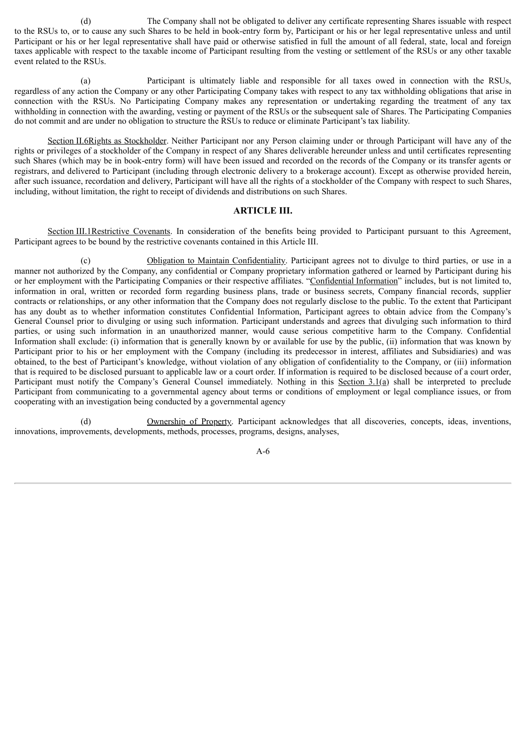(d) The Company shall not be obligated to deliver any certificate representing Shares issuable with respect to the RSUs to, or to cause any such Shares to be held in book-entry form by, Participant or his or her legal representative unless and until Participant or his or her legal representative shall have paid or otherwise satisfied in full the amount of all federal, state, local and foreign taxes applicable with respect to the taxable income of Participant resulting from the vesting or settlement of the RSUs or any other taxable event related to the RSUs.

(a) Participant is ultimately liable and responsible for all taxes owed in connection with the RSUs, regardless of any action the Company or any other Participating Company takes with respect to any tax withholding obligations that arise in connection with the RSUs. No Participating Company makes any representation or undertaking regarding the treatment of any tax withholding in connection with the awarding, vesting or payment of the RSUs or the subsequent sale of Shares. The Participating Companies do not commit and are under no obligation to structure the RSUs to reduce or eliminate Participant's tax liability.

Section II.6Rights as Stockholder. Neither Participant nor any Person claiming under or through Participant will have any of the rights or privileges of a stockholder of the Company in respect of any Shares deliverable hereunder unless and until certificates representing such Shares (which may be in book-entry form) will have been issued and recorded on the records of the Company or its transfer agents or registrars, and delivered to Participant (including through electronic delivery to a brokerage account). Except as otherwise provided herein, after such issuance, recordation and delivery, Participant will have all the rights of a stockholder of the Company with respect to such Shares, including, without limitation, the right to receipt of dividends and distributions on such Shares.

### **ARTICLE III.**

Section III.1Restrictive Covenants. In consideration of the benefits being provided to Participant pursuant to this Agreement, Participant agrees to be bound by the restrictive covenants contained in this Article III.

(c) Obligation to Maintain Confidentiality. Participant agrees not to divulge to third parties, or use in a manner not authorized by the Company, any confidential or Company proprietary information gathered or learned by Participant during his or her employment with the Participating Companies or their respective affiliates. "Confidential Information" includes, but is not limited to, information in oral, written or recorded form regarding business plans, trade or business secrets, Company financial records, supplier contracts or relationships, or any other information that the Company does not regularly disclose to the public. To the extent that Participant has any doubt as to whether information constitutes Confidential Information, Participant agrees to obtain advice from the Company's General Counsel prior to divulging or using such information. Participant understands and agrees that divulging such information to third parties, or using such information in an unauthorized manner, would cause serious competitive harm to the Company. Confidential Information shall exclude: (i) information that is generally known by or available for use by the public, (ii) information that was known by Participant prior to his or her employment with the Company (including its predecessor in interest, affiliates and Subsidiaries) and was obtained, to the best of Participant's knowledge, without violation of any obligation of confidentiality to the Company, or (iii) information that is required to be disclosed pursuant to applicable law or a court order. If information is required to be disclosed because of a court order, Participant must notify the Company's General Counsel immediately. Nothing in this Section 3.1(a) shall be interpreted to preclude Participant from communicating to a governmental agency about terms or conditions of employment or legal compliance issues, or from cooperating with an investigation being conducted by a governmental agency

(d) Ownership of Property. Participant acknowledges that all discoveries, concepts, ideas, inventions, innovations, improvements, developments, methods, processes, programs, designs, analyses,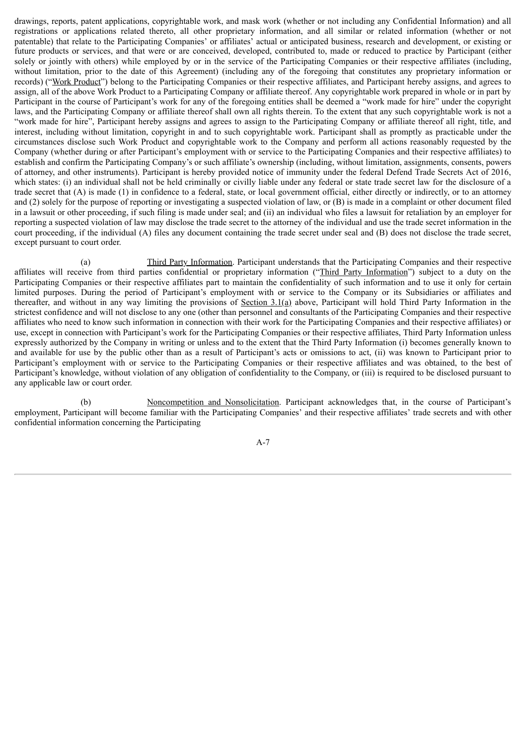drawings, reports, patent applications, copyrightable work, and mask work (whether or not including any Confidential Information) and all registrations or applications related thereto, all other proprietary information, and all similar or related information (whether or not patentable) that relate to the Participating Companies' or affiliates' actual or anticipated business, research and development, or existing or future products or services, and that were or are conceived, developed, contributed to, made or reduced to practice by Participant (either solely or jointly with others) while employed by or in the service of the Participating Companies or their respective affiliates (including, without limitation, prior to the date of this Agreement) (including any of the foregoing that constitutes any proprietary information or records) ("Work Product") belong to the Participating Companies or their respective affiliates, and Participant hereby assigns, and agrees to assign, all of the above Work Product to a Participating Company or affiliate thereof. Any copyrightable work prepared in whole or in part by Participant in the course of Participant's work for any of the foregoing entities shall be deemed a "work made for hire" under the copyright laws, and the Participating Company or affiliate thereof shall own all rights therein. To the extent that any such copyrightable work is not a "work made for hire", Participant hereby assigns and agrees to assign to the Participating Company or affiliate thereof all right, title, and interest, including without limitation, copyright in and to such copyrightable work. Participant shall as promptly as practicable under the circumstances disclose such Work Product and copyrightable work to the Company and perform all actions reasonably requested by the Company (whether during or after Participant's employment with or service to the Participating Companies and their respective affiliates) to establish and confirm the Participating Company's or such affiliate's ownership (including, without limitation, assignments, consents, powers of attorney, and other instruments). Participant is hereby provided notice of immunity under the federal Defend Trade Secrets Act of 2016, which states: (i) an individual shall not be held criminally or civilly liable under any federal or state trade secret law for the disclosure of a trade secret that (A) is made (1) in confidence to a federal, state, or local government official, either directly or indirectly, or to an attorney and (2) solely for the purpose of reporting or investigating a suspected violation of law, or (B) is made in a complaint or other document filed in a lawsuit or other proceeding, if such filing is made under seal; and (ii) an individual who files a lawsuit for retaliation by an employer for reporting a suspected violation of law may disclose the trade secret to the attorney of the individual and use the trade secret information in the court proceeding, if the individual (A) files any document containing the trade secret under seal and (B) does not disclose the trade secret, except pursuant to court order.

(a) Third Party Information. Participant understands that the Participating Companies and their respective affiliates will receive from third parties confidential or proprietary information ("Third Party Information") subject to a duty on the Participating Companies or their respective affiliates part to maintain the confidentiality of such information and to use it only for certain limited purposes. During the period of Participant's employment with or service to the Company or its Subsidiaries or affiliates and thereafter, and without in any way limiting the provisions of Section 3.1(a) above, Participant will hold Third Party Information in the strictest confidence and will not disclose to any one (other than personnel and consultants of the Participating Companies and their respective affiliates who need to know such information in connection with their work for the Participating Companies and their respective affiliates) or use, except in connection with Participant's work for the Participating Companies or their respective affiliates, Third Party Information unless expressly authorized by the Company in writing or unless and to the extent that the Third Party Information (i) becomes generally known to and available for use by the public other than as a result of Participant's acts or omissions to act, (ii) was known to Participant prior to Participant's employment with or service to the Participating Companies or their respective affiliates and was obtained, to the best of Participant's knowledge, without violation of any obligation of confidentiality to the Company, or (iii) is required to be disclosed pursuant to any applicable law or court order.

(b) Noncompetition and Nonsolicitation. Participant acknowledges that, in the course of Participant's employment, Participant will become familiar with the Participating Companies' and their respective affiliates' trade secrets and with other confidential information concerning the Participating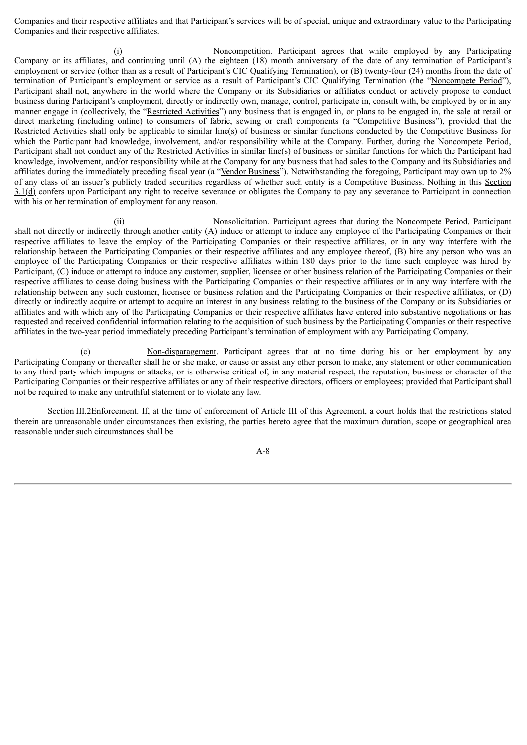Companies and their respective affiliates and that Participant's services will be of special, unique and extraordinary value to the Participating Companies and their respective affiliates.

(i) Noncompetition. Participant agrees that while employed by any Participating Company or its affiliates, and continuing until (A) the eighteen (18) month anniversary of the date of any termination of Participant's employment or service (other than as a result of Participant's CIC Qualifying Termination), or (B) twenty-four (24) months from the date of termination of Participant's employment or service as a result of Participant's CIC Qualifying Termination (the "Noncompete Period"), Participant shall not, anywhere in the world where the Company or its Subsidiaries or affiliates conduct or actively propose to conduct business during Participant's employment, directly or indirectly own, manage, control, participate in, consult with, be employed by or in any manner engage in (collectively, the "Restricted Activities") any business that is engaged in, or plans to be engaged in, the sale at retail or direct marketing (including online) to consumers of fabric, sewing or craft components (a "Competitive Business"), provided that the Restricted Activities shall only be applicable to similar line(s) of business or similar functions conducted by the Competitive Business for which the Participant had knowledge, involvement, and/or responsibility while at the Company. Further, during the Noncompete Period, Participant shall not conduct any of the Restricted Activities in similar line(s) of business or similar functions for which the Participant had knowledge, involvement, and/or responsibility while at the Company for any business that had sales to the Company and its Subsidiaries and affiliates during the immediately preceding fiscal year (a "Vendor Business"). Notwithstanding the foregoing, Participant may own up to 2% of any class of an issuer's publicly traded securities regardless of whether such entity is a Competitive Business. Nothing in this Section 3.1(d) confers upon Participant any right to receive severance or obligates the Company to pay any severance to Participant in connection with his or her termination of employment for any reason.

(ii) Nonsolicitation. Participant agrees that during the Noncompete Period, Participant shall not directly or indirectly through another entity (A) induce or attempt to induce any employee of the Participating Companies or their respective affiliates to leave the employ of the Participating Companies or their respective affiliates, or in any way interfere with the relationship between the Participating Companies or their respective affiliates and any employee thereof, (B) hire any person who was an employee of the Participating Companies or their respective affiliates within 180 days prior to the time such employee was hired by Participant, (C) induce or attempt to induce any customer, supplier, licensee or other business relation of the Participating Companies or their respective affiliates to cease doing business with the Participating Companies or their respective affiliates or in any way interfere with the relationship between any such customer, licensee or business relation and the Participating Companies or their respective affiliates, or (D) directly or indirectly acquire or attempt to acquire an interest in any business relating to the business of the Company or its Subsidiaries or affiliates and with which any of the Participating Companies or their respective affiliates have entered into substantive negotiations or has requested and received confidential information relating to the acquisition of such business by the Participating Companies or their respective affiliates in the two-year period immediately preceding Participant's termination of employment with any Participating Company.

(c) Non-disparagement. Participant agrees that at no time during his or her employment by any Participating Company or thereafter shall he or she make, or cause or assist any other person to make, any statement or other communication to any third party which impugns or attacks, or is otherwise critical of, in any material respect, the reputation, business or character of the Participating Companies or their respective affiliates or any of their respective directors, officers or employees; provided that Participant shall not be required to make any untruthful statement or to violate any law.

Section III.2Enforcement. If, at the time of enforcement of Article III of this Agreement, a court holds that the restrictions stated therein are unreasonable under circumstances then existing, the parties hereto agree that the maximum duration, scope or geographical area reasonable under such circumstances shall be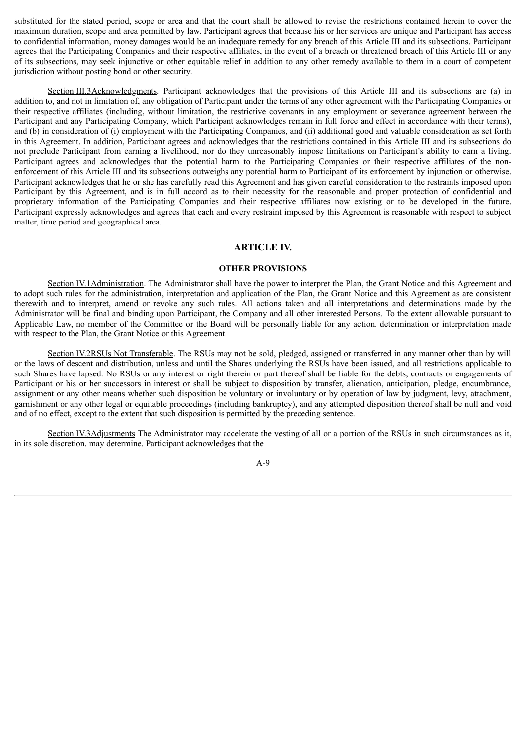substituted for the stated period, scope or area and that the court shall be allowed to revise the restrictions contained herein to cover the maximum duration, scope and area permitted by law. Participant agrees that because his or her services are unique and Participant has access to confidential information, money damages would be an inadequate remedy for any breach of this Article III and its subsections. Participant agrees that the Participating Companies and their respective affiliates, in the event of a breach or threatened breach of this Article III or any of its subsections, may seek injunctive or other equitable relief in addition to any other remedy available to them in a court of competent jurisdiction without posting bond or other security.

Section III.3Acknowledgments. Participant acknowledges that the provisions of this Article III and its subsections are (a) in addition to, and not in limitation of, any obligation of Participant under the terms of any other agreement with the Participating Companies or their respective affiliates (including, without limitation, the restrictive covenants in any employment or severance agreement between the Participant and any Participating Company, which Participant acknowledges remain in full force and effect in accordance with their terms), and (b) in consideration of (i) employment with the Participating Companies, and (ii) additional good and valuable consideration as set forth in this Agreement. In addition, Participant agrees and acknowledges that the restrictions contained in this Article III and its subsections do not preclude Participant from earning a livelihood, nor do they unreasonably impose limitations on Participant's ability to earn a living. Participant agrees and acknowledges that the potential harm to the Participating Companies or their respective affiliates of the nonenforcement of this Article III and its subsections outweighs any potential harm to Participant of its enforcement by injunction or otherwise. Participant acknowledges that he or she has carefully read this Agreement and has given careful consideration to the restraints imposed upon Participant by this Agreement, and is in full accord as to their necessity for the reasonable and proper protection of confidential and proprietary information of the Participating Companies and their respective affiliates now existing or to be developed in the future. Participant expressly acknowledges and agrees that each and every restraint imposed by this Agreement is reasonable with respect to subject matter, time period and geographical area.

### **ARTICLE IV.**

### **OTHER PROVISIONS**

Section IV.1Administration. The Administrator shall have the power to interpret the Plan, the Grant Notice and this Agreement and to adopt such rules for the administration, interpretation and application of the Plan, the Grant Notice and this Agreement as are consistent therewith and to interpret, amend or revoke any such rules. All actions taken and all interpretations and determinations made by the Administrator will be final and binding upon Participant, the Company and all other interested Persons. To the extent allowable pursuant to Applicable Law, no member of the Committee or the Board will be personally liable for any action, determination or interpretation made with respect to the Plan, the Grant Notice or this Agreement.

Section IV.2RSUs Not Transferable. The RSUs may not be sold, pledged, assigned or transferred in any manner other than by will or the laws of descent and distribution, unless and until the Shares underlying the RSUs have been issued, and all restrictions applicable to such Shares have lapsed. No RSUs or any interest or right therein or part thereof shall be liable for the debts, contracts or engagements of Participant or his or her successors in interest or shall be subject to disposition by transfer, alienation, anticipation, pledge, encumbrance, assignment or any other means whether such disposition be voluntary or involuntary or by operation of law by judgment, levy, attachment, garnishment or any other legal or equitable proceedings (including bankruptcy), and any attempted disposition thereof shall be null and void and of no effect, except to the extent that such disposition is permitted by the preceding sentence.

Section IV.3Adjustments The Administrator may accelerate the vesting of all or a portion of the RSUs in such circumstances as it, in its sole discretion, may determine. Participant acknowledges that the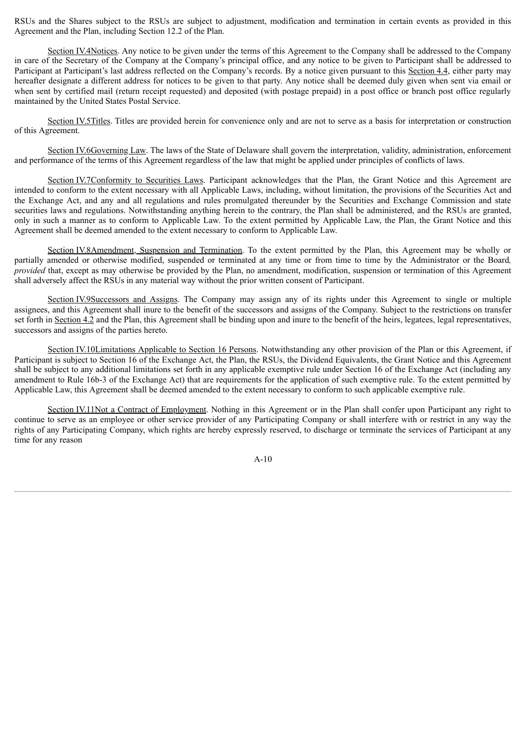RSUs and the Shares subject to the RSUs are subject to adjustment, modification and termination in certain events as provided in this Agreement and the Plan, including Section 12.2 of the Plan.

Section IV.4Notices. Any notice to be given under the terms of this Agreement to the Company shall be addressed to the Company in care of the Secretary of the Company at the Company's principal office, and any notice to be given to Participant shall be addressed to Participant at Participant's last address reflected on the Company's records. By a notice given pursuant to this Section 4.4, either party may hereafter designate a different address for notices to be given to that party. Any notice shall be deemed duly given when sent via email or when sent by certified mail (return receipt requested) and deposited (with postage prepaid) in a post office or branch post office regularly maintained by the United States Postal Service.

Section IV.5Titles. Titles are provided herein for convenience only and are not to serve as a basis for interpretation or construction of this Agreement.

Section IV.6Governing Law. The laws of the State of Delaware shall govern the interpretation, validity, administration, enforcement and performance of the terms of this Agreement regardless of the law that might be applied under principles of conflicts of laws.

Section IV.7Conformity to Securities Laws. Participant acknowledges that the Plan, the Grant Notice and this Agreement are intended to conform to the extent necessary with all Applicable Laws, including, without limitation, the provisions of the Securities Act and the Exchange Act, and any and all regulations and rules promulgated thereunder by the Securities and Exchange Commission and state securities laws and regulations. Notwithstanding anything herein to the contrary, the Plan shall be administered, and the RSUs are granted, only in such a manner as to conform to Applicable Law. To the extent permitted by Applicable Law, the Plan, the Grant Notice and this Agreement shall be deemed amended to the extent necessary to conform to Applicable Law.

Section IV.8Amendment, Suspension and Termination. To the extent permitted by the Plan, this Agreement may be wholly or partially amended or otherwise modified, suspended or terminated at any time or from time to time by the Administrator or the Board*, provided* that, except as may otherwise be provided by the Plan, no amendment, modification, suspension or termination of this Agreement shall adversely affect the RSUs in any material way without the prior written consent of Participant.

Section IV.9Successors and Assigns. The Company may assign any of its rights under this Agreement to single or multiple assignees, and this Agreement shall inure to the benefit of the successors and assigns of the Company. Subject to the restrictions on transfer set forth in Section 4.2 and the Plan, this Agreement shall be binding upon and inure to the benefit of the heirs, legatees, legal representatives, successors and assigns of the parties hereto.

Section IV.10Limitations Applicable to Section 16 Persons. Notwithstanding any other provision of the Plan or this Agreement, if Participant is subject to Section 16 of the Exchange Act, the Plan, the RSUs, the Dividend Equivalents, the Grant Notice and this Agreement shall be subject to any additional limitations set forth in any applicable exemptive rule under Section 16 of the Exchange Act (including any amendment to Rule 16b-3 of the Exchange Act) that are requirements for the application of such exemptive rule. To the extent permitted by Applicable Law, this Agreement shall be deemed amended to the extent necessary to conform to such applicable exemptive rule.

Section IV.11Not a Contract of Employment. Nothing in this Agreement or in the Plan shall confer upon Participant any right to continue to serve as an employee or other service provider of any Participating Company or shall interfere with or restrict in any way the rights of any Participating Company, which rights are hereby expressly reserved, to discharge or terminate the services of Participant at any time for any reason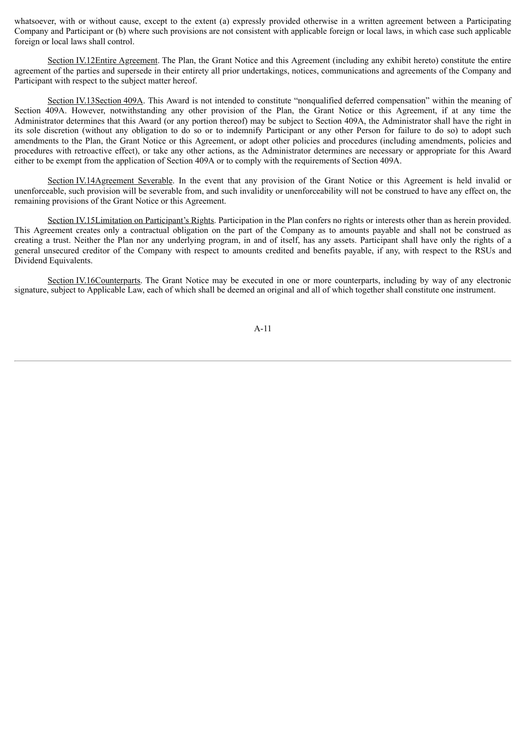whatsoever, with or without cause, except to the extent (a) expressly provided otherwise in a written agreement between a Participating Company and Participant or (b) where such provisions are not consistent with applicable foreign or local laws, in which case such applicable foreign or local laws shall control.

Section IV.12Entire Agreement. The Plan, the Grant Notice and this Agreement (including any exhibit hereto) constitute the entire agreement of the parties and supersede in their entirety all prior undertakings, notices, communications and agreements of the Company and Participant with respect to the subject matter hereof.

Section IV.13Section 409A. This Award is not intended to constitute "nonqualified deferred compensation" within the meaning of Section 409A. However, notwithstanding any other provision of the Plan, the Grant Notice or this Agreement, if at any time the Administrator determines that this Award (or any portion thereof) may be subject to Section 409A, the Administrator shall have the right in its sole discretion (without any obligation to do so or to indemnify Participant or any other Person for failure to do so) to adopt such amendments to the Plan, the Grant Notice or this Agreement, or adopt other policies and procedures (including amendments, policies and procedures with retroactive effect), or take any other actions, as the Administrator determines are necessary or appropriate for this Award either to be exempt from the application of Section 409A or to comply with the requirements of Section 409A.

Section IV.14Agreement Severable. In the event that any provision of the Grant Notice or this Agreement is held invalid or unenforceable, such provision will be severable from, and such invalidity or unenforceability will not be construed to have any effect on, the remaining provisions of the Grant Notice or this Agreement.

Section IV.15Limitation on Participant's Rights. Participation in the Plan confers no rights or interests other than as herein provided. This Agreement creates only a contractual obligation on the part of the Company as to amounts payable and shall not be construed as creating a trust. Neither the Plan nor any underlying program, in and of itself, has any assets. Participant shall have only the rights of a general unsecured creditor of the Company with respect to amounts credited and benefits payable, if any, with respect to the RSUs and Dividend Equivalents.

Section IV.16Counterparts. The Grant Notice may be executed in one or more counterparts, including by way of any electronic signature, subject to Applicable Law, each of which shall be deemed an original and all of which together shall constitute one instrument.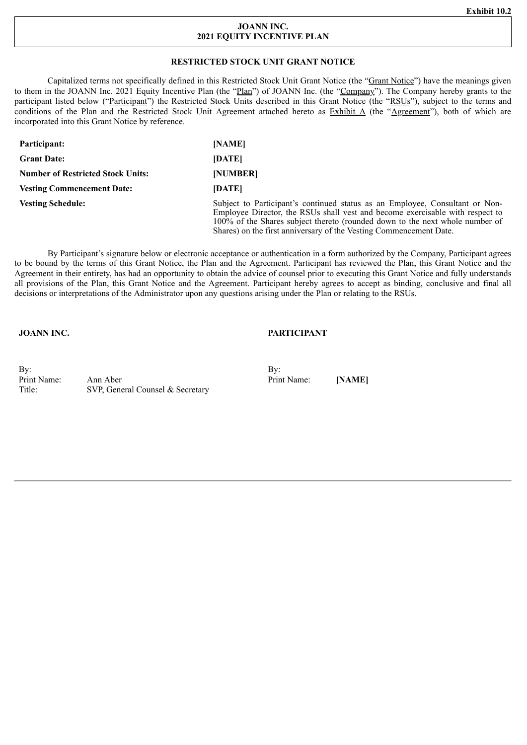### **Exhibit 10.2**

### **JOANN INC. 2021 EQUITY INCENTIVE PLAN**

### **RESTRICTED STOCK UNIT GRANT NOTICE**

<span id="page-38-0"></span>Capitalized terms not specifically defined in this Restricted Stock Unit Grant Notice (the "Grant Notice") have the meanings given to them in the JOANN Inc. 2021 Equity Incentive Plan (the "Plan") of JOANN Inc. (the "Company"). The Company hereby grants to the participant listed below ("Participant") the Restricted Stock Units described in this Grant Notice (the "RSUs"), subject to the terms and conditions of the Plan and the Restricted Stock Unit Agreement attached hereto as Exhibit A (the "Agreement"), both of which are incorporated into this Grant Notice by reference.

| Participant:                             | [NAME]                                                                                                                                                                                                                                                                                                              |
|------------------------------------------|---------------------------------------------------------------------------------------------------------------------------------------------------------------------------------------------------------------------------------------------------------------------------------------------------------------------|
| <b>Grant Date:</b>                       | [DATE]                                                                                                                                                                                                                                                                                                              |
| <b>Number of Restricted Stock Units:</b> | [NUMBER]                                                                                                                                                                                                                                                                                                            |
| <b>Vesting Commencement Date:</b>        | [DATE]                                                                                                                                                                                                                                                                                                              |
| <b>Vesting Schedule:</b>                 | Subject to Participant's continued status as an Employee, Consultant or Non-<br>Employee Director, the RSUs shall vest and become exercisable with respect to<br>100% of the Shares subject thereto (rounded down to the next whole number of<br>Shares) on the first anniversary of the Vesting Commencement Date. |

By Participant's signature below or electronic acceptance or authentication in a form authorized by the Company, Participant agrees to be bound by the terms of this Grant Notice, the Plan and the Agreement. Participant has reviewed the Plan, this Grant Notice and the Agreement in their entirety, has had an opportunity to obtain the advice of counsel prior to executing this Grant Notice and fully understands all provisions of the Plan, this Grant Notice and the Agreement. Participant hereby agrees to accept as binding, conclusive and final all decisions or interpretations of the Administrator upon any questions arising under the Plan or relating to the RSUs.

### **JOANN INC. PARTICIPANT**

By: By:

Print Name: Ann Aber **Print Name:** [NAME] Title: SVP, General Counsel & Secretary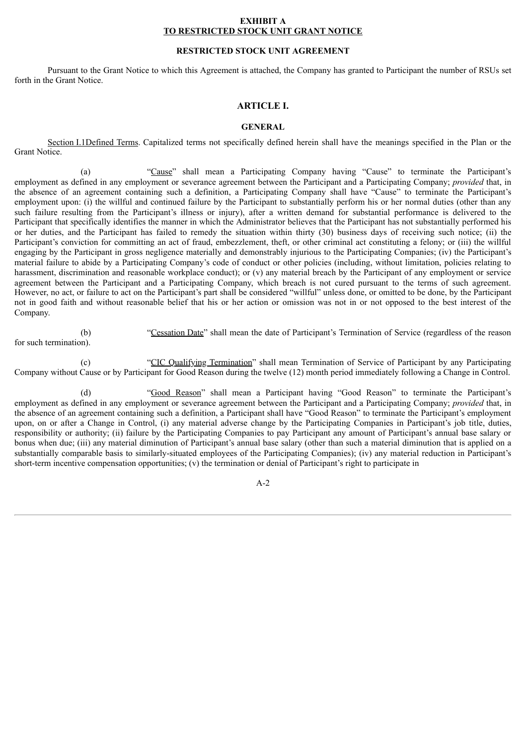### **EXHIBIT A TO RESTRICTED STOCK UNIT GRANT NOTICE**

### **RESTRICTED STOCK UNIT AGREEMENT**

Pursuant to the Grant Notice to which this Agreement is attached, the Company has granted to Participant the number of RSUs set forth in the Grant Notice.

### **ARTICLE I.**

#### **GENERAL**

Section I.1Defined Terms. Capitalized terms not specifically defined herein shall have the meanings specified in the Plan or the Grant Notice.

(a) "Cause" shall mean a Participating Company having "Cause" to terminate the Participant's employment as defined in any employment or severance agreement between the Participant and a Participating Company; *provided* that, in the absence of an agreement containing such a definition, a Participating Company shall have "Cause" to terminate the Participant's employment upon: (i) the willful and continued failure by the Participant to substantially perform his or her normal duties (other than any such failure resulting from the Participant's illness or injury), after a written demand for substantial performance is delivered to the Participant that specifically identifies the manner in which the Administrator believes that the Participant has not substantially performed his or her duties, and the Participant has failed to remedy the situation within thirty (30) business days of receiving such notice; (ii) the Participant's conviction for committing an act of fraud, embezzlement, theft, or other criminal act constituting a felony; or (iii) the willful engaging by the Participant in gross negligence materially and demonstrably injurious to the Participating Companies; (iv) the Participant's material failure to abide by a Participating Company's code of conduct or other policies (including, without limitation, policies relating to harassment, discrimination and reasonable workplace conduct); or (v) any material breach by the Participant of any employment or service agreement between the Participant and a Participating Company, which breach is not cured pursuant to the terms of such agreement. However, no act, or failure to act on the Participant's part shall be considered "willful" unless done, or omitted to be done, by the Participant not in good faith and without reasonable belief that his or her action or omission was not in or not opposed to the best interest of the Company.

(b) "Cessation Date" shall mean the date of Participant's Termination of Service (regardless of the reason for such termination).

(c) "CIC Qualifying Termination" shall mean Termination of Service of Participant by any Participating Company without Cause or by Participant for Good Reason during the twelve (12) month period immediately following a Change in Control.

(d) "Good Reason" shall mean a Participant having "Good Reason" to terminate the Participant's employment as defined in any employment or severance agreement between the Participant and a Participating Company; *provided* that, in the absence of an agreement containing such a definition, a Participant shall have "Good Reason" to terminate the Participant's employment upon, on or after a Change in Control, (i) any material adverse change by the Participating Companies in Participant's job title, duties, responsibility or authority; (ii) failure by the Participating Companies to pay Participant any amount of Participant's annual base salary or bonus when due; (iii) any material diminution of Participant's annual base salary (other than such a material diminution that is applied on a substantially comparable basis to similarly-situated employees of the Participating Companies); (iv) any material reduction in Participant's short-term incentive compensation opportunities; (v) the termination or denial of Participant's right to participate in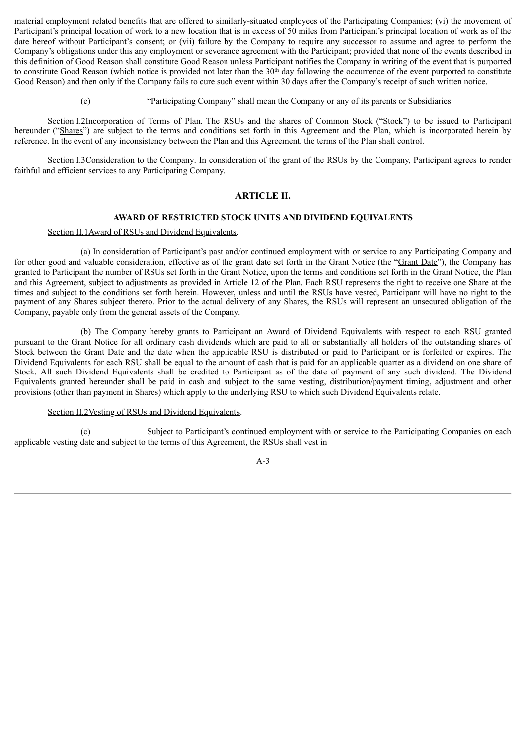material employment related benefits that are offered to similarly-situated employees of the Participating Companies; (vi) the movement of Participant's principal location of work to a new location that is in excess of 50 miles from Participant's principal location of work as of the date hereof without Participant's consent; or (vii) failure by the Company to require any successor to assume and agree to perform the Company's obligations under this any employment or severance agreement with the Participant; provided that none of the events described in this definition of Good Reason shall constitute Good Reason unless Participant notifies the Company in writing of the event that is purported to constitute Good Reason (which notice is provided not later than the 30<sup>th</sup> day following the occurrence of the event purported to constitute Good Reason) and then only if the Company fails to cure such event within 30 days after the Company's receipt of such written notice.

(e) "Participating Company" shall mean the Company or any of its parents or Subsidiaries.

Section I.2Incorporation of Terms of Plan. The RSUs and the shares of Common Stock ("Stock") to be issued to Participant hereunder ("Shares") are subject to the terms and conditions set forth in this Agreement and the Plan, which is incorporated herein by reference. In the event of any inconsistency between the Plan and this Agreement, the terms of the Plan shall control.

Section I.3Consideration to the Company. In consideration of the grant of the RSUs by the Company, Participant agrees to render faithful and efficient services to any Participating Company.

### **ARTICLE II.**

### **AWARD OF RESTRICTED STOCK UNITS AND DIVIDEND EQUIVALENTS**

### Section II.1Award of RSUs and Dividend Equivalents.

(a) In consideration of Participant's past and/or continued employment with or service to any Participating Company and for other good and valuable consideration, effective as of the grant date set forth in the Grant Notice (the "Grant Date"), the Company has granted to Participant the number of RSUs set forth in the Grant Notice, upon the terms and conditions set forth in the Grant Notice, the Plan and this Agreement, subject to adjustments as provided in Article 12 of the Plan. Each RSU represents the right to receive one Share at the times and subject to the conditions set forth herein. However, unless and until the RSUs have vested, Participant will have no right to the payment of any Shares subject thereto. Prior to the actual delivery of any Shares, the RSUs will represent an unsecured obligation of the Company, payable only from the general assets of the Company.

(b) The Company hereby grants to Participant an Award of Dividend Equivalents with respect to each RSU granted pursuant to the Grant Notice for all ordinary cash dividends which are paid to all or substantially all holders of the outstanding shares of Stock between the Grant Date and the date when the applicable RSU is distributed or paid to Participant or is forfeited or expires. The Dividend Equivalents for each RSU shall be equal to the amount of cash that is paid for an applicable quarter as a dividend on one share of Stock. All such Dividend Equivalents shall be credited to Participant as of the date of payment of any such dividend. The Dividend Equivalents granted hereunder shall be paid in cash and subject to the same vesting, distribution/payment timing, adjustment and other provisions (other than payment in Shares) which apply to the underlying RSU to which such Dividend Equivalents relate.

### Section II.2Vesting of RSUs and Dividend Equivalents.

(c) Subject to Participant's continued employment with or service to the Participating Companies on each applicable vesting date and subject to the terms of this Agreement, the RSUs shall vest in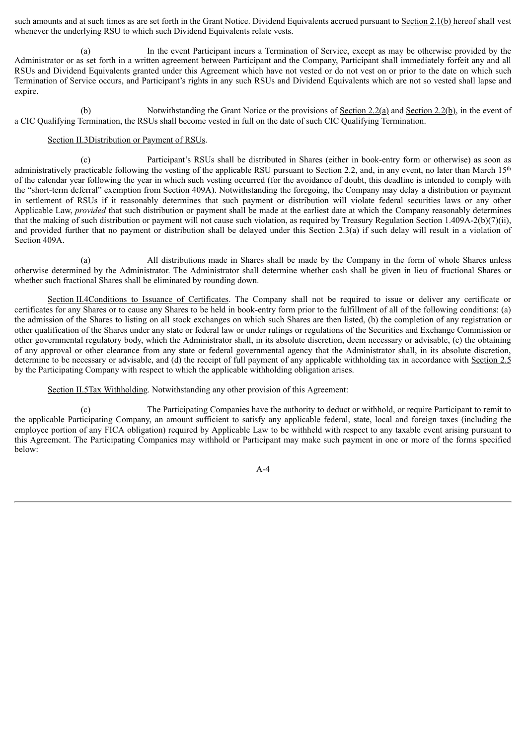such amounts and at such times as are set forth in the Grant Notice. Dividend Equivalents accrued pursuant to Section 2.1(b) hereof shall vest whenever the underlying RSU to which such Dividend Equivalents relate vests.

(a) In the event Participant incurs a Termination of Service, except as may be otherwise provided by the Administrator or as set forth in a written agreement between Participant and the Company, Participant shall immediately forfeit any and all RSUs and Dividend Equivalents granted under this Agreement which have not vested or do not vest on or prior to the date on which such Termination of Service occurs, and Participant's rights in any such RSUs and Dividend Equivalents which are not so vested shall lapse and expire.

(b) Notwithstanding the Grant Notice or the provisions of <u>Section 2.2(a)</u> and <u>Section 2.2(b)</u>, in the event of a CIC Qualifying Termination, the RSUs shall become vested in full on the date of such CIC Qualifying Termination.

### Section II.3Distribution or Payment of RSUs.

(c) Participant's RSUs shall be distributed in Shares (either in book-entry form or otherwise) as soon as administratively practicable following the vesting of the applicable RSU pursuant to Section 2.2, and, in any event, no later than March 15<sup>th</sup> of the calendar year following the year in which such vesting occurred (for the avoidance of doubt, this deadline is intended to comply with the "short-term deferral" exemption from Section 409A). Notwithstanding the foregoing, the Company may delay a distribution or payment in settlement of RSUs if it reasonably determines that such payment or distribution will violate federal securities laws or any other Applicable Law, *provided* that such distribution or payment shall be made at the earliest date at which the Company reasonably determines that the making of such distribution or payment will not cause such violation, as required by Treasury Regulation Section 1.409A-2(b)(7)(ii), and provided further that no payment or distribution shall be delayed under this Section 2.3(a) if such delay will result in a violation of Section 409A.

(a) All distributions made in Shares shall be made by the Company in the form of whole Shares unless otherwise determined by the Administrator. The Administrator shall determine whether cash shall be given in lieu of fractional Shares or whether such fractional Shares shall be eliminated by rounding down.

Section II.4Conditions to Issuance of Certificates. The Company shall not be required to issue or deliver any certificate or certificates for any Shares or to cause any Shares to be held in book-entry form prior to the fulfillment of all of the following conditions: (a) the admission of the Shares to listing on all stock exchanges on which such Shares are then listed, (b) the completion of any registration or other qualification of the Shares under any state or federal law or under rulings or regulations of the Securities and Exchange Commission or other governmental regulatory body, which the Administrator shall, in its absolute discretion, deem necessary or advisable, (c) the obtaining of any approval or other clearance from any state or federal governmental agency that the Administrator shall, in its absolute discretion, determine to be necessary or advisable, and (d) the receipt of full payment of any applicable withholding tax in accordance with Section 2.5 by the Participating Company with respect to which the applicable withholding obligation arises.

Section II.5Tax Withholding. Notwithstanding any other provision of this Agreement:

(c) The Participating Companies have the authority to deduct or withhold, or require Participant to remit to the applicable Participating Company, an amount sufficient to satisfy any applicable federal, state, local and foreign taxes (including the employee portion of any FICA obligation) required by Applicable Law to be withheld with respect to any taxable event arising pursuant to this Agreement. The Participating Companies may withhold or Participant may make such payment in one or more of the forms specified below: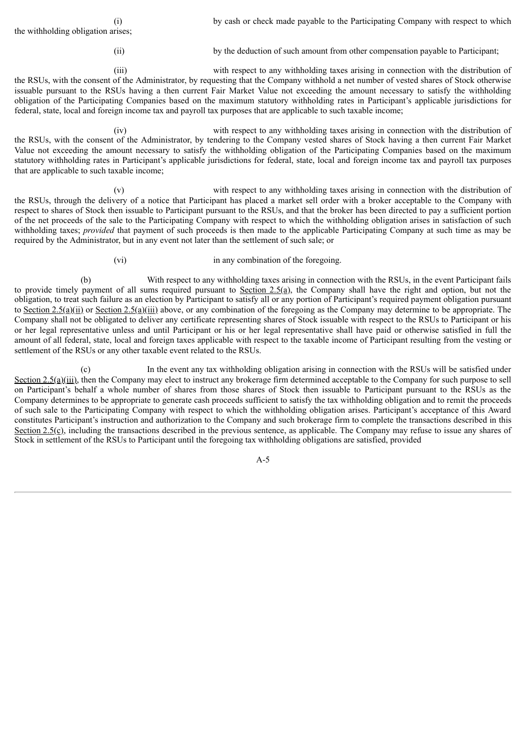the withholding obligation arises;

(i) by cash or check made payable to the Participating Company with respect to which

(ii) by the deduction of such amount from other compensation payable to Participant;

(iii) with respect to any withholding taxes arising in connection with the distribution of the RSUs, with the consent of the Administrator, by requesting that the Company withhold a net number of vested shares of Stock otherwise issuable pursuant to the RSUs having a then current Fair Market Value not exceeding the amount necessary to satisfy the withholding obligation of the Participating Companies based on the maximum statutory withholding rates in Participant's applicable jurisdictions for federal, state, local and foreign income tax and payroll tax purposes that are applicable to such taxable income;

(iv) with respect to any withholding taxes arising in connection with the distribution of the RSUs, with the consent of the Administrator, by tendering to the Company vested shares of Stock having a then current Fair Market Value not exceeding the amount necessary to satisfy the withholding obligation of the Participating Companies based on the maximum statutory withholding rates in Participant's applicable jurisdictions for federal, state, local and foreign income tax and payroll tax purposes that are applicable to such taxable income;

(v) with respect to any withholding taxes arising in connection with the distribution of the RSUs, through the delivery of a notice that Participant has placed a market sell order with a broker acceptable to the Company with respect to shares of Stock then issuable to Participant pursuant to the RSUs, and that the broker has been directed to pay a sufficient portion of the net proceeds of the sale to the Participating Company with respect to which the withholding obligation arises in satisfaction of such withholding taxes; *provided* that payment of such proceeds is then made to the applicable Participating Company at such time as may be required by the Administrator, but in any event not later than the settlement of such sale; or

(vi) in any combination of the foregoing.

(b) With respect to any withholding taxes arising in connection with the RSUs, in the event Participant fails to provide timely payment of all sums required pursuant to Section 2.5(a), the Company shall have the right and option, but not the obligation, to treat such failure as an election by Participant to satisfy all or any portion of Participant's required payment obligation pursuant to Section 2.5(a)(ii) or Section 2.5(a)(iii) above, or any combination of the foregoing as the Company may determine to be appropriate. The Company shall not be obligated to deliver any certificate representing shares of Stock issuable with respect to the RSUs to Participant or his or her legal representative unless and until Participant or his or her legal representative shall have paid or otherwise satisfied in full the amount of all federal, state, local and foreign taxes applicable with respect to the taxable income of Participant resulting from the vesting or settlement of the RSUs or any other taxable event related to the RSUs.

(c) In the event any tax withholding obligation arising in connection with the RSUs will be satisfied under Section 2.5(a)(iii), then the Company may elect to instruct any brokerage firm determined acceptable to the Company for such purpose to sell on Participant's behalf a whole number of shares from those shares of Stock then issuable to Participant pursuant to the RSUs as the Company determines to be appropriate to generate cash proceeds sufficient to satisfy the tax withholding obligation and to remit the proceeds of such sale to the Participating Company with respect to which the withholding obligation arises. Participant's acceptance of this Award constitutes Participant's instruction and authorization to the Company and such brokerage firm to complete the transactions described in this Section 2.5(c), including the transactions described in the previous sentence, as applicable. The Company may refuse to issue any shares of Stock in settlement of the RSUs to Participant until the foregoing tax withholding obligations are satisfied, provided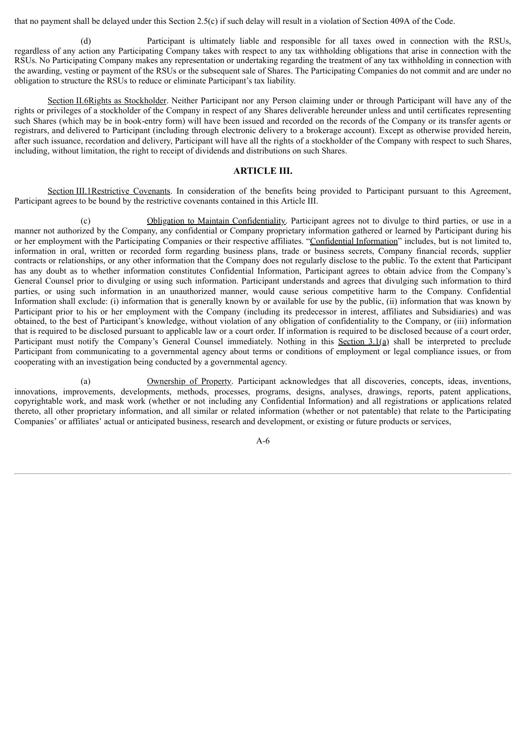that no payment shall be delayed under this Section 2.5(c) if such delay will result in a violation of Section 409A of the Code.

(d) Participant is ultimately liable and responsible for all taxes owed in connection with the RSUs, regardless of any action any Participating Company takes with respect to any tax withholding obligations that arise in connection with the RSUs. No Participating Company makes any representation or undertaking regarding the treatment of any tax withholding in connection with the awarding, vesting or payment of the RSUs or the subsequent sale of Shares. The Participating Companies do not commit and are under no obligation to structure the RSUs to reduce or eliminate Participant's tax liability.

Section II.6Rights as Stockholder. Neither Participant nor any Person claiming under or through Participant will have any of the rights or privileges of a stockholder of the Company in respect of any Shares deliverable hereunder unless and until certificates representing such Shares (which may be in book-entry form) will have been issued and recorded on the records of the Company or its transfer agents or registrars, and delivered to Participant (including through electronic delivery to a brokerage account). Except as otherwise provided herein, after such issuance, recordation and delivery, Participant will have all the rights of a stockholder of the Company with respect to such Shares, including, without limitation, the right to receipt of dividends and distributions on such Shares.

### **ARTICLE III.**

Section III.1Restrictive Covenants. In consideration of the benefits being provided to Participant pursuant to this Agreement, Participant agrees to be bound by the restrictive covenants contained in this Article III.

(c) Obligation to Maintain Confidentiality. Participant agrees not to divulge to third parties, or use in a manner not authorized by the Company, any confidential or Company proprietary information gathered or learned by Participant during his or her employment with the Participating Companies or their respective affiliates. "Confidential Information" includes, but is not limited to, information in oral, written or recorded form regarding business plans, trade or business secrets, Company financial records, supplier contracts or relationships, or any other information that the Company does not regularly disclose to the public. To the extent that Participant has any doubt as to whether information constitutes Confidential Information, Participant agrees to obtain advice from the Company's General Counsel prior to divulging or using such information. Participant understands and agrees that divulging such information to third parties, or using such information in an unauthorized manner, would cause serious competitive harm to the Company. Confidential Information shall exclude: (i) information that is generally known by or available for use by the public, (ii) information that was known by Participant prior to his or her employment with the Company (including its predecessor in interest, affiliates and Subsidiaries) and was obtained, to the best of Participant's knowledge, without violation of any obligation of confidentiality to the Company, or (iii) information that is required to be disclosed pursuant to applicable law or a court order. If information is required to be disclosed because of a court order, Participant must notify the Company's General Counsel immediately. Nothing in this Section 3.1(a) shall be interpreted to preclude Participant from communicating to a governmental agency about terms or conditions of employment or legal compliance issues, or from cooperating with an investigation being conducted by a governmental agency.

(a) Ownership of Property. Participant acknowledges that all discoveries, concepts, ideas, inventions, innovations, improvements, developments, methods, processes, programs, designs, analyses, drawings, reports, patent applications, copyrightable work, and mask work (whether or not including any Confidential Information) and all registrations or applications related thereto, all other proprietary information, and all similar or related information (whether or not patentable) that relate to the Participating Companies' or affiliates' actual or anticipated business, research and development, or existing or future products or services,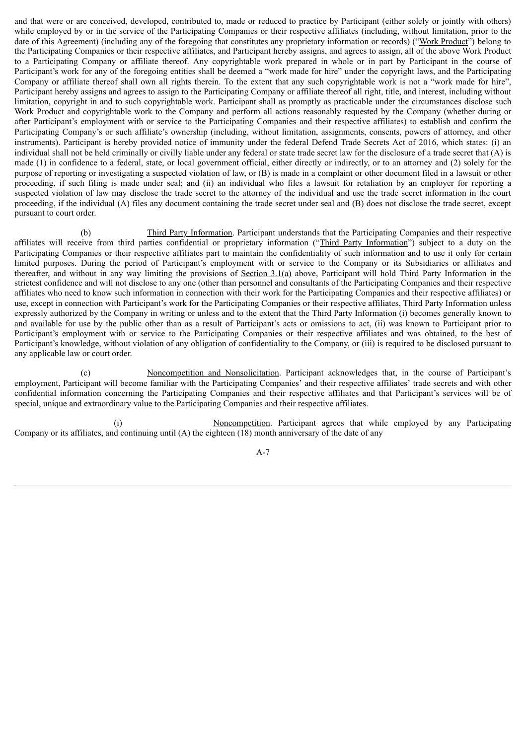and that were or are conceived, developed, contributed to, made or reduced to practice by Participant (either solely or jointly with others) while employed by or in the service of the Participating Companies or their respective affiliates (including, without limitation, prior to the date of this Agreement) (including any of the foregoing that constitutes any proprietary information or records) ("Work Product") belong to the Participating Companies or their respective affiliates, and Participant hereby assigns, and agrees to assign, all of the above Work Product to a Participating Company or affiliate thereof. Any copyrightable work prepared in whole or in part by Participant in the course of Participant's work for any of the foregoing entities shall be deemed a "work made for hire" under the copyright laws, and the Participating Company or affiliate thereof shall own all rights therein. To the extent that any such copyrightable work is not a "work made for hire", Participant hereby assigns and agrees to assign to the Participating Company or affiliate thereof all right, title, and interest, including without limitation, copyright in and to such copyrightable work. Participant shall as promptly as practicable under the circumstances disclose such Work Product and copyrightable work to the Company and perform all actions reasonably requested by the Company (whether during or after Participant's employment with or service to the Participating Companies and their respective affiliates) to establish and confirm the Participating Company's or such affiliate's ownership (including, without limitation, assignments, consents, powers of attorney, and other instruments). Participant is hereby provided notice of immunity under the federal Defend Trade Secrets Act of 2016, which states: (i) an individual shall not be held criminally or civilly liable under any federal or state trade secret law for the disclosure of a trade secret that (A) is made (1) in confidence to a federal, state, or local government official, either directly or indirectly, or to an attorney and (2) solely for the purpose of reporting or investigating a suspected violation of law, or (B) is made in a complaint or other document filed in a lawsuit or other proceeding, if such filing is made under seal; and (ii) an individual who files a lawsuit for retaliation by an employer for reporting a suspected violation of law may disclose the trade secret to the attorney of the individual and use the trade secret information in the court proceeding, if the individual (A) files any document containing the trade secret under seal and (B) does not disclose the trade secret, except pursuant to court order.

(b) Third Party Information. Participant understands that the Participating Companies and their respective affiliates will receive from third parties confidential or proprietary information ("Third Party Information") subject to a duty on the Participating Companies or their respective affiliates part to maintain the confidentiality of such information and to use it only for certain limited purposes. During the period of Participant's employment with or service to the Company or its Subsidiaries or affiliates and thereafter, and without in any way limiting the provisions of Section 3.1(a) above, Participant will hold Third Party Information in the strictest confidence and will not disclose to any one (other than personnel and consultants of the Participating Companies and their respective affiliates who need to know such information in connection with their work for the Participating Companies and their respective affiliates) or use, except in connection with Participant's work for the Participating Companies or their respective affiliates, Third Party Information unless expressly authorized by the Company in writing or unless and to the extent that the Third Party Information (i) becomes generally known to and available for use by the public other than as a result of Participant's acts or omissions to act, (ii) was known to Participant prior to Participant's employment with or service to the Participating Companies or their respective affiliates and was obtained, to the best of Participant's knowledge, without violation of any obligation of confidentiality to the Company, or (iii) is required to be disclosed pursuant to any applicable law or court order.

(c) Noncompetition and Nonsolicitation. Participant acknowledges that, in the course of Participant's employment, Participant will become familiar with the Participating Companies' and their respective affiliates' trade secrets and with other confidential information concerning the Participating Companies and their respective affiliates and that Participant's services will be of special, unique and extraordinary value to the Participating Companies and their respective affiliates.

(i) Noncompetition. Participant agrees that while employed by any Participating Company or its affiliates, and continuing until  $(A)$  the eighteen  $(18)$  month anniversary of the date of any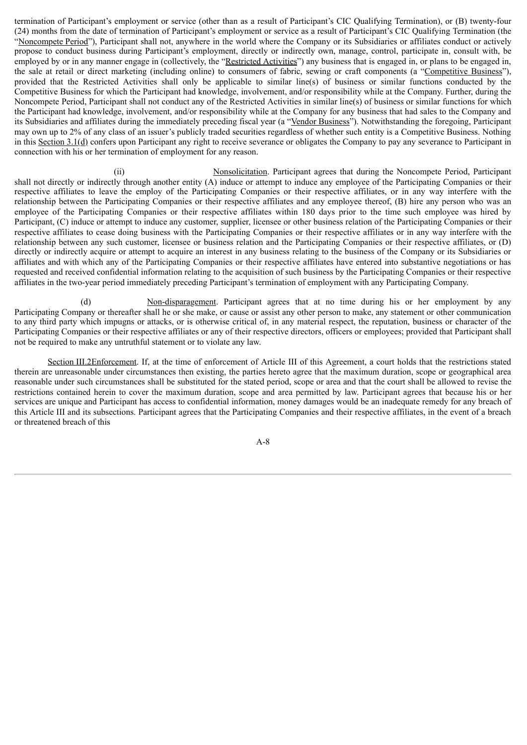termination of Participant's employment or service (other than as a result of Participant's CIC Qualifying Termination), or (B) twenty-four (24) months from the date of termination of Participant's employment or service as a result of Participant's CIC Qualifying Termination (the "Noncompete Period"), Participant shall not, anywhere in the world where the Company or its Subsidiaries or affiliates conduct or actively propose to conduct business during Participant's employment, directly or indirectly own, manage, control, participate in, consult with, be employed by or in any manner engage in (collectively, the "Restricted Activities") any business that is engaged in, or plans to be engaged in, the sale at retail or direct marketing (including online) to consumers of fabric, sewing or craft components (a "Competitive Business"), provided that the Restricted Activities shall only be applicable to similar line(s) of business or similar functions conducted by the Competitive Business for which the Participant had knowledge, involvement, and/or responsibility while at the Company. Further, during the Noncompete Period, Participant shall not conduct any of the Restricted Activities in similar line(s) of business or similar functions for which the Participant had knowledge, involvement, and/or responsibility while at the Company for any business that had sales to the Company and its Subsidiaries and affiliates during the immediately preceding fiscal year (a "Vendor Business"). Notwithstanding the foregoing, Participant may own up to 2% of any class of an issuer's publicly traded securities regardless of whether such entity is a Competitive Business. Nothing in this Section 3.1(d) confers upon Participant any right to receive severance or obligates the Company to pay any severance to Participant in connection with his or her termination of employment for any reason.

(ii) Nonsolicitation. Participant agrees that during the Noncompete Period, Participant shall not directly or indirectly through another entity (A) induce or attempt to induce any employee of the Participating Companies or their respective affiliates to leave the employ of the Participating Companies or their respective affiliates, or in any way interfere with the relationship between the Participating Companies or their respective affiliates and any employee thereof, (B) hire any person who was an employee of the Participating Companies or their respective affiliates within 180 days prior to the time such employee was hired by Participant, (C) induce or attempt to induce any customer, supplier, licensee or other business relation of the Participating Companies or their respective affiliates to cease doing business with the Participating Companies or their respective affiliates or in any way interfere with the relationship between any such customer, licensee or business relation and the Participating Companies or their respective affiliates, or (D) directly or indirectly acquire or attempt to acquire an interest in any business relating to the business of the Company or its Subsidiaries or affiliates and with which any of the Participating Companies or their respective affiliates have entered into substantive negotiations or has requested and received confidential information relating to the acquisition of such business by the Participating Companies or their respective affiliates in the two-year period immediately preceding Participant's termination of employment with any Participating Company.

(d) Non-disparagement. Participant agrees that at no time during his or her employment by any Participating Company or thereafter shall he or she make, or cause or assist any other person to make, any statement or other communication to any third party which impugns or attacks, or is otherwise critical of, in any material respect, the reputation, business or character of the Participating Companies or their respective affiliates or any of their respective directors, officers or employees; provided that Participant shall not be required to make any untruthful statement or to violate any law.

Section III.2Enforcement. If, at the time of enforcement of Article III of this Agreement, a court holds that the restrictions stated therein are unreasonable under circumstances then existing, the parties hereto agree that the maximum duration, scope or geographical area reasonable under such circumstances shall be substituted for the stated period, scope or area and that the court shall be allowed to revise the restrictions contained herein to cover the maximum duration, scope and area permitted by law. Participant agrees that because his or her services are unique and Participant has access to confidential information, money damages would be an inadequate remedy for any breach of this Article III and its subsections. Participant agrees that the Participating Companies and their respective affiliates, in the event of a breach or threatened breach of this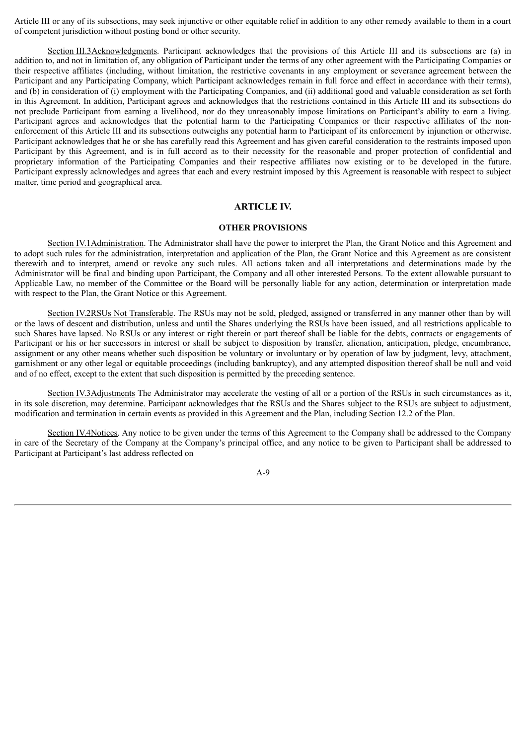Article III or any of its subsections, may seek injunctive or other equitable relief in addition to any other remedy available to them in a court of competent jurisdiction without posting bond or other security.

Section III.3Acknowledgments. Participant acknowledges that the provisions of this Article III and its subsections are (a) in addition to, and not in limitation of, any obligation of Participant under the terms of any other agreement with the Participating Companies or their respective affiliates (including, without limitation, the restrictive covenants in any employment or severance agreement between the Participant and any Participating Company, which Participant acknowledges remain in full force and effect in accordance with their terms), and (b) in consideration of (i) employment with the Participating Companies, and (ii) additional good and valuable consideration as set forth in this Agreement. In addition, Participant agrees and acknowledges that the restrictions contained in this Article III and its subsections do not preclude Participant from earning a livelihood, nor do they unreasonably impose limitations on Participant's ability to earn a living. Participant agrees and acknowledges that the potential harm to the Participating Companies or their respective affiliates of the nonenforcement of this Article III and its subsections outweighs any potential harm to Participant of its enforcement by injunction or otherwise. Participant acknowledges that he or she has carefully read this Agreement and has given careful consideration to the restraints imposed upon Participant by this Agreement, and is in full accord as to their necessity for the reasonable and proper protection of confidential and proprietary information of the Participating Companies and their respective affiliates now existing or to be developed in the future. Participant expressly acknowledges and agrees that each and every restraint imposed by this Agreement is reasonable with respect to subject matter, time period and geographical area.

### **ARTICLE IV.**

### **OTHER PROVISIONS**

Section IV.1Administration. The Administrator shall have the power to interpret the Plan, the Grant Notice and this Agreement and to adopt such rules for the administration, interpretation and application of the Plan, the Grant Notice and this Agreement as are consistent therewith and to interpret, amend or revoke any such rules. All actions taken and all interpretations and determinations made by the Administrator will be final and binding upon Participant, the Company and all other interested Persons. To the extent allowable pursuant to Applicable Law, no member of the Committee or the Board will be personally liable for any action, determination or interpretation made with respect to the Plan, the Grant Notice or this Agreement.

Section IV.2RSUs Not Transferable. The RSUs may not be sold, pledged, assigned or transferred in any manner other than by will or the laws of descent and distribution, unless and until the Shares underlying the RSUs have been issued, and all restrictions applicable to such Shares have lapsed. No RSUs or any interest or right therein or part thereof shall be liable for the debts, contracts or engagements of Participant or his or her successors in interest or shall be subject to disposition by transfer, alienation, anticipation, pledge, encumbrance, assignment or any other means whether such disposition be voluntary or involuntary or by operation of law by judgment, levy, attachment, garnishment or any other legal or equitable proceedings (including bankruptcy), and any attempted disposition thereof shall be null and void and of no effect, except to the extent that such disposition is permitted by the preceding sentence.

Section IV.3Adjustments The Administrator may accelerate the vesting of all or a portion of the RSUs in such circumstances as it, in its sole discretion, may determine. Participant acknowledges that the RSUs and the Shares subject to the RSUs are subject to adjustment, modification and termination in certain events as provided in this Agreement and the Plan, including Section 12.2 of the Plan.

Section IV.4Notices. Any notice to be given under the terms of this Agreement to the Company shall be addressed to the Company in care of the Secretary of the Company at the Company's principal office, and any notice to be given to Participant shall be addressed to Participant at Participant's last address reflected on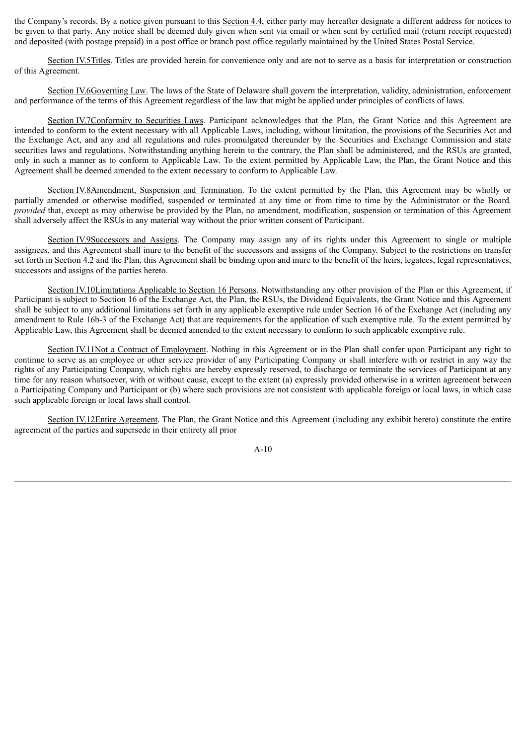the Company's records. By a notice given pursuant to this Section 4.4, either party may hereafter designate a different address for notices to be given to that party. Any notice shall be deemed duly given when sent via email or when sent by certified mail (return receipt requested) and deposited (with postage prepaid) in a post office or branch post office regularly maintained by the United States Postal Service.

Section IV.5Titles. Titles are provided herein for convenience only and are not to serve as a basis for interpretation or construction of this Agreement.

Section IV.6Governing Law. The laws of the State of Delaware shall govern the interpretation, validity, administration, enforcement and performance of the terms of this Agreement regardless of the law that might be applied under principles of conflicts of laws.

Section IV.7Conformity to Securities Laws. Participant acknowledges that the Plan, the Grant Notice and this Agreement are intended to conform to the extent necessary with all Applicable Laws, including, without limitation, the provisions of the Securities Act and the Exchange Act, and any and all regulations and rules promulgated thereunder by the Securities and Exchange Commission and state securities laws and regulations. Notwithstanding anything herein to the contrary, the Plan shall be administered, and the RSUs are granted, only in such a manner as to conform to Applicable Law. To the extent permitted by Applicable Law, the Plan, the Grant Notice and this Agreement shall be deemed amended to the extent necessary to conform to Applicable Law.

Section IV.8Amendment, Suspension and Termination. To the extent permitted by the Plan, this Agreement may be wholly or partially amended or otherwise modified, suspended or terminated at any time or from time to time by the Administrator or the Board*, provided* that, except as may otherwise be provided by the Plan, no amendment, modification, suspension or termination of this Agreement shall adversely affect the RSUs in any material way without the prior written consent of Participant.

Section IV.9Successors and Assigns. The Company may assign any of its rights under this Agreement to single or multiple assignees, and this Agreement shall inure to the benefit of the successors and assigns of the Company. Subject to the restrictions on transfer set forth in Section 4.2 and the Plan, this Agreement shall be binding upon and inure to the benefit of the heirs, legatees, legal representatives, successors and assigns of the parties hereto.

Section IV.10Limitations Applicable to Section 16 Persons. Notwithstanding any other provision of the Plan or this Agreement, if Participant is subject to Section 16 of the Exchange Act, the Plan, the RSUs, the Dividend Equivalents, the Grant Notice and this Agreement shall be subject to any additional limitations set forth in any applicable exemptive rule under Section 16 of the Exchange Act (including any amendment to Rule 16b-3 of the Exchange Act) that are requirements for the application of such exemptive rule. To the extent permitted by Applicable Law, this Agreement shall be deemed amended to the extent necessary to conform to such applicable exemptive rule.

Section IV.11Not a Contract of Employment. Nothing in this Agreement or in the Plan shall confer upon Participant any right to continue to serve as an employee or other service provider of any Participating Company or shall interfere with or restrict in any way the rights of any Participating Company, which rights are hereby expressly reserved, to discharge or terminate the services of Participant at any time for any reason whatsoever, with or without cause, except to the extent (a) expressly provided otherwise in a written agreement between a Participating Company and Participant or (b) where such provisions are not consistent with applicable foreign or local laws, in which case such applicable foreign or local laws shall control.

Section IV.12Entire Agreement. The Plan, the Grant Notice and this Agreement (including any exhibit hereto) constitute the entire agreement of the parties and supersede in their entirety all prior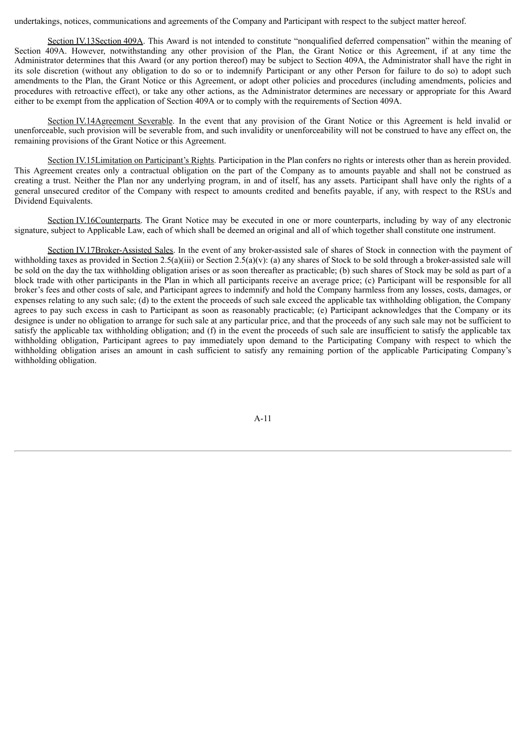undertakings, notices, communications and agreements of the Company and Participant with respect to the subject matter hereof.

Section IV.13Section 409A. This Award is not intended to constitute "nonqualified deferred compensation" within the meaning of Section 409A. However, notwithstanding any other provision of the Plan, the Grant Notice or this Agreement, if at any time the Administrator determines that this Award (or any portion thereof) may be subject to Section 409A, the Administrator shall have the right in its sole discretion (without any obligation to do so or to indemnify Participant or any other Person for failure to do so) to adopt such amendments to the Plan, the Grant Notice or this Agreement, or adopt other policies and procedures (including amendments, policies and procedures with retroactive effect), or take any other actions, as the Administrator determines are necessary or appropriate for this Award either to be exempt from the application of Section 409A or to comply with the requirements of Section 409A.

Section IV.14Agreement Severable. In the event that any provision of the Grant Notice or this Agreement is held invalid or unenforceable, such provision will be severable from, and such invalidity or unenforceability will not be construed to have any effect on, the remaining provisions of the Grant Notice or this Agreement.

Section IV.15Limitation on Participant's Rights. Participation in the Plan confers no rights or interests other than as herein provided. This Agreement creates only a contractual obligation on the part of the Company as to amounts payable and shall not be construed as creating a trust. Neither the Plan nor any underlying program, in and of itself, has any assets. Participant shall have only the rights of a general unsecured creditor of the Company with respect to amounts credited and benefits payable, if any, with respect to the RSUs and Dividend Equivalents.

Section IV.16Counterparts. The Grant Notice may be executed in one or more counterparts, including by way of any electronic signature, subject to Applicable Law, each of which shall be deemed an original and all of which together shall constitute one instrument.

Section IV.17Broker-Assisted Sales. In the event of any broker-assisted sale of shares of Stock in connection with the payment of withholding taxes as provided in Section 2.5(a)(iii) or Section 2.5(a)(v): (a) any shares of Stock to be sold through a broker-assisted sale will be sold on the day the tax withholding obligation arises or as soon thereafter as practicable; (b) such shares of Stock may be sold as part of a block trade with other participants in the Plan in which all participants receive an average price; (c) Participant will be responsible for all broker's fees and other costs of sale, and Participant agrees to indemnify and hold the Company harmless from any losses, costs, damages, or expenses relating to any such sale; (d) to the extent the proceeds of such sale exceed the applicable tax withholding obligation, the Company agrees to pay such excess in cash to Participant as soon as reasonably practicable; (e) Participant acknowledges that the Company or its designee is under no obligation to arrange for such sale at any particular price, and that the proceeds of any such sale may not be sufficient to satisfy the applicable tax withholding obligation; and (f) in the event the proceeds of such sale are insufficient to satisfy the applicable tax withholding obligation, Participant agrees to pay immediately upon demand to the Participating Company with respect to which the withholding obligation arises an amount in cash sufficient to satisfy any remaining portion of the applicable Participating Company's withholding obligation.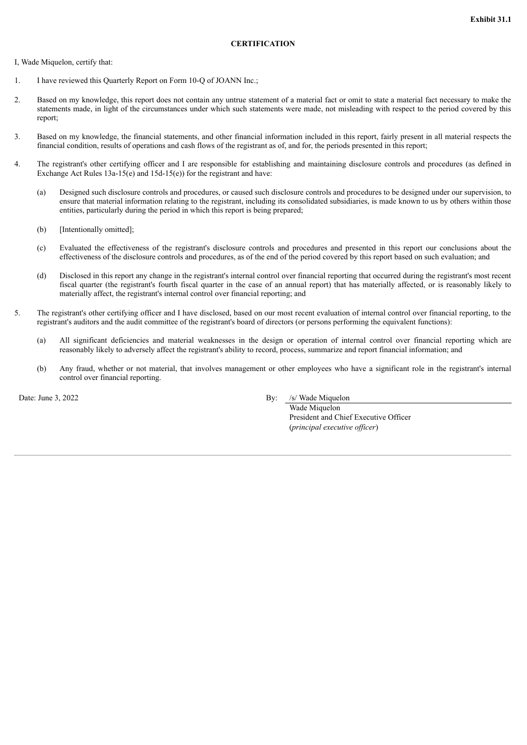#### **CERTIFICATION**

<span id="page-49-0"></span>I, Wade Miquelon, certify that:

- 1. I have reviewed this Quarterly Report on Form 10-Q of JOANN Inc.;
- 2. Based on my knowledge, this report does not contain any untrue statement of a material fact or omit to state a material fact necessary to make the statements made, in light of the circumstances under which such statements were made, not misleading with respect to the period covered by this report;
- 3. Based on my knowledge, the financial statements, and other financial information included in this report, fairly present in all material respects the financial condition, results of operations and cash flows of the registrant as of, and for, the periods presented in this report;
- 4. The registrant's other certifying officer and I are responsible for establishing and maintaining disclosure controls and procedures (as defined in Exchange Act Rules  $13a-15(e)$  and  $15d-15(e)$  for the registrant and have:
	- (a) Designed such disclosure controls and procedures, or caused such disclosure controls and procedures to be designed under our supervision, to ensure that material information relating to the registrant, including its consolidated subsidiaries, is made known to us by others within those entities, particularly during the period in which this report is being prepared;
	- (b) [Intentionally omitted];
	- (c) Evaluated the effectiveness of the registrant's disclosure controls and procedures and presented in this report our conclusions about the effectiveness of the disclosure controls and procedures, as of the end of the period covered by this report based on such evaluation; and
	- (d) Disclosed in this report any change in the registrant's internal control over financial reporting that occurred during the registrant's most recent fiscal quarter (the registrant's fourth fiscal quarter in the case of an annual report) that has materially affected, or is reasonably likely to materially affect, the registrant's internal control over financial reporting; and
- 5. The registrant's other certifying officer and I have disclosed, based on our most recent evaluation of internal control over financial reporting, to the registrant's auditors and the audit committee of the registrant's board of directors (or persons performing the equivalent functions):
	- (a) All significant deficiencies and material weaknesses in the design or operation of internal control over financial reporting which are reasonably likely to adversely affect the registrant's ability to record, process, summarize and report financial information; and
	- (b) Any fraud, whether or not material, that involves management or other employees who have a significant role in the registrant's internal control over financial reporting.

Date: June 3, 2022 By: /s/ Wade Miquelon

Wade Miquelon President and Chief Executive Officer (*principal executive of icer*)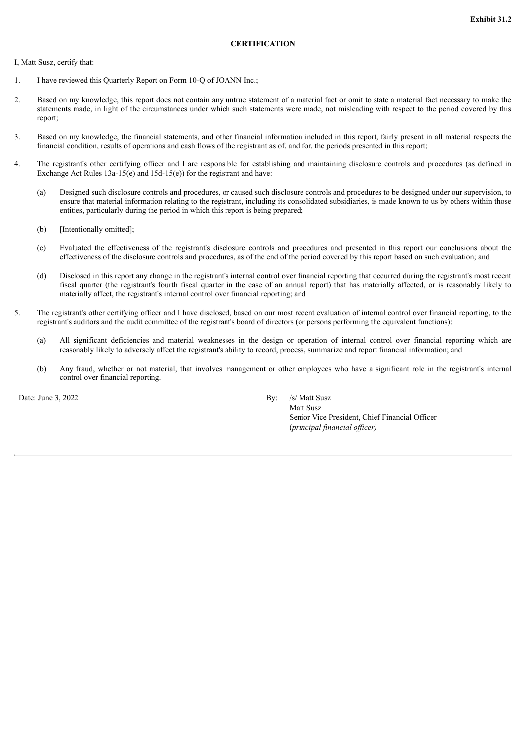<span id="page-50-0"></span>I, Matt Susz, certify that:

- 1. I have reviewed this Quarterly Report on Form 10-Q of JOANN Inc.;
- 2. Based on my knowledge, this report does not contain any untrue statement of a material fact or omit to state a material fact necessary to make the statements made, in light of the circumstances under which such statements were made, not misleading with respect to the period covered by this report;
- 3. Based on my knowledge, the financial statements, and other financial information included in this report, fairly present in all material respects the financial condition, results of operations and cash flows of the registrant as of, and for, the periods presented in this report;
- 4. The registrant's other certifying officer and I are responsible for establishing and maintaining disclosure controls and procedures (as defined in Exchange Act Rules  $13a-15(e)$  and  $15d-15(e)$  for the registrant and have:
	- (a) Designed such disclosure controls and procedures, or caused such disclosure controls and procedures to be designed under our supervision, to ensure that material information relating to the registrant, including its consolidated subsidiaries, is made known to us by others within those entities, particularly during the period in which this report is being prepared;
	- (b) [Intentionally omitted];
	- (c) Evaluated the effectiveness of the registrant's disclosure controls and procedures and presented in this report our conclusions about the effectiveness of the disclosure controls and procedures, as of the end of the period covered by this report based on such evaluation; and
	- (d) Disclosed in this report any change in the registrant's internal control over financial reporting that occurred during the registrant's most recent fiscal quarter (the registrant's fourth fiscal quarter in the case of an annual report) that has materially affected, or is reasonably likely to materially affect, the registrant's internal control over financial reporting; and
- 5. The registrant's other certifying officer and I have disclosed, based on our most recent evaluation of internal control over financial reporting, to the registrant's auditors and the audit committee of the registrant's board of directors (or persons performing the equivalent functions):
	- (a) All significant deficiencies and material weaknesses in the design or operation of internal control over financial reporting which are reasonably likely to adversely affect the registrant's ability to record, process, summarize and report financial information; and
	- (b) Any fraud, whether or not material, that involves management or other employees who have a significant role in the registrant's internal control over financial reporting.

Date: June 3, 2022 By: /s/ Matt Susz

Matt Susz Senior Vice President, Chief Financial Officer (*principal financial of icer)*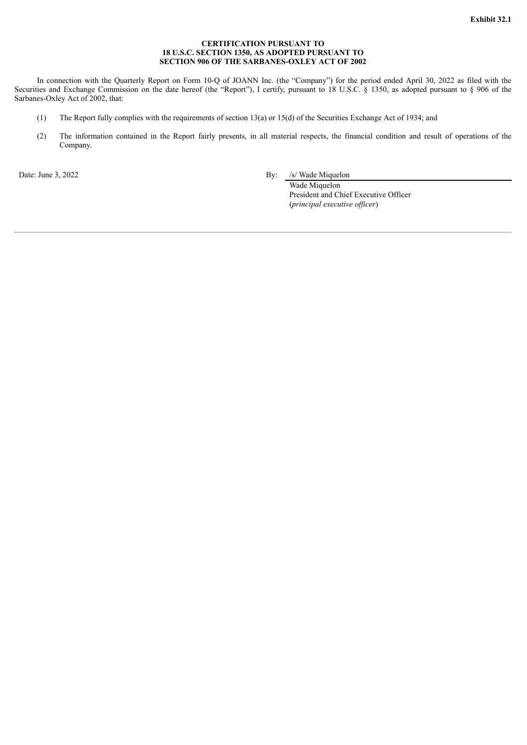### **CERTIFICATION PURSUANT TO 18 U.S.C. SECTION 1350, AS ADOPTED PURSUANT TO SECTION 906 OF THE SARBANES-OXLEY ACT OF 2002**

<span id="page-51-0"></span>In connection with the Quarterly Report on Form 10-Q of JOANN Inc. (the "Company") for the period ended April 30, 2022 as filed with the Securities and Exchange Commission on the date hereof (the "Report"), I certify, pursuant to 18 U.S.C. § 1350, as adopted pursuant to § 906 of the Sarbanes-Oxley Act of 2002, that:

- (1) The Report fully complies with the requirements of section 13(a) or 15(d) of the Securities Exchange Act of 1934; and
- (2) The information contained in the Report fairly presents, in all material respects, the financial condition and result of operations of the Company.

Date: June 3, 2022 By: /s/ Wade Miquelon

Wade Miquelon President and Chief Executive Officer (*principal executive of icer*)